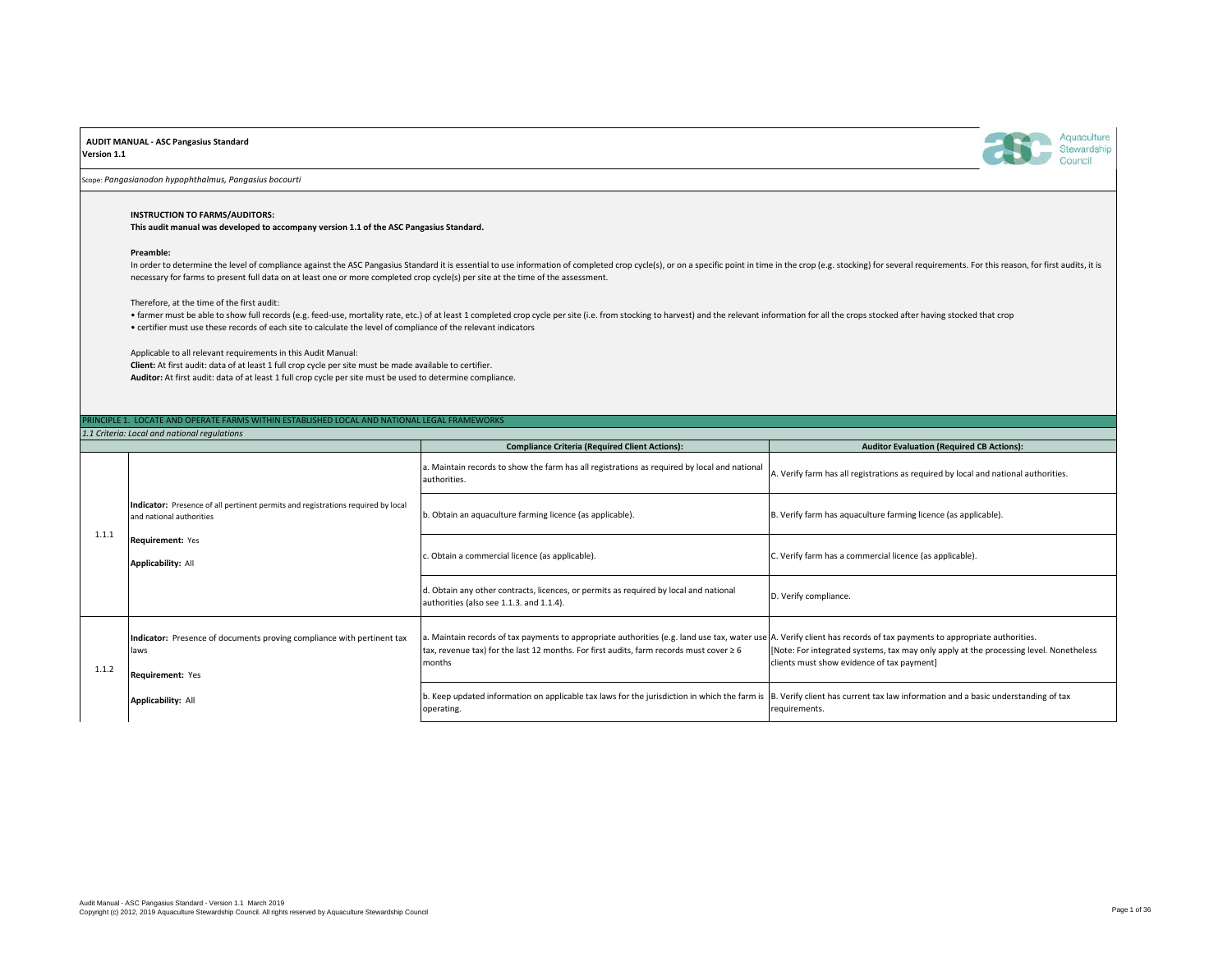## **AUDIT MANUAL - ASC Pangasius Standard**

**Version 1.1**



Scope: *Pangasianodon hypophthalmus, Pangasius bocourti*

## **INSTRUCTION TO FARMS/AUDITORS:**

**This audit manual was developed to accompany version 1.1 of the ASC Pangasius Standard.**

#### **Preamble:**

In order to determine the level of compliance against the ASC Pangasius Standard it is essential to use information of completed crop cycle(s), or on a specific point in time in the crop (e.g. stocking) for several require necessary for farms to present full data on at least one or more completed crop cycle(s) per site at the time of the assessment.

## Therefore, at the time of the first audit:

. farmer must be able to show full records (e.g. feed-use, mortality rate, etc.) of at least 1 completed crop cycle per site (i.e. from stocking to harvest) and the relevant information for all the crops stocked after havi • certifier must use these records of each site to calculate the level of compliance of the relevant indicators

Applicable to all relevant requirements in this Audit Manual:

**Client:** At first audit: data of at least 1 full crop cycle per site must be made available to certifier. **Auditor:** At first audit: data of at least 1 full crop cycle per site must be used to determine compliance.

# NCIPLE 1. LOCATE AND OPERATE FARMS WITHIN ESTABLISHED LOCAL AND NATIONAL LEGAL FRAMEWORKS

|       | 1.1 Criteria: Local and national regulations                                                                 |                                                                                                                                                                                                                                                                                 |                                                                                                                                      |  |
|-------|--------------------------------------------------------------------------------------------------------------|---------------------------------------------------------------------------------------------------------------------------------------------------------------------------------------------------------------------------------------------------------------------------------|--------------------------------------------------------------------------------------------------------------------------------------|--|
|       |                                                                                                              | <b>Compliance Criteria (Required Client Actions):</b>                                                                                                                                                                                                                           | <b>Auditor Evaluation (Required CB Actions):</b>                                                                                     |  |
| 1.1.1 |                                                                                                              | a. Maintain records to show the farm has all registrations as required by local and national<br>authorities.                                                                                                                                                                    | A. Verify farm has all registrations as required by local and national authorities.                                                  |  |
|       | Indicator: Presence of all pertinent permits and registrations required by local<br>and national authorities | b. Obtain an aquaculture farming licence (as applicable).                                                                                                                                                                                                                       | B. Verify farm has aquaculture farming licence (as applicable).                                                                      |  |
|       | Requirement: Yes<br><b>Applicability: All</b>                                                                | c. Obtain a commercial licence (as applicable).                                                                                                                                                                                                                                 | C. Verify farm has a commercial licence (as applicable).                                                                             |  |
|       |                                                                                                              | d. Obtain any other contracts, licences, or permits as required by local and national<br>authorities (also see 1.1.3. and 1.1.4).                                                                                                                                               | D. Verify compliance.                                                                                                                |  |
| 1.1.2 | Indicator: Presence of documents proving compliance with pertinent tax<br>laws<br>Requirement: Yes           | a. Maintain records of tax payments to appropriate authorities (e.g. land use tax, water use A. Verify client has records of tax payments to appropriate authorities.<br>tax, revenue tax) for the last 12 months. For first audits, farm records must cover $\geq 6$<br>months | [Note: For integrated systems, tax may only apply at the processing level. Nonetheless<br>clients must show evidence of tax payment] |  |
|       | <b>Applicability: All</b>                                                                                    | b. Keep updated information on applicable tax laws for the jurisdiction in which the farm is B. Verify client has current tax law information and a basic understanding of tax<br>operating.                                                                                    | requirements.                                                                                                                        |  |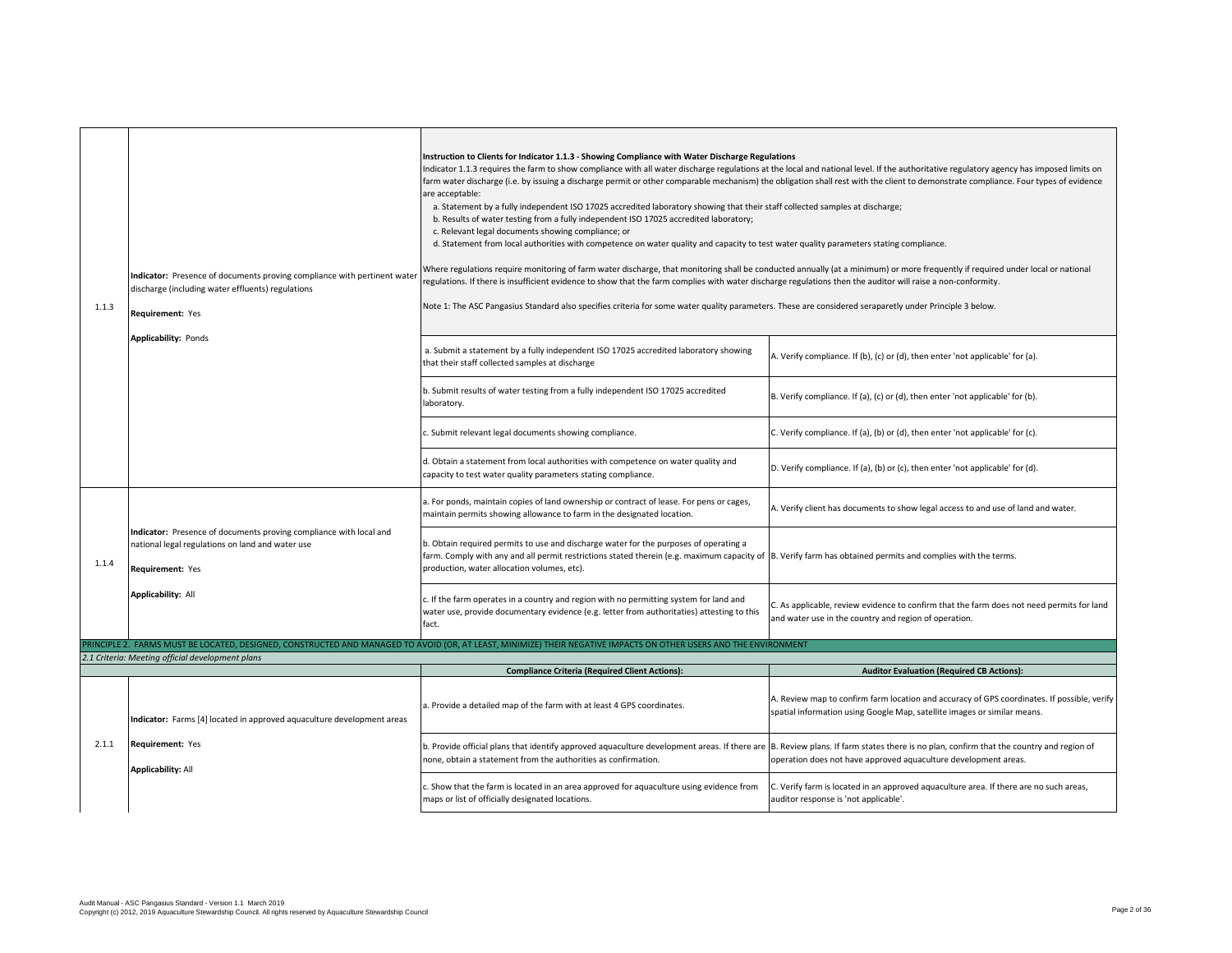| 1.1.3 | Indicator: Presence of documents proving compliance with pertinent water<br>discharge (including water effluents) regulations<br>Requirement: Yes<br>Applicability: Ponds | Instruction to Clients for Indicator 1.1.3 - Showing Compliance with Water Discharge Regulations<br>ndicator 1.1.3 requires the farm to show compliance with all water discharge regulations at the local and national level. If the authoritative regulatory agency has imposed limits on<br>farm water discharge (i.e. by issuing a discharge permit or other comparable mechanism) the obligation shall rest with the client to demonstrate compliance. Four types of evidence<br>are acceptable:<br>a. Statement by a fully independent ISO 17025 accredited laboratory showing that their staff collected samples at discharge;<br>b. Results of water testing from a fully independent ISO 17025 accredited laboratory;<br>c. Relevant legal documents showing compliance; or<br>d. Statement from local authorities with competence on water quality and capacity to test water quality parameters stating compliance.<br>Where regulations require monitoring of farm water discharge, that monitoring shall be conducted annually (at a minimum) or more frequently if required under local or national<br>egulations. If there is insufficient evidence to show that the farm complies with water discharge regulations then the auditor will raise a non-conformity.<br>Note 1: The ASC Pangasius Standard also specifies criteria for some water quality parameters. These are considered seraparetly under Principle 3 below. |                                                                                                                                                                         |
|-------|---------------------------------------------------------------------------------------------------------------------------------------------------------------------------|--------------------------------------------------------------------------------------------------------------------------------------------------------------------------------------------------------------------------------------------------------------------------------------------------------------------------------------------------------------------------------------------------------------------------------------------------------------------------------------------------------------------------------------------------------------------------------------------------------------------------------------------------------------------------------------------------------------------------------------------------------------------------------------------------------------------------------------------------------------------------------------------------------------------------------------------------------------------------------------------------------------------------------------------------------------------------------------------------------------------------------------------------------------------------------------------------------------------------------------------------------------------------------------------------------------------------------------------------------------------------------------------------------------------------------------------|-------------------------------------------------------------------------------------------------------------------------------------------------------------------------|
|       |                                                                                                                                                                           | a. Submit a statement by a fully independent ISO 17025 accredited laboratory showing<br>that their staff collected samples at discharge                                                                                                                                                                                                                                                                                                                                                                                                                                                                                                                                                                                                                                                                                                                                                                                                                                                                                                                                                                                                                                                                                                                                                                                                                                                                                                    | A. Verify compliance. If (b), (c) or (d), then enter 'not applicable' for (a).                                                                                          |
|       |                                                                                                                                                                           | b. Submit results of water testing from a fully independent ISO 17025 accredited<br>laboratory.                                                                                                                                                                                                                                                                                                                                                                                                                                                                                                                                                                                                                                                                                                                                                                                                                                                                                                                                                                                                                                                                                                                                                                                                                                                                                                                                            | B. Verify compliance. If (a), (c) or (d), then enter 'not applicable' for (b).                                                                                          |
|       |                                                                                                                                                                           | . Submit relevant legal documents showing compliance.                                                                                                                                                                                                                                                                                                                                                                                                                                                                                                                                                                                                                                                                                                                                                                                                                                                                                                                                                                                                                                                                                                                                                                                                                                                                                                                                                                                      | C. Verify compliance. If (a), (b) or (d), then enter 'not applicable' for (c).                                                                                          |
|       |                                                                                                                                                                           | d. Obtain a statement from local authorities with competence on water quality and<br>capacity to test water quality parameters stating compliance.                                                                                                                                                                                                                                                                                                                                                                                                                                                                                                                                                                                                                                                                                                                                                                                                                                                                                                                                                                                                                                                                                                                                                                                                                                                                                         | D. Verify compliance. If (a), (b) or (c), then enter 'not applicable' for (d).                                                                                          |
| 1.1.4 | Indicator: Presence of documents proving compliance with local and<br>national legal regulations on land and water use<br>Requirement: Yes                                | a. For ponds, maintain copies of land ownership or contract of lease. For pens or cages,<br>maintain permits showing allowance to farm in the designated location.                                                                                                                                                                                                                                                                                                                                                                                                                                                                                                                                                                                                                                                                                                                                                                                                                                                                                                                                                                                                                                                                                                                                                                                                                                                                         | A. Verify client has documents to show legal access to and use of land and water.                                                                                       |
|       |                                                                                                                                                                           | b. Obtain required permits to use and discharge water for the purposes of operating a<br>farm. Comply with any and all permit restrictions stated therein (e.g. maximum capacity of B. Verify farm has obtained permits and complies with the terms.<br>production, water allocation volumes, etc).                                                                                                                                                                                                                                                                                                                                                                                                                                                                                                                                                                                                                                                                                                                                                                                                                                                                                                                                                                                                                                                                                                                                        |                                                                                                                                                                         |
|       | Applicability: All                                                                                                                                                        | c. If the farm operates in a country and region with no permitting system for land and<br>water use, provide documentary evidence (e.g. letter from authoritaties) attesting to this<br>fact.                                                                                                                                                                                                                                                                                                                                                                                                                                                                                                                                                                                                                                                                                                                                                                                                                                                                                                                                                                                                                                                                                                                                                                                                                                              | C. As applicable, review evidence to confirm that the farm does not need permits for land<br>and water use in the country and region of operation.                      |
|       | 2.1 Criteria: Meeting official development plans                                                                                                                          | PRINCIPLE 2. FARMS MUST BE LOCATED, DESIGNED, CONSTRUCTED AND MANAGED TO AVOID (OR, AT LEAST, MINIMIZE) THEIR NEGATIVE IMPACTS ON OTHER USERS AND THE ENVIRONMENT                                                                                                                                                                                                                                                                                                                                                                                                                                                                                                                                                                                                                                                                                                                                                                                                                                                                                                                                                                                                                                                                                                                                                                                                                                                                          |                                                                                                                                                                         |
|       |                                                                                                                                                                           | <b>Compliance Criteria (Required Client Actions):</b>                                                                                                                                                                                                                                                                                                                                                                                                                                                                                                                                                                                                                                                                                                                                                                                                                                                                                                                                                                                                                                                                                                                                                                                                                                                                                                                                                                                      | <b>Auditor Evaluation (Required CB Actions):</b>                                                                                                                        |
|       | Indicator: Farms [4] located in approved aquaculture development areas                                                                                                    | . Provide a detailed map of the farm with at least 4 GPS coordinates.                                                                                                                                                                                                                                                                                                                                                                                                                                                                                                                                                                                                                                                                                                                                                                                                                                                                                                                                                                                                                                                                                                                                                                                                                                                                                                                                                                      | A. Review map to confirm farm location and accuracy of GPS coordinates. If possible, verify<br>spatial information using Google Map, satellite images or similar means. |
| 2.1.1 | Requirement: Yes<br><b>Applicability: All</b>                                                                                                                             | b. Provide official plans that identify approved aquaculture development areas. If there are B. Review plans. If farm states there is no plan, confirm that the country and region of<br>none, obtain a statement from the authorities as confirmation.                                                                                                                                                                                                                                                                                                                                                                                                                                                                                                                                                                                                                                                                                                                                                                                                                                                                                                                                                                                                                                                                                                                                                                                    | operation does not have approved aquaculture development areas.                                                                                                         |
|       |                                                                                                                                                                           | Show that the farm is located in an area approved for aquaculture using evidence from<br>maps or list of officially designated locations.                                                                                                                                                                                                                                                                                                                                                                                                                                                                                                                                                                                                                                                                                                                                                                                                                                                                                                                                                                                                                                                                                                                                                                                                                                                                                                  | C. Verify farm is located in an approved aquaculture area. If there are no such areas,<br>auditor response is 'not applicable'.                                         |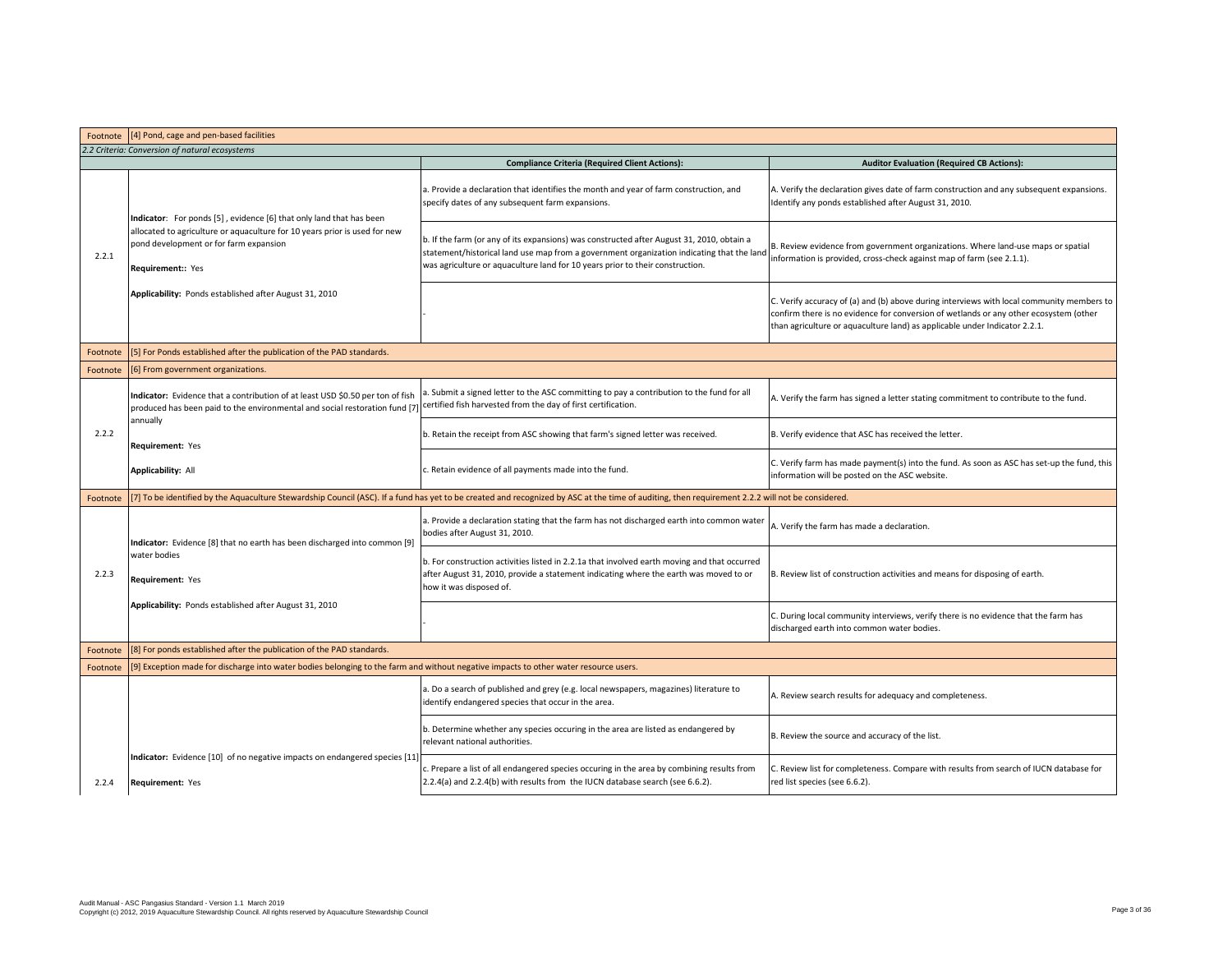| Footnote | [4] Pond, cage and pen-based facilities                                                                                                                       |                                                                                                                                                                                                                                                                         |                                                                                                                                                                                                                                                                  |  |  |
|----------|---------------------------------------------------------------------------------------------------------------------------------------------------------------|-------------------------------------------------------------------------------------------------------------------------------------------------------------------------------------------------------------------------------------------------------------------------|------------------------------------------------------------------------------------------------------------------------------------------------------------------------------------------------------------------------------------------------------------------|--|--|
|          | 2.2 Criteria: Conversion of natural ecosystems                                                                                                                |                                                                                                                                                                                                                                                                         |                                                                                                                                                                                                                                                                  |  |  |
|          |                                                                                                                                                               | <b>Compliance Criteria (Required Client Actions):</b>                                                                                                                                                                                                                   | <b>Auditor Evaluation (Required CB Actions):</b>                                                                                                                                                                                                                 |  |  |
|          | Indicator: For ponds [5], evidence [6] that only land that has been                                                                                           | a. Provide a declaration that identifies the month and year of farm construction, and<br>specify dates of any subsequent farm expansions.                                                                                                                               | A. Verify the declaration gives date of farm construction and any subsequent expansions.<br>Identify any ponds established after August 31, 2010.                                                                                                                |  |  |
| 2.2.1    | allocated to agriculture or aquaculture for 10 years prior is used for new<br>pond development or for farm expansion<br>Requirement:: Yes                     | b. If the farm (or any of its expansions) was constructed after August 31, 2010, obtain a<br>statement/historical land use map from a government organization indicating that the land<br>was agriculture or aquaculture land for 10 years prior to their construction. | B. Review evidence from government organizations. Where land-use maps or spatial<br>information is provided, cross-check against map of farm (see 2.1.1).                                                                                                        |  |  |
|          | Applicability: Ponds established after August 31, 2010                                                                                                        |                                                                                                                                                                                                                                                                         | C. Verify accuracy of (a) and (b) above during interviews with local community members to<br>confirm there is no evidence for conversion of wetlands or any other ecosystem (other<br>than agriculture or aquaculture land) as applicable under Indicator 2.2.1. |  |  |
| Footnote | [5] For Ponds established after the publication of the PAD standards.                                                                                         |                                                                                                                                                                                                                                                                         |                                                                                                                                                                                                                                                                  |  |  |
| Footnote | [6] From government organizations.                                                                                                                            |                                                                                                                                                                                                                                                                         |                                                                                                                                                                                                                                                                  |  |  |
|          | Indicator: Evidence that a contribution of at least USD \$0.50 per ton of fish<br>produced has been paid to the environmental and social restoration fund [7] | . Submit a signed letter to the ASC committing to pay a contribution to the fund for all<br>certified fish harvested from the day of first certification.                                                                                                               | A. Verify the farm has signed a letter stating commitment to contribute to the fund.                                                                                                                                                                             |  |  |
| 2.2.2    | annually<br>Requirement: Yes                                                                                                                                  | b. Retain the receipt from ASC showing that farm's signed letter was received.                                                                                                                                                                                          | B. Verify evidence that ASC has received the letter.                                                                                                                                                                                                             |  |  |
|          | Applicability: All                                                                                                                                            | c. Retain evidence of all payments made into the fund.                                                                                                                                                                                                                  | C. Verify farm has made payment(s) into the fund. As soon as ASC has set-up the fund, this<br>information will be posted on the ASC website.                                                                                                                     |  |  |
| Footnote |                                                                                                                                                               | [7] To be identified by the Aquaculture Stewardship Council (ASC). If a fund has yet to be created and recognized by ASC at the time of auditing, then requirement 2.2.2 will not be considered.                                                                        |                                                                                                                                                                                                                                                                  |  |  |
|          | Indicator: Evidence [8] that no earth has been discharged into common [9]                                                                                     | a. Provide a declaration stating that the farm has not discharged earth into common water<br>bodies after August 31, 2010.                                                                                                                                              | A. Verify the farm has made a declaration.                                                                                                                                                                                                                       |  |  |
| 2.2.3    | water bodies<br>Requirement: Yes                                                                                                                              | b. For construction activities listed in 2.2.1a that involved earth moving and that occurred<br>after August 31, 2010, provide a statement indicating where the earth was moved to or<br>how it was disposed of.                                                        | B. Review list of construction activities and means for disposing of earth.                                                                                                                                                                                      |  |  |
|          | Applicability: Ponds established after August 31, 2010                                                                                                        |                                                                                                                                                                                                                                                                         | C. During local community interviews, verify there is no evidence that the farm has<br>discharged earth into common water bodies.                                                                                                                                |  |  |
| Footnote | [8] For ponds established after the publication of the PAD standards.                                                                                         |                                                                                                                                                                                                                                                                         |                                                                                                                                                                                                                                                                  |  |  |
| Footnote | [9] Exception made for discharge into water bodies belonging to the farm and without negative impacts to other water resource users.                          |                                                                                                                                                                                                                                                                         |                                                                                                                                                                                                                                                                  |  |  |
|          |                                                                                                                                                               | a. Do a search of published and grey (e.g. local newspapers, magazines) literature to<br>identify endangered species that occur in the area.                                                                                                                            | A. Review search results for adequacy and completeness.                                                                                                                                                                                                          |  |  |
|          |                                                                                                                                                               | b. Determine whether any species occuring in the area are listed as endangered by<br>relevant national authorities.                                                                                                                                                     | B. Review the source and accuracy of the list.                                                                                                                                                                                                                   |  |  |
| 2.2.4    | Indicator: Evidence [10] of no negative impacts on endangered species [11]<br>Requirement: Yes                                                                | c. Prepare a list of all endangered species occuring in the area by combining results from<br>2.2.4(a) and 2.2.4(b) with results from the IUCN database search (see 6.6.2).                                                                                             | C. Review list for completeness. Compare with results from search of IUCN database for<br>red list species (see 6.6.2).                                                                                                                                          |  |  |
|          |                                                                                                                                                               |                                                                                                                                                                                                                                                                         |                                                                                                                                                                                                                                                                  |  |  |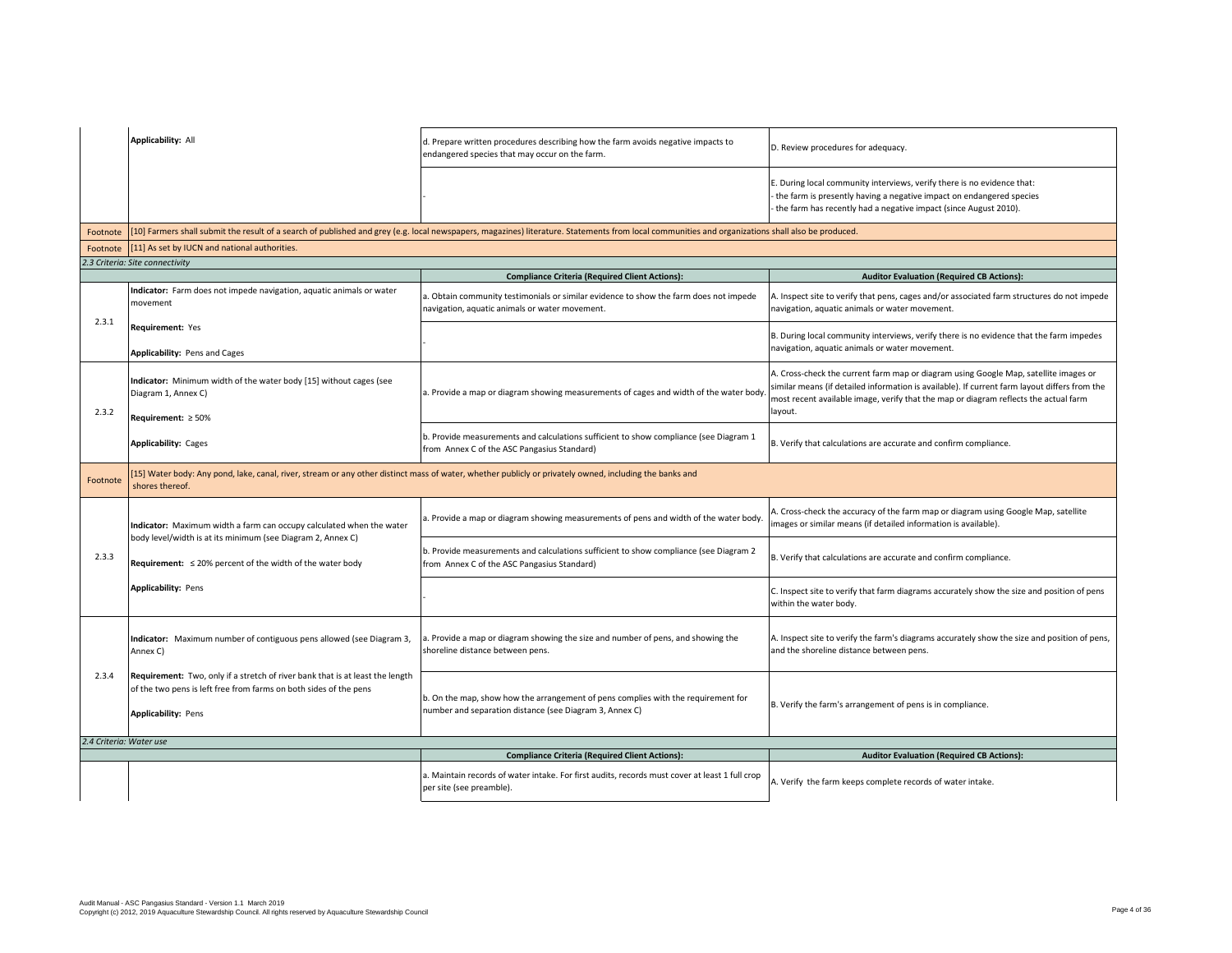|                         | Applicability: All                                                                                                                                                               | d. Prepare written procedures describing how the farm avoids negative impacts to<br>endangered species that may occur on the farm.                                                                | D. Review procedures for adequacy.                                                                                                                                                                                                                                                       |
|-------------------------|----------------------------------------------------------------------------------------------------------------------------------------------------------------------------------|---------------------------------------------------------------------------------------------------------------------------------------------------------------------------------------------------|------------------------------------------------------------------------------------------------------------------------------------------------------------------------------------------------------------------------------------------------------------------------------------------|
|                         |                                                                                                                                                                                  |                                                                                                                                                                                                   | E. During local community interviews, verify there is no evidence that:<br>the farm is presently having a negative impact on endangered species<br>the farm has recently had a negative impact (since August 2010).                                                                      |
| Footnote                |                                                                                                                                                                                  | [10] Farmers shall submit the result of a search of published and grey (e.g. local newspapers, magazines) literature. Statements from local communities and organizations shall also be produced. |                                                                                                                                                                                                                                                                                          |
|                         | Footnote [11] As set by IUCN and national authorities.                                                                                                                           |                                                                                                                                                                                                   |                                                                                                                                                                                                                                                                                          |
|                         | 2.3 Criteria: Site connectivity                                                                                                                                                  |                                                                                                                                                                                                   |                                                                                                                                                                                                                                                                                          |
|                         | Indicator: Farm does not impede navigation, aquatic animals or water<br>movement                                                                                                 | <b>Compliance Criteria (Required Client Actions):</b><br>a. Obtain community testimonials or similar evidence to show the farm does not impede<br>navigation, aquatic animals or water movement.  | <b>Auditor Evaluation (Required CB Actions):</b><br>A. Inspect site to verify that pens, cages and/or associated farm structures do not impede<br>navigation, aquatic animals or water movement.                                                                                         |
| 2.3.1                   | Requirement: Yes                                                                                                                                                                 |                                                                                                                                                                                                   | B. During local community interviews, verify there is no evidence that the farm impedes<br>navigation, aquatic animals or water movement.                                                                                                                                                |
| 2.3.2                   | Applicability: Pens and Cages<br>Indicator: Minimum width of the water body [15] without cages (see<br>Diagram 1, Annex C)<br>Requirement: $\geq 50\%$                           | a. Provide a map or diagram showing measurements of cages and width of the water body                                                                                                             | A. Cross-check the current farm map or diagram using Google Map, satellite images or<br>similar means (if detailed information is available). If current farm layout differs from the<br>most recent available image, verify that the map or diagram reflects the actual farm<br>layout. |
|                         | <b>Applicability: Cages</b>                                                                                                                                                      | b. Provide measurements and calculations sufficient to show compliance (see Diagram 1<br>from Annex C of the ASC Pangasius Standard)                                                              | B. Verify that calculations are accurate and confirm compliance.                                                                                                                                                                                                                         |
| Footnote                | [15] Water body: Any pond, lake, canal, river, stream or any other distinct mass of water, whether publicly or privately owned, including the banks and<br>shores thereof.       |                                                                                                                                                                                                   |                                                                                                                                                                                                                                                                                          |
|                         | Indicator: Maximum width a farm can occupy calculated when the water<br>body level/width is at its minimum (see Diagram 2, Annex C)                                              | a. Provide a map or diagram showing measurements of pens and width of the water body.                                                                                                             | A. Cross-check the accuracy of the farm map or diagram using Google Map, satellite<br>images or similar means (if detailed information is available).                                                                                                                                    |
| 2.3.3                   | Requirement: $\leq$ 20% percent of the width of the water body                                                                                                                   | b. Provide measurements and calculations sufficient to show compliance (see Diagram 2<br>from Annex C of the ASC Pangasius Standard)                                                              | B. Verify that calculations are accurate and confirm compliance.                                                                                                                                                                                                                         |
|                         | <b>Applicability: Pens</b>                                                                                                                                                       |                                                                                                                                                                                                   | C. Inspect site to verify that farm diagrams accurately show the size and position of pens<br>within the water body.                                                                                                                                                                     |
|                         | Indicator: Maximum number of contiguous pens allowed (see Diagram 3,<br>Annex C)                                                                                                 | a. Provide a map or diagram showing the size and number of pens, and showing the<br>shoreline distance between pens.                                                                              | A. Inspect site to verify the farm's diagrams accurately show the size and position of pens,<br>and the shoreline distance between pens.                                                                                                                                                 |
| 2.3.4                   | Requirement: Two, only if a stretch of river bank that is at least the length<br>of the two pens is left free from farms on both sides of the pens<br><b>Applicability: Pens</b> | b. On the map, show how the arrangement of pens complies with the requirement for<br>number and separation distance (see Diagram 3, Annex C)                                                      | B. Verify the farm's arrangement of pens is in compliance.                                                                                                                                                                                                                               |
| 2.4 Criteria: Water use |                                                                                                                                                                                  |                                                                                                                                                                                                   |                                                                                                                                                                                                                                                                                          |
|                         |                                                                                                                                                                                  | <b>Compliance Criteria (Required Client Actions):</b>                                                                                                                                             | <b>Auditor Evaluation (Required CB Actions):</b>                                                                                                                                                                                                                                         |
|                         |                                                                                                                                                                                  | a. Maintain records of water intake. For first audits, records must cover at least 1 full crop<br>per site (see preamble).                                                                        | A. Verify the farm keeps complete records of water intake.                                                                                                                                                                                                                               |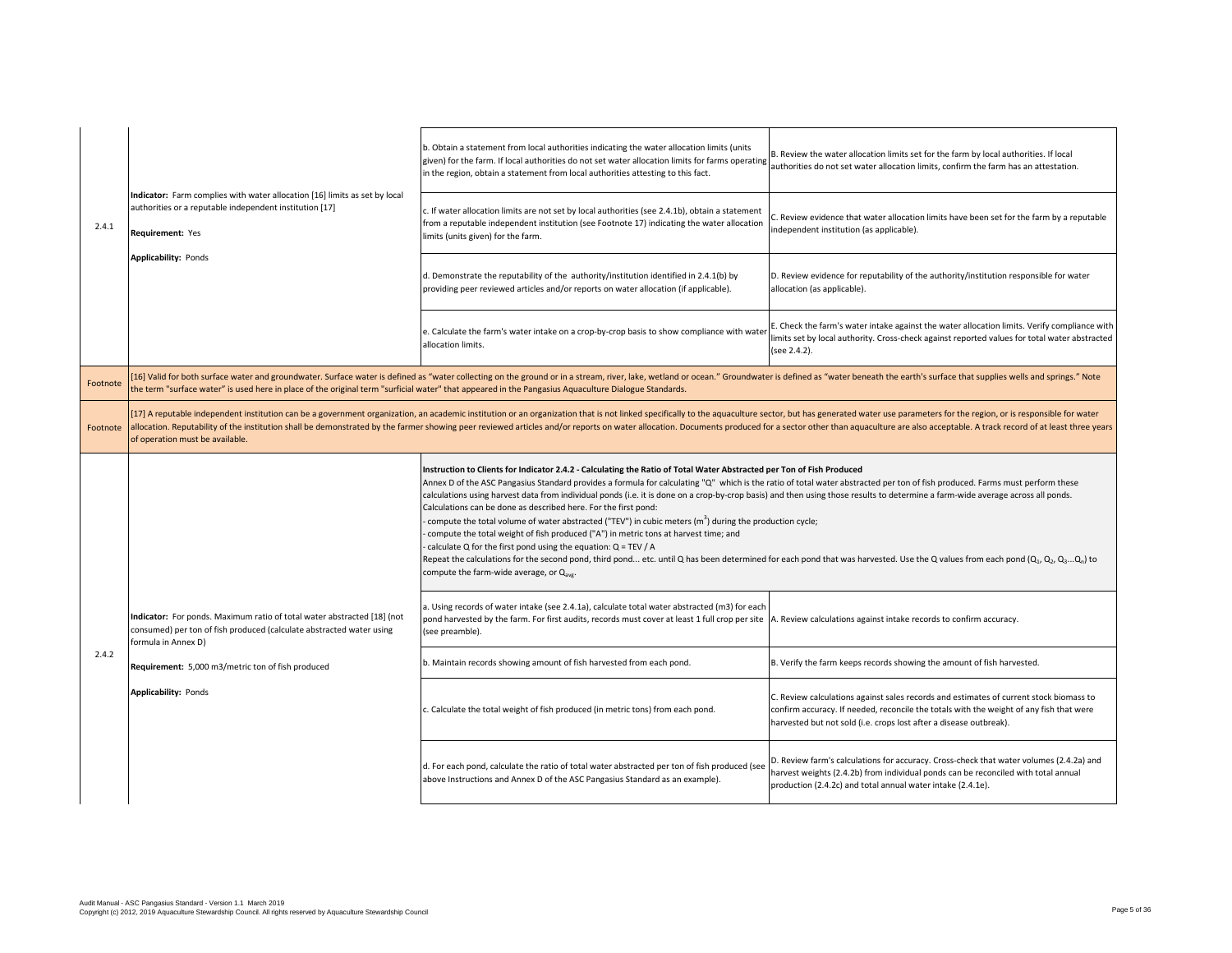|          | Indicator: Farm complies with water allocation [16] limits as set by local<br>authorities or a reputable independent institution [17]<br>Requirement: Yes                                                                                                                                                                                                                                                                                                                                           | b. Obtain a statement from local authorities indicating the water allocation limits (units<br>given) for the farm. If local authorities do not set water allocation limits for farms operating<br>in the region, obtain a statement from local authorities attesting to this fact.                                                                                                                                                                                                                                                                                                                                                                                                                                                                                                                                                                                                                                                                                                                                                                                                | B. Review the water allocation limits set for the farm by local authorities. If local<br>authorities do not set water allocation limits, confirm the farm has an attestation.                                                                           |
|----------|-----------------------------------------------------------------------------------------------------------------------------------------------------------------------------------------------------------------------------------------------------------------------------------------------------------------------------------------------------------------------------------------------------------------------------------------------------------------------------------------------------|-----------------------------------------------------------------------------------------------------------------------------------------------------------------------------------------------------------------------------------------------------------------------------------------------------------------------------------------------------------------------------------------------------------------------------------------------------------------------------------------------------------------------------------------------------------------------------------------------------------------------------------------------------------------------------------------------------------------------------------------------------------------------------------------------------------------------------------------------------------------------------------------------------------------------------------------------------------------------------------------------------------------------------------------------------------------------------------|---------------------------------------------------------------------------------------------------------------------------------------------------------------------------------------------------------------------------------------------------------|
| 2.4.1    |                                                                                                                                                                                                                                                                                                                                                                                                                                                                                                     | c. If water allocation limits are not set by local authorities (see 2.4.1b), obtain a statement<br>from a reputable independent institution (see Footnote 17) indicating the water allocation<br>limits (units given) for the farm.                                                                                                                                                                                                                                                                                                                                                                                                                                                                                                                                                                                                                                                                                                                                                                                                                                               | C. Review evidence that water allocation limits have been set for the farm by a reputable<br>independent institution (as applicable).                                                                                                                   |
|          | Applicability: Ponds                                                                                                                                                                                                                                                                                                                                                                                                                                                                                | d. Demonstrate the reputability of the authority/institution identified in 2.4.1(b) by<br>providing peer reviewed articles and/or reports on water allocation (if applicable).                                                                                                                                                                                                                                                                                                                                                                                                                                                                                                                                                                                                                                                                                                                                                                                                                                                                                                    | D. Review evidence for reputability of the authority/institution responsible for water<br>allocation (as applicable).                                                                                                                                   |
|          |                                                                                                                                                                                                                                                                                                                                                                                                                                                                                                     | e. Calculate the farm's water intake on a crop-by-crop basis to show compliance with wate<br>allocation limits.                                                                                                                                                                                                                                                                                                                                                                                                                                                                                                                                                                                                                                                                                                                                                                                                                                                                                                                                                                   | E. Check the farm's water intake against the water allocation limits. Verify compliance with<br>limits set by local authority. Cross-check against reported values for total water abstracted<br>(see 2.4.2).                                           |
| Footnote | 16] Valid for both surface water and groundwater. Surface water is defined as "water collecting on the ground or in a stream, river, lake, wetland or ocean." Groundwater is defined as "water beneath the earth's surface tha<br>the term "surface water" is used here in place of the original term "surficial water" that appeared in the Pangasius Aquaculture Dialogue Standards.                                                                                                              |                                                                                                                                                                                                                                                                                                                                                                                                                                                                                                                                                                                                                                                                                                                                                                                                                                                                                                                                                                                                                                                                                   |                                                                                                                                                                                                                                                         |
| Footnote | [17] A reputable independent institution can be a government organization, an academic institution or an organization that is not linked specifically to the aquaculture sector, but has generated water use parameters for th<br>allocation. Reputability of the institution shall be demonstrated by the farmer showing peer reviewed articles and/or reports on water allocation. Documents produced for a sector other than aquaculture are also acceptable.<br>of operation must be available. |                                                                                                                                                                                                                                                                                                                                                                                                                                                                                                                                                                                                                                                                                                                                                                                                                                                                                                                                                                                                                                                                                   |                                                                                                                                                                                                                                                         |
|          |                                                                                                                                                                                                                                                                                                                                                                                                                                                                                                     | Instruction to Clients for Indicator 2.4.2 - Calculating the Ratio of Total Water Abstracted per Ton of Fish Produced<br>Annex D of the ASC Pangasius Standard provides a formula for calculating "Q" which is the ratio of total water abstracted per ton of fish produced. Farms must perform these<br>calculations using harvest data from individual ponds (i.e. it is done on a crop-by-crop basis) and then using those results to determine a farm-wide average across all ponds.<br>Calculations can be done as described here. For the first pond:<br>compute the total volume of water abstracted ("TEV") in cubic meters $(m^3)$ during the production cycle;<br>compute the total weight of fish produced ("A") in metric tons at harvest time; and<br>calculate Q for the first pond using the equation: $Q = TEV / A$<br>Repeat the calculations for the second pond, third pond etc. until Q has been determined for each pond that was harvested. Use the Q values from each pond $(Q_1, Q_2, Q_3Q_n)$ to<br>compute the farm-wide average, or Q <sub>ave</sub> . |                                                                                                                                                                                                                                                         |
|          | Indicator: For ponds. Maximum ratio of total water abstracted [18] (not<br>consumed) per ton of fish produced (calculate abstracted water using<br>formula in Annex D)                                                                                                                                                                                                                                                                                                                              | a. Using records of water intake (see 2.4.1a), calculate total water abstracted (m3) for each<br>pond harvested by the farm. For first audits, records must cover at least 1 full crop per site<br>(see preamble).                                                                                                                                                                                                                                                                                                                                                                                                                                                                                                                                                                                                                                                                                                                                                                                                                                                                | A. Review calculations against intake records to confirm accuracy.                                                                                                                                                                                      |
| 2.4.2    | Requirement: 5,000 m3/metric ton of fish produced                                                                                                                                                                                                                                                                                                                                                                                                                                                   | b. Maintain records showing amount of fish harvested from each pond.                                                                                                                                                                                                                                                                                                                                                                                                                                                                                                                                                                                                                                                                                                                                                                                                                                                                                                                                                                                                              | B. Verify the farm keeps records showing the amount of fish harvested.                                                                                                                                                                                  |
|          | Applicability: Ponds                                                                                                                                                                                                                                                                                                                                                                                                                                                                                | c. Calculate the total weight of fish produced (in metric tons) from each pond.                                                                                                                                                                                                                                                                                                                                                                                                                                                                                                                                                                                                                                                                                                                                                                                                                                                                                                                                                                                                   | C. Review calculations against sales records and estimates of current stock biomass to<br>confirm accuracy. If needed, reconcile the totals with the weight of any fish that were<br>harvested but not sold (i.e. crops lost after a disease outbreak). |
|          |                                                                                                                                                                                                                                                                                                                                                                                                                                                                                                     | d. For each pond, calculate the ratio of total water abstracted per ton of fish produced (see<br>above Instructions and Annex D of the ASC Pangasius Standard as an example).                                                                                                                                                                                                                                                                                                                                                                                                                                                                                                                                                                                                                                                                                                                                                                                                                                                                                                     | D. Review farm's calculations for accuracy. Cross-check that water volumes (2.4.2a) and<br>harvest weights (2.4.2b) from individual ponds can be reconciled with total annual<br>production (2.4.2c) and total annual water intake (2.4.1e).            |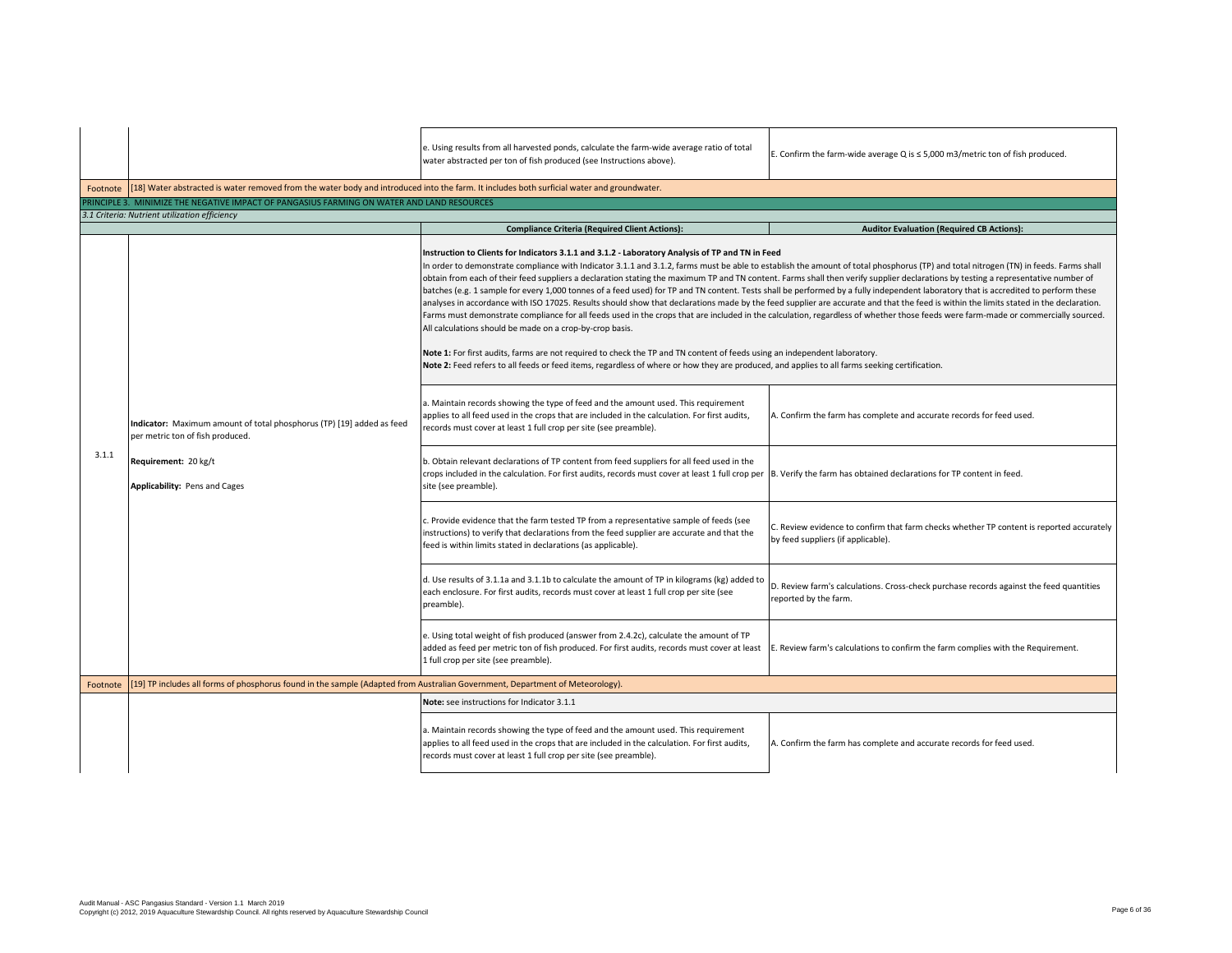|          |                                                                                                                                                                    | e. Using results from all harvested ponds, calculate the farm-wide average ratio of total<br>water abstracted per ton of fish produced (see Instructions above).                                                                                                                                                                                                                                                                                                                                                                                                                                                                                                                                                                                                                                                                                                                                                                                                                                                                                                                                                                                                                                                                                                                                                                                                                             | E. Confirm the farm-wide average Q is $\leq$ 5,000 m3/metric ton of fish produced.                                             |  |
|----------|--------------------------------------------------------------------------------------------------------------------------------------------------------------------|----------------------------------------------------------------------------------------------------------------------------------------------------------------------------------------------------------------------------------------------------------------------------------------------------------------------------------------------------------------------------------------------------------------------------------------------------------------------------------------------------------------------------------------------------------------------------------------------------------------------------------------------------------------------------------------------------------------------------------------------------------------------------------------------------------------------------------------------------------------------------------------------------------------------------------------------------------------------------------------------------------------------------------------------------------------------------------------------------------------------------------------------------------------------------------------------------------------------------------------------------------------------------------------------------------------------------------------------------------------------------------------------|--------------------------------------------------------------------------------------------------------------------------------|--|
|          | Footnote [18] Water abstracted is water removed from the water body and introduced into the farm. It includes both surficial water and groundwater.                |                                                                                                                                                                                                                                                                                                                                                                                                                                                                                                                                                                                                                                                                                                                                                                                                                                                                                                                                                                                                                                                                                                                                                                                                                                                                                                                                                                                              |                                                                                                                                |  |
|          | PRINCIPLE 3. MINIMIZE THE NEGATIVE IMPACT OF PANGASIUS FARMING ON WATER AND LAND RESOURCES                                                                         |                                                                                                                                                                                                                                                                                                                                                                                                                                                                                                                                                                                                                                                                                                                                                                                                                                                                                                                                                                                                                                                                                                                                                                                                                                                                                                                                                                                              |                                                                                                                                |  |
|          | 3.1 Criteria: Nutrient utilization efficiency                                                                                                                      |                                                                                                                                                                                                                                                                                                                                                                                                                                                                                                                                                                                                                                                                                                                                                                                                                                                                                                                                                                                                                                                                                                                                                                                                                                                                                                                                                                                              |                                                                                                                                |  |
|          |                                                                                                                                                                    | <b>Compliance Criteria (Required Client Actions):</b>                                                                                                                                                                                                                                                                                                                                                                                                                                                                                                                                                                                                                                                                                                                                                                                                                                                                                                                                                                                                                                                                                                                                                                                                                                                                                                                                        | <b>Auditor Evaluation (Required CB Actions):</b>                                                                               |  |
|          | Indicator: Maximum amount of total phosphorus (TP) [19] added as feed<br>per metric ton of fish produced.<br>Requirement: 20 kg/t<br>Applicability: Pens and Cages | Instruction to Clients for Indicators 3.1.1 and 3.1.2 - Laboratory Analysis of TP and TN in Feed<br>In order to demonstrate compliance with Indicator 3.1.1 and 3.1.2, farms must be able to establish the amount of total phosphorus (TP) and total nitrogen (TN) in feeds. Farms shall<br>obtain from each of their feed suppliers a declaration stating the maximum TP and TN content. Farms shall then verify supplier declarations by testing a representative number of<br>batches (e.g. 1 sample for every 1,000 tonnes of a feed used) for TP and TN content. Tests shall be performed by a fully independent laboratory that is accredited to perform these<br>analyses in accordance with ISO 17025. Results should show that declarations made by the feed supplier are accurate and that the feed is within the limits stated in the declaration.<br>Farms must demonstrate compliance for all feeds used in the crops that are included in the calculation, regardless of whether those feeds were farm-made or commercially sourced.<br>All calculations should be made on a crop-by-crop basis.<br>Note 1: For first audits, farms are not required to check the TP and TN content of feeds using an independent laboratory.<br>Note 2: Feed refers to all feeds or feed items, regardless of where or how they are produced, and applies to all farms seeking certification. |                                                                                                                                |  |
|          |                                                                                                                                                                    | a. Maintain records showing the type of feed and the amount used. This requirement<br>applies to all feed used in the crops that are included in the calculation. For first audits,<br>records must cover at least 1 full crop per site (see preamble).                                                                                                                                                                                                                                                                                                                                                                                                                                                                                                                                                                                                                                                                                                                                                                                                                                                                                                                                                                                                                                                                                                                                      | A. Confirm the farm has complete and accurate records for feed used.                                                           |  |
| 3.1.1    |                                                                                                                                                                    | b. Obtain relevant declarations of TP content from feed suppliers for all feed used in the<br>crops included in the calculation. For first audits, records must cover at least 1 full crop per B. Verify the farm has obtained declarations for TP content in feed.<br>site (see preamble).                                                                                                                                                                                                                                                                                                                                                                                                                                                                                                                                                                                                                                                                                                                                                                                                                                                                                                                                                                                                                                                                                                  |                                                                                                                                |  |
|          |                                                                                                                                                                    | c. Provide evidence that the farm tested TP from a representative sample of feeds (see<br>instructions) to verify that declarations from the feed supplier are accurate and that the<br>feed is within limits stated in declarations (as applicable).                                                                                                                                                                                                                                                                                                                                                                                                                                                                                                                                                                                                                                                                                                                                                                                                                                                                                                                                                                                                                                                                                                                                        | C. Review evidence to confirm that farm checks whether TP content is reported accurately<br>by feed suppliers (if applicable). |  |
|          |                                                                                                                                                                    | d. Use results of 3.1.1a and 3.1.1b to calculate the amount of TP in kilograms (kg) added to<br>each enclosure. For first audits, records must cover at least 1 full crop per site (see<br>preamble).                                                                                                                                                                                                                                                                                                                                                                                                                                                                                                                                                                                                                                                                                                                                                                                                                                                                                                                                                                                                                                                                                                                                                                                        | D. Review farm's calculations. Cross-check purchase records against the feed quantities<br>reported by the farm.               |  |
|          |                                                                                                                                                                    | e. Using total weight of fish produced (answer from 2.4.2c), calculate the amount of TP<br>added as feed per metric ton of fish produced. For first audits, records must cover at least<br>1 full crop per site (see preamble).                                                                                                                                                                                                                                                                                                                                                                                                                                                                                                                                                                                                                                                                                                                                                                                                                                                                                                                                                                                                                                                                                                                                                              | E. Review farm's calculations to confirm the farm complies with the Requirement.                                               |  |
| Footnote |                                                                                                                                                                    | [19] TP includes all forms of phosphorus found in the sample (Adapted from Australian Government, Department of Meteorology).                                                                                                                                                                                                                                                                                                                                                                                                                                                                                                                                                                                                                                                                                                                                                                                                                                                                                                                                                                                                                                                                                                                                                                                                                                                                |                                                                                                                                |  |
|          |                                                                                                                                                                    | Note: see instructions for Indicator 3.1.1                                                                                                                                                                                                                                                                                                                                                                                                                                                                                                                                                                                                                                                                                                                                                                                                                                                                                                                                                                                                                                                                                                                                                                                                                                                                                                                                                   |                                                                                                                                |  |
|          |                                                                                                                                                                    | a. Maintain records showing the type of feed and the amount used. This requirement<br>applies to all feed used in the crops that are included in the calculation. For first audits,<br>records must cover at least 1 full crop per site (see preamble).                                                                                                                                                                                                                                                                                                                                                                                                                                                                                                                                                                                                                                                                                                                                                                                                                                                                                                                                                                                                                                                                                                                                      | A. Confirm the farm has complete and accurate records for feed used.                                                           |  |
|          |                                                                                                                                                                    |                                                                                                                                                                                                                                                                                                                                                                                                                                                                                                                                                                                                                                                                                                                                                                                                                                                                                                                                                                                                                                                                                                                                                                                                                                                                                                                                                                                              |                                                                                                                                |  |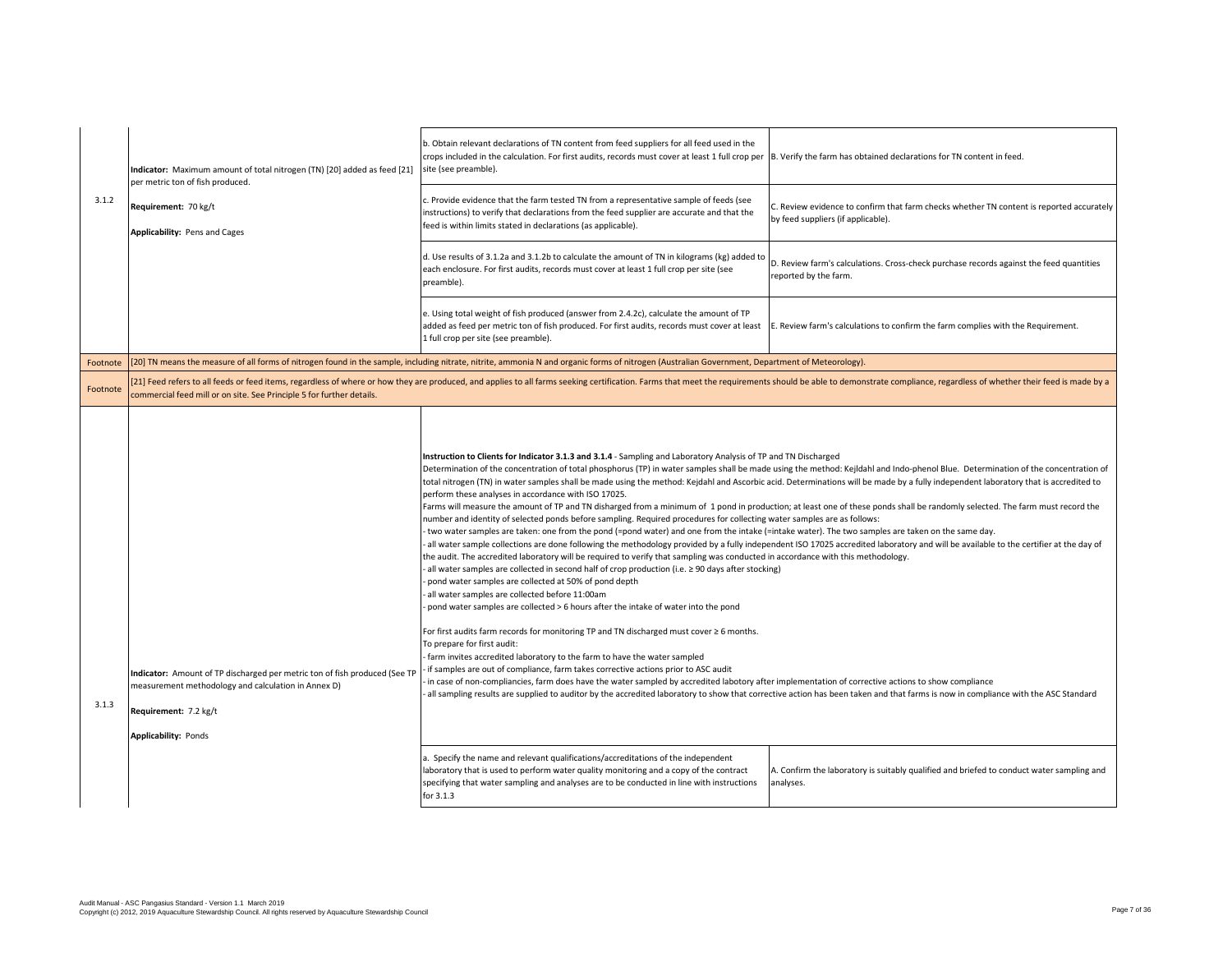|          | Indicator: Maximum amount of total nitrogen (TN) [20] added as feed [21]<br>per metric ton of fish produced.                                                                              | b. Obtain relevant declarations of TN content from feed suppliers for all feed used in the<br>crops included in the calculation. For first audits, records must cover at least 1 full crop per B. Verify the farm has obtained declarations for TN content in feed.<br>site (see preamble).                                                                                                                                                                                                                                                                                                                                                                                                                                                                                                                                                                                                                                                                                                                                                                                                                                                                                                                                                                                                                                                                                                                                                                                                                                                                                                                                                                                                                                                                                                                                                                                                                                                                                                                                                                                                                                                                                                                                                                                                             |                                                                                                                                |  |
|----------|-------------------------------------------------------------------------------------------------------------------------------------------------------------------------------------------|---------------------------------------------------------------------------------------------------------------------------------------------------------------------------------------------------------------------------------------------------------------------------------------------------------------------------------------------------------------------------------------------------------------------------------------------------------------------------------------------------------------------------------------------------------------------------------------------------------------------------------------------------------------------------------------------------------------------------------------------------------------------------------------------------------------------------------------------------------------------------------------------------------------------------------------------------------------------------------------------------------------------------------------------------------------------------------------------------------------------------------------------------------------------------------------------------------------------------------------------------------------------------------------------------------------------------------------------------------------------------------------------------------------------------------------------------------------------------------------------------------------------------------------------------------------------------------------------------------------------------------------------------------------------------------------------------------------------------------------------------------------------------------------------------------------------------------------------------------------------------------------------------------------------------------------------------------------------------------------------------------------------------------------------------------------------------------------------------------------------------------------------------------------------------------------------------------------------------------------------------------------------------------------------------------|--------------------------------------------------------------------------------------------------------------------------------|--|
| 3.1.2    | Requirement: 70 kg/t<br>Applicability: Pens and Cages                                                                                                                                     | c. Provide evidence that the farm tested TN from a representative sample of feeds (see<br>instructions) to verify that declarations from the feed supplier are accurate and that the<br>feed is within limits stated in declarations (as applicable).                                                                                                                                                                                                                                                                                                                                                                                                                                                                                                                                                                                                                                                                                                                                                                                                                                                                                                                                                                                                                                                                                                                                                                                                                                                                                                                                                                                                                                                                                                                                                                                                                                                                                                                                                                                                                                                                                                                                                                                                                                                   | C. Review evidence to confirm that farm checks whether TN content is reported accurately<br>by feed suppliers (if applicable). |  |
|          |                                                                                                                                                                                           | d. Use results of 3.1.2a and 3.1.2b to calculate the amount of TN in kilograms (kg) added to<br>each enclosure. For first audits, records must cover at least 1 full crop per site (see<br>preamble).                                                                                                                                                                                                                                                                                                                                                                                                                                                                                                                                                                                                                                                                                                                                                                                                                                                                                                                                                                                                                                                                                                                                                                                                                                                                                                                                                                                                                                                                                                                                                                                                                                                                                                                                                                                                                                                                                                                                                                                                                                                                                                   | D. Review farm's calculations. Cross-check purchase records against the feed quantities<br>reported by the farm.               |  |
|          |                                                                                                                                                                                           | e. Using total weight of fish produced (answer from 2.4.2c), calculate the amount of TP<br>added as feed per metric ton of fish produced. For first audits, records must cover at least<br>1 full crop per site (see preamble).                                                                                                                                                                                                                                                                                                                                                                                                                                                                                                                                                                                                                                                                                                                                                                                                                                                                                                                                                                                                                                                                                                                                                                                                                                                                                                                                                                                                                                                                                                                                                                                                                                                                                                                                                                                                                                                                                                                                                                                                                                                                         | E. Review farm's calculations to confirm the farm complies with the Requirement.                                               |  |
| Footnote |                                                                                                                                                                                           | [20] TN means the measure of all forms of nitrogen found in the sample, including nitrate, nitrite, ammonia N and organic forms of nitrogen (Australian Government, Department of Meteorology).                                                                                                                                                                                                                                                                                                                                                                                                                                                                                                                                                                                                                                                                                                                                                                                                                                                                                                                                                                                                                                                                                                                                                                                                                                                                                                                                                                                                                                                                                                                                                                                                                                                                                                                                                                                                                                                                                                                                                                                                                                                                                                         |                                                                                                                                |  |
| Footnote | commercial feed mill or on site. See Principle 5 for further details.                                                                                                                     | [21] Feed refers to all feeds or feed items, regardless of where or how they are produced, and applies to all farms seeking certification. Farms that meet the requirements should be able to demonstrate compliance, regardle                                                                                                                                                                                                                                                                                                                                                                                                                                                                                                                                                                                                                                                                                                                                                                                                                                                                                                                                                                                                                                                                                                                                                                                                                                                                                                                                                                                                                                                                                                                                                                                                                                                                                                                                                                                                                                                                                                                                                                                                                                                                          |                                                                                                                                |  |
| 3.1.3    | Indicator: Amount of TP discharged per metric ton of fish produced (See TF<br>measurement methodology and calculation in Annex D)<br>Requirement: 7.2 kg/t<br><b>Applicability: Ponds</b> | Instruction to Clients for Indicator 3.1.3 and 3.1.4 - Sampling and Laboratory Analysis of TP and TN Discharged<br>Determination of the concentration of total phosphorus (TP) in water samples shall be made using the method: Kejldahl and Indo-phenol Blue. Determination of the concentration of<br>total nitrogen (TN) in water samples shall be made using the method: Kejdahl and Ascorbic acid. Determinations will be made by a fully independent laboratory that is accredited to<br>perform these analyses in accordance with ISO 17025.<br>Farms will measure the amount of TP and TN disharged from a minimum of 1 pond in production; at least one of these ponds shall be randomly selected. The farm must record the<br>number and identity of selected ponds before sampling. Required procedures for collecting water samples are as follows:<br>two water samples are taken: one from the pond (=pond water) and one from the intake (=intake water). The two samples are taken on the same day.<br>all water sample collections are done following the methodology provided by a fully independent ISO 17025 accredited laboratory and will be available to the certifier at the day of<br>the audit. The accredited laboratory will be required to verify that sampling was conducted in accordance with this methodology.<br>all water samples are collected in second half of crop production (i.e. $\geq$ 90 days after stocking)<br>pond water samples are collected at 50% of pond depth<br>all water samples are collected before 11:00am<br>pond water samples are collected > 6 hours after the intake of water into the pond<br>For first audits farm records for monitoring TP and TN discharged must cover $\geq 6$ months.<br>To prepare for first audit:<br>farm invites accredited laboratory to the farm to have the water sampled<br>if samples are out of compliance, farm takes corrective actions prior to ASC audit<br>in case of non-compliancies, farm does have the water sampled by accredited labotory after implementation of corrective actions to show compliance<br>all sampling results are supplied to auditor by the accredited laboratory to show that corrective action has been taken and that farms is now in compliance with the ASC Standard |                                                                                                                                |  |
|          |                                                                                                                                                                                           | a. Specify the name and relevant qualifications/accreditations of the independent<br>laboratory that is used to perform water quality monitoring and a copy of the contract<br>specifying that water sampling and analyses are to be conducted in line with instructions<br>for $3.1.3$                                                                                                                                                                                                                                                                                                                                                                                                                                                                                                                                                                                                                                                                                                                                                                                                                                                                                                                                                                                                                                                                                                                                                                                                                                                                                                                                                                                                                                                                                                                                                                                                                                                                                                                                                                                                                                                                                                                                                                                                                 | A. Confirm the laboratory is suitably qualified and briefed to conduct water sampling and<br>analyses.                         |  |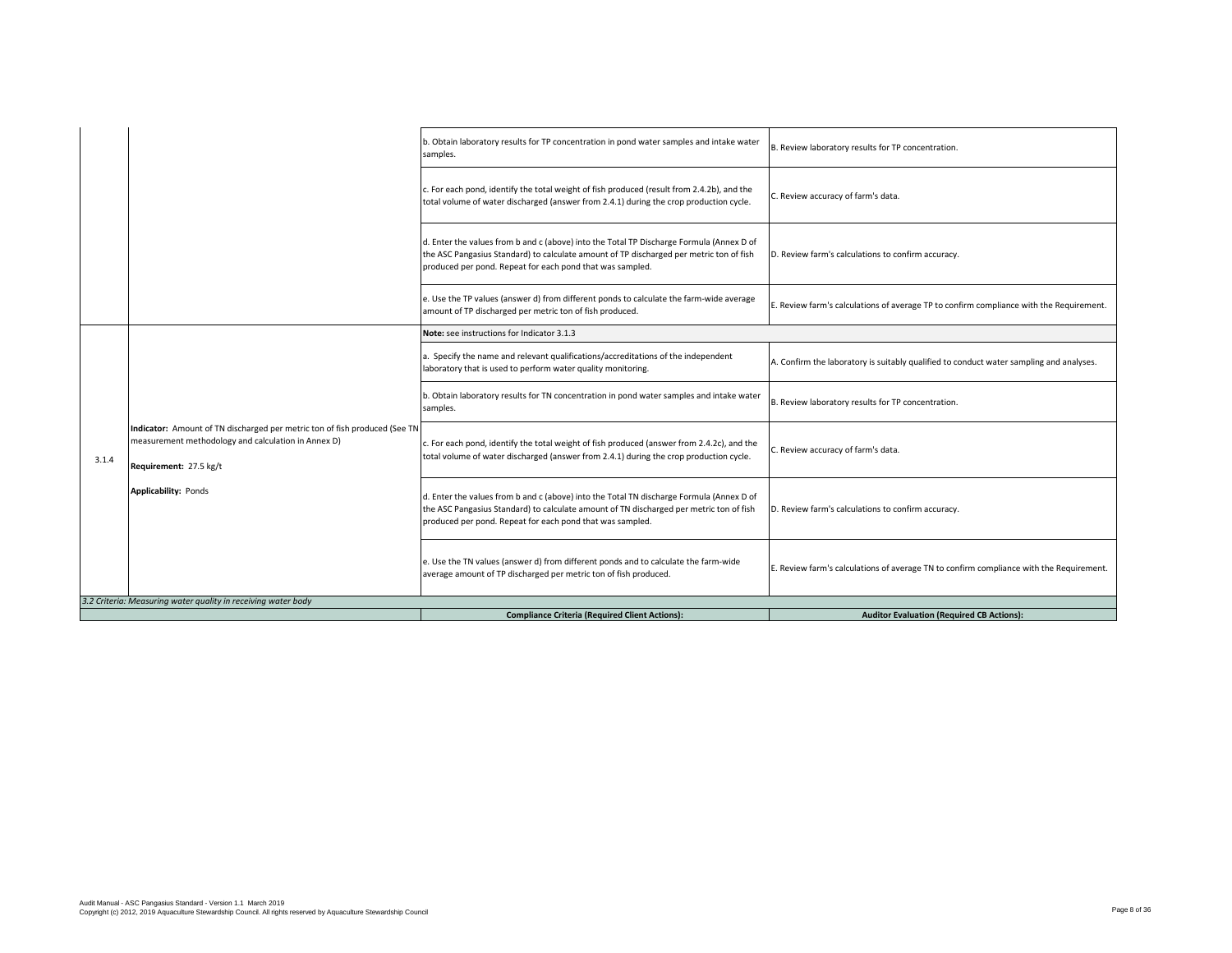|       |                                                                                                                                                                                            | b. Obtain laboratory results for TP concentration in pond water samples and intake water<br>samples.                                                                                                                                             | B. Review laboratory results for TP concentration.                                      |
|-------|--------------------------------------------------------------------------------------------------------------------------------------------------------------------------------------------|--------------------------------------------------------------------------------------------------------------------------------------------------------------------------------------------------------------------------------------------------|-----------------------------------------------------------------------------------------|
|       |                                                                                                                                                                                            | c. For each pond, identify the total weight of fish produced (result from 2.4.2b), and the<br>total volume of water discharged (answer from 2.4.1) during the crop production cycle.                                                             | C. Review accuracy of farm's data.                                                      |
|       |                                                                                                                                                                                            | d. Enter the values from b and c (above) into the Total TP Discharge Formula (Annex D of<br>the ASC Pangasius Standard) to calculate amount of TP discharged per metric ton of fish<br>produced per pond. Repeat for each pond that was sampled. | D. Review farm's calculations to confirm accuracy.                                      |
|       |                                                                                                                                                                                            | e. Use the TP values (answer d) from different ponds to calculate the farm-wide average<br>amount of TP discharged per metric ton of fish produced.                                                                                              | E. Review farm's calculations of average TP to confirm compliance with the Requirement. |
|       |                                                                                                                                                                                            | Note: see instructions for Indicator 3.1.3                                                                                                                                                                                                       |                                                                                         |
|       |                                                                                                                                                                                            | a. Specify the name and relevant qualifications/accreditations of the independent<br>laboratory that is used to perform water quality monitoring.                                                                                                | A. Confirm the laboratory is suitably qualified to conduct water sampling and analyses. |
|       |                                                                                                                                                                                            | b. Obtain laboratory results for TN concentration in pond water samples and intake water<br>samples.                                                                                                                                             | B. Review laboratory results for TP concentration.                                      |
| 3.1.4 | Indicator: Amount of TN discharged per metric ton of fish produced (See TN<br>measurement methodology and calculation in Annex D)<br>Requirement: 27.5 kg/t<br><b>Applicability: Ponds</b> | c. For each pond, identify the total weight of fish produced (answer from 2.4.2c), and the<br>total volume of water discharged (answer from 2.4.1) during the crop production cycle.                                                             | C. Review accuracy of farm's data.                                                      |
|       |                                                                                                                                                                                            | d. Enter the values from b and c (above) into the Total TN discharge Formula (Annex D of<br>the ASC Pangasius Standard) to calculate amount of TN discharged per metric ton of fish<br>produced per pond. Repeat for each pond that was sampled. | D. Review farm's calculations to confirm accuracy.                                      |
|       |                                                                                                                                                                                            | e. Use the TN values (answer d) from different ponds and to calculate the farm-wide<br>average amount of TP discharged per metric ton of fish produced.                                                                                          | E. Review farm's calculations of average TN to confirm compliance with the Requirement. |
|       | 3.2 Criteria: Measuring water quality in receiving water body                                                                                                                              |                                                                                                                                                                                                                                                  |                                                                                         |
|       |                                                                                                                                                                                            | <b>Compliance Criteria (Required Client Actions):</b>                                                                                                                                                                                            | <b>Auditor Evaluation (Required CB Actions):</b>                                        |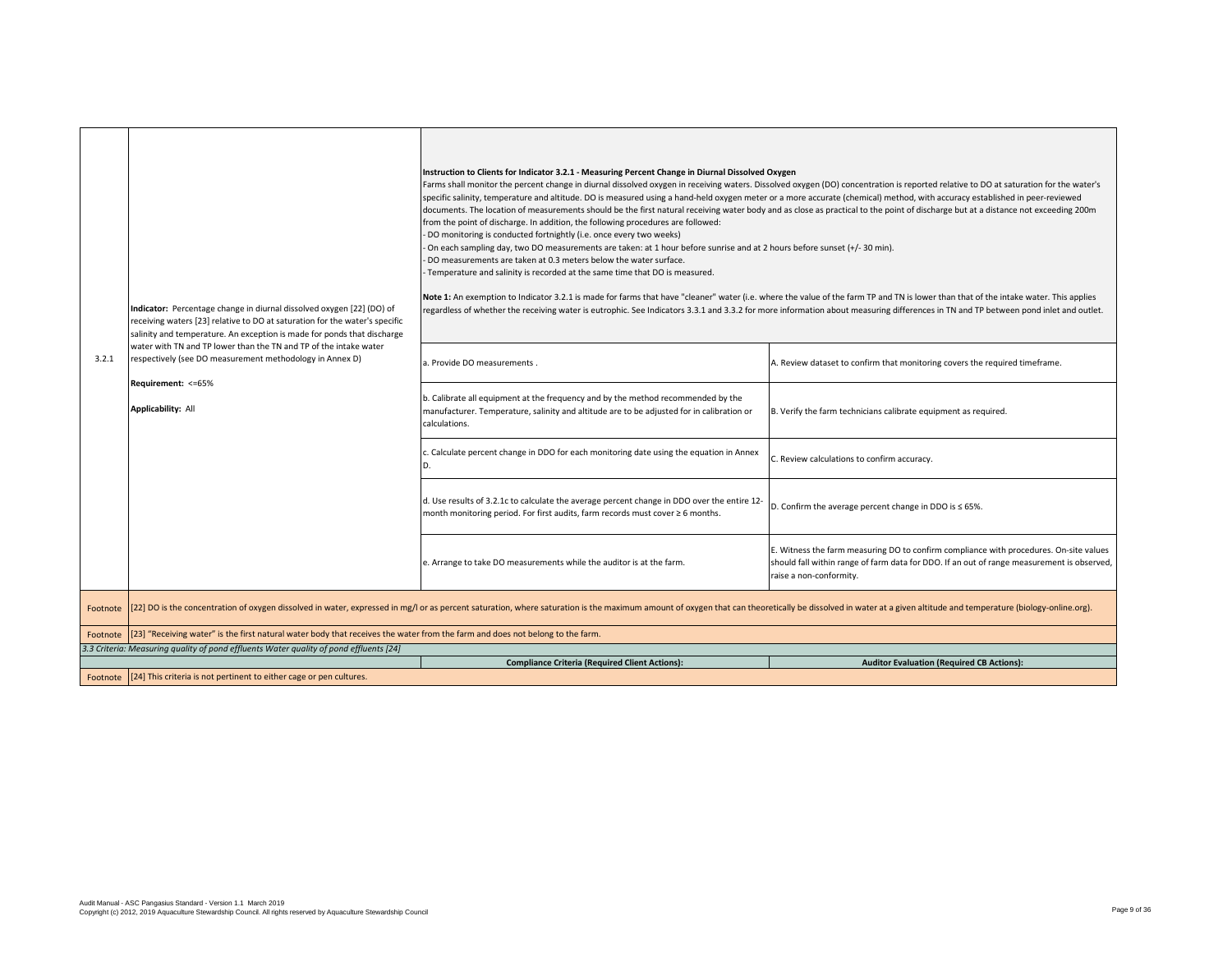| 3.2.1    | Indicator: Percentage change in diurnal dissolved oxygen [22] (DO) of<br>receiving waters [23] relative to DO at saturation for the water's specific<br>salinity and temperature. An exception is made for ponds that discharge<br>water with TN and TP lower than the TN and TP of the intake water<br>respectively (see DO measurement methodology in Annex D)<br>Requirement: <= 65%<br>Applicability: All | Instruction to Clients for Indicator 3.2.1 - Measuring Percent Change in Diurnal Dissolved Oxygen<br>Farms shall monitor the percent change in diurnal dissolved oxygen in receiving waters. Dissolved oxygen (DO) concentration is reported relative to DO at saturation for the water's<br>specific salinity, temperature and altitude. DO is measured using a hand-held oxygen meter or a more accurate (chemical) method, with accuracy established in peer-reviewed<br>documents. The location of measurements should be the first natural receiving water body and as close as practical to the point of discharge but at a distance not exceeding 200m<br>from the point of discharge. In addition, the following procedures are followed:<br>DO monitoring is conducted fortnightly (i.e. once every two weeks)<br>On each sampling day, two DO measurements are taken: at 1 hour before sunrise and at 2 hours before sunset (+/- 30 min).<br>DO measurements are taken at 0.3 meters below the water surface.<br>Temperature and salinity is recorded at the same time that DO is measured.<br>Note 1: An exemption to Indicator 3.2.1 is made for farms that have "cleaner" water (i.e. where the value of the farm TP and TN is lower than that of the intake water. This applies<br>regardless of whether the receiving water is eutrophic. See Indicators 3.3.1 and 3.3.2 for more information about measuring differences in TN and TP between pond inlet and outlet.<br>a. Provide DO measurements.<br>b. Calibrate all equipment at the frequency and by the method recommended by the<br>manufacturer. Temperature, salinity and altitude are to be adjusted for in calibration or<br>calculations.<br>. Calculate percent change in DDO for each monitoring date using the equation in Annex<br>D.<br>d. Use results of 3.2.1c to calculate the average percent change in DDO over the entire 12-<br>month monitoring period. For first audits, farm records must cover ≥ 6 months.<br>e. Arrange to take DO measurements while the auditor is at the farm. | A. Review dataset to confirm that monitoring covers the required timeframe.<br>B. Verify the farm technicians calibrate equipment as required.<br>C. Review calculations to confirm accuracy.<br>D. Confirm the average percent change in DDO is $\leq$ 65%.<br>E. Witness the farm measuring DO to confirm compliance with procedures. On-site values<br>should fall within range of farm data for DDO. If an out of range measurement is observed,<br>raise a non-conformity. |  |
|----------|---------------------------------------------------------------------------------------------------------------------------------------------------------------------------------------------------------------------------------------------------------------------------------------------------------------------------------------------------------------------------------------------------------------|--------------------------------------------------------------------------------------------------------------------------------------------------------------------------------------------------------------------------------------------------------------------------------------------------------------------------------------------------------------------------------------------------------------------------------------------------------------------------------------------------------------------------------------------------------------------------------------------------------------------------------------------------------------------------------------------------------------------------------------------------------------------------------------------------------------------------------------------------------------------------------------------------------------------------------------------------------------------------------------------------------------------------------------------------------------------------------------------------------------------------------------------------------------------------------------------------------------------------------------------------------------------------------------------------------------------------------------------------------------------------------------------------------------------------------------------------------------------------------------------------------------------------------------------------------------------------------------------------------------------------------------------------------------------------------------------------------------------------------------------------------------------------------------------------------------------------------------------------------------------------------------------------------------------------------------------------------------------------------------------------------------------------------------------------------------------------------|---------------------------------------------------------------------------------------------------------------------------------------------------------------------------------------------------------------------------------------------------------------------------------------------------------------------------------------------------------------------------------------------------------------------------------------------------------------------------------|--|
| Footnote |                                                                                                                                                                                                                                                                                                                                                                                                               | [22] DO is the concentration of oxygen dissolved in water, expressed in mg/l or as percent saturation, where saturation is the maximum amount of oxygen that can theoretically be dissolved in water at a given altitude and t                                                                                                                                                                                                                                                                                                                                                                                                                                                                                                                                                                                                                                                                                                                                                                                                                                                                                                                                                                                                                                                                                                                                                                                                                                                                                                                                                                                                                                                                                                                                                                                                                                                                                                                                                                                                                                                 |                                                                                                                                                                                                                                                                                                                                                                                                                                                                                 |  |
| Footnote | [23] "Receiving water" is the first natural water body that receives the water from the farm and does not belong to the farm.                                                                                                                                                                                                                                                                                 |                                                                                                                                                                                                                                                                                                                                                                                                                                                                                                                                                                                                                                                                                                                                                                                                                                                                                                                                                                                                                                                                                                                                                                                                                                                                                                                                                                                                                                                                                                                                                                                                                                                                                                                                                                                                                                                                                                                                                                                                                                                                                |                                                                                                                                                                                                                                                                                                                                                                                                                                                                                 |  |
|          | 3.3 Criteria: Measuring quality of pond effluents Water quality of pond effluents [24]                                                                                                                                                                                                                                                                                                                        |                                                                                                                                                                                                                                                                                                                                                                                                                                                                                                                                                                                                                                                                                                                                                                                                                                                                                                                                                                                                                                                                                                                                                                                                                                                                                                                                                                                                                                                                                                                                                                                                                                                                                                                                                                                                                                                                                                                                                                                                                                                                                |                                                                                                                                                                                                                                                                                                                                                                                                                                                                                 |  |
|          |                                                                                                                                                                                                                                                                                                                                                                                                               | <b>Compliance Criteria (Required Client Actions):</b>                                                                                                                                                                                                                                                                                                                                                                                                                                                                                                                                                                                                                                                                                                                                                                                                                                                                                                                                                                                                                                                                                                                                                                                                                                                                                                                                                                                                                                                                                                                                                                                                                                                                                                                                                                                                                                                                                                                                                                                                                          | <b>Auditor Evaluation (Required CB Actions):</b>                                                                                                                                                                                                                                                                                                                                                                                                                                |  |
|          | Footnote [24] This criteria is not pertinent to either cage or pen cultures.                                                                                                                                                                                                                                                                                                                                  |                                                                                                                                                                                                                                                                                                                                                                                                                                                                                                                                                                                                                                                                                                                                                                                                                                                                                                                                                                                                                                                                                                                                                                                                                                                                                                                                                                                                                                                                                                                                                                                                                                                                                                                                                                                                                                                                                                                                                                                                                                                                                |                                                                                                                                                                                                                                                                                                                                                                                                                                                                                 |  |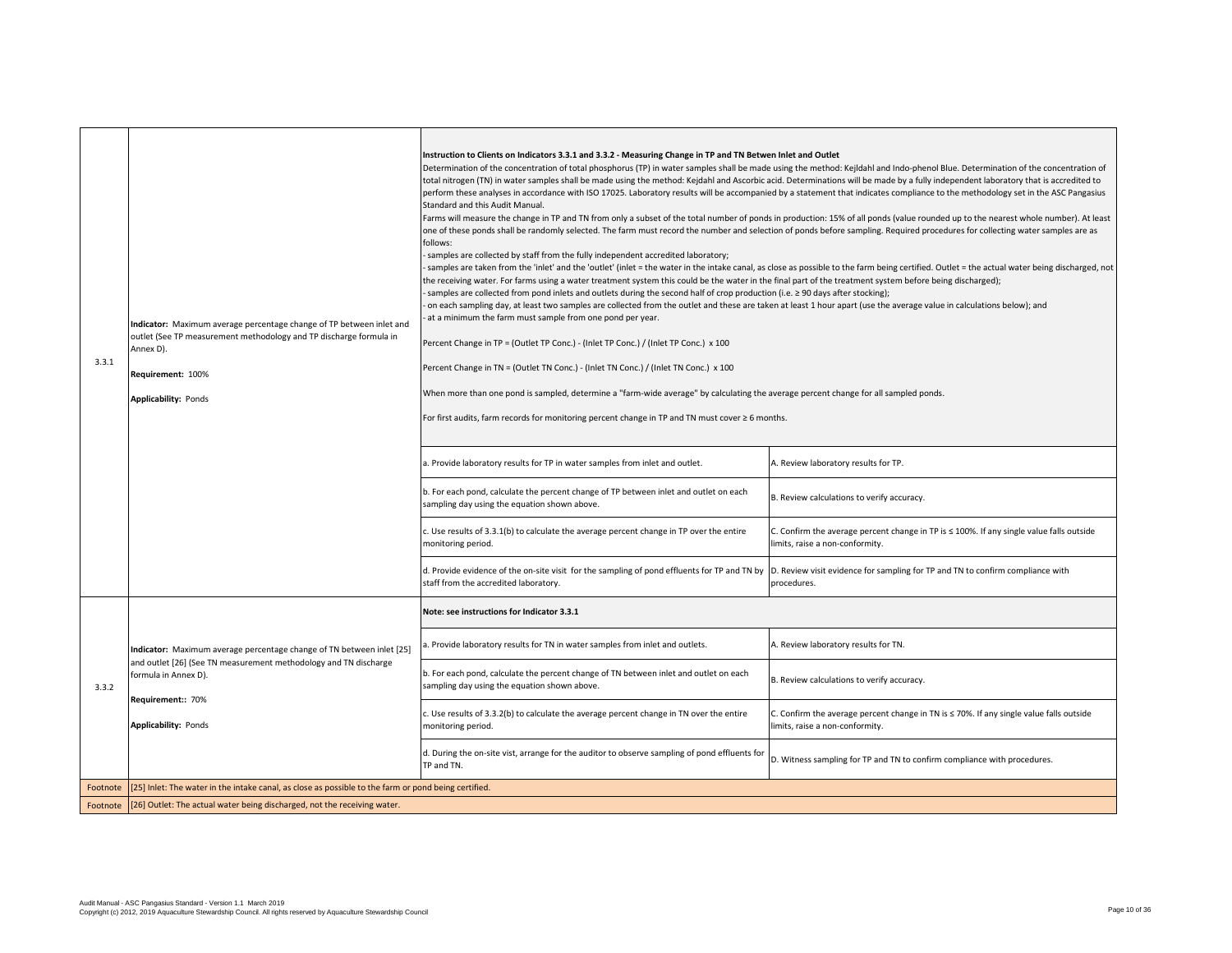| 3.3.1    | Indicator: Maximum average percentage change of TP between inlet and<br>outlet (See TP measurement methodology and TP discharge formula in<br>Annex D).<br>Requirement: 100%<br><b>Applicability: Ponds</b> | Instruction to Clients on Indicators 3.3.1 and 3.3.2 - Measuring Change in TP and TN Betwen Inlet and Outlet<br>Determination of the concentration of total phosphorus (TP) in water samples shall be made using the method: Kejldahl and Indo-phenol Blue. Determination of the concentration of<br>total nitrogen (TN) in water samples shall be made using the method: Kejdahl and Ascorbic acid. Determinations will be made by a fully independent laboratory that is accredited to<br>perform these analyses in accordance with ISO 17025. Laboratory results will be accompanied by a statement that indicates compliance to the methodology set in the ASC Pangasius<br>Standard and this Audit Manual.<br>Farms will measure the change in TP and TN from only a subset of the total number of ponds in production: 15% of all ponds (value rounded up to the nearest whole number). At least<br>one of these ponds shall be randomly selected. The farm must record the number and selection of ponds before sampling. Required procedures for collecting water samples are as<br>follows:<br>samples are collected by staff from the fully independent accredited laboratory;<br>the receiving water. For farms using a water treatment system this could be the water in the final part of the treatment system before being discharged);<br>samples are collected from pond inlets and outlets during the second half of crop production (i.e. ≥ 90 days after stocking);<br>on each sampling day, at least two samples are collected from the outlet and these are taken at least 1 hour apart (use the average value in calculations below); and<br>at a minimum the farm must sample from one pond per year.<br>Percent Change in TP = (Outlet TP Conc.) - (Inlet TP Conc.) / (Inlet TP Conc.) x 100<br>Percent Change in TN = (Outlet TN Conc.) - (Inlet TN Conc.) / (Inlet TN Conc.) x 100<br>When more than one pond is sampled, determine a "farm-wide average" by calculating the average percent change for all sampled ponds.<br>For first audits, farm records for monitoring percent change in TP and TN must cover $\geq 6$ months.<br>a. Provide laboratory results for TP in water samples from inlet and outlet.<br>b. For each pond, calculate the percent change of TP between inlet and outlet on each<br>sampling day using the equation shown above.<br>c. Use results of 3.3.1(b) to calculate the average percent change in TP over the entire<br>monitoring period.<br>d. Provide evidence of the on-site visit for the sampling of pond effluents for TP and TN by<br>staff from the accredited laboratory. | samples are taken from the 'inlet' and the 'outlet' (inlet = the water in the intake canal, as close as possible to the farm being certified. Outlet = the actual water being discharged, not<br>A. Review laboratory results for TP.<br>B. Review calculations to verify accuracy.<br>C. Confirm the average percent change in TP is $\leq$ 100%. If any single value falls outside<br>limits, raise a non-conformity.<br>D. Review visit evidence for sampling for TP and TN to confirm compliance with<br>procedures. |
|----------|-------------------------------------------------------------------------------------------------------------------------------------------------------------------------------------------------------------|---------------------------------------------------------------------------------------------------------------------------------------------------------------------------------------------------------------------------------------------------------------------------------------------------------------------------------------------------------------------------------------------------------------------------------------------------------------------------------------------------------------------------------------------------------------------------------------------------------------------------------------------------------------------------------------------------------------------------------------------------------------------------------------------------------------------------------------------------------------------------------------------------------------------------------------------------------------------------------------------------------------------------------------------------------------------------------------------------------------------------------------------------------------------------------------------------------------------------------------------------------------------------------------------------------------------------------------------------------------------------------------------------------------------------------------------------------------------------------------------------------------------------------------------------------------------------------------------------------------------------------------------------------------------------------------------------------------------------------------------------------------------------------------------------------------------------------------------------------------------------------------------------------------------------------------------------------------------------------------------------------------------------------------------------------------------------------------------------------------------------------------------------------------------------------------------------------------------------------------------------------------------------------------------------------------------------------------------------------------------------------------------------------------------------------------------------------------------------------------------------------------------------------------------------------------------------------------------------------------------------------------------------|--------------------------------------------------------------------------------------------------------------------------------------------------------------------------------------------------------------------------------------------------------------------------------------------------------------------------------------------------------------------------------------------------------------------------------------------------------------------------------------------------------------------------|
|          |                                                                                                                                                                                                             | Note: see instructions for Indicator 3.3.1                                                                                                                                                                                                                                                                                                                                                                                                                                                                                                                                                                                                                                                                                                                                                                                                                                                                                                                                                                                                                                                                                                                                                                                                                                                                                                                                                                                                                                                                                                                                                                                                                                                                                                                                                                                                                                                                                                                                                                                                                                                                                                                                                                                                                                                                                                                                                                                                                                                                                                                                                                                                        |                                                                                                                                                                                                                                                                                                                                                                                                                                                                                                                          |
|          | Indicator: Maximum average percentage change of TN between inlet [25]                                                                                                                                       | 1. Provide laboratory results for TN in water samples from inlet and outlets.                                                                                                                                                                                                                                                                                                                                                                                                                                                                                                                                                                                                                                                                                                                                                                                                                                                                                                                                                                                                                                                                                                                                                                                                                                                                                                                                                                                                                                                                                                                                                                                                                                                                                                                                                                                                                                                                                                                                                                                                                                                                                                                                                                                                                                                                                                                                                                                                                                                                                                                                                                     | A. Review laboratory results for TN.                                                                                                                                                                                                                                                                                                                                                                                                                                                                                     |
| 3.3.2    | and outlet [26] (See TN measurement methodology and TN discharge<br>formula in Annex D).                                                                                                                    | b. For each pond, calculate the percent change of TN between inlet and outlet on each<br>sampling day using the equation shown above.                                                                                                                                                                                                                                                                                                                                                                                                                                                                                                                                                                                                                                                                                                                                                                                                                                                                                                                                                                                                                                                                                                                                                                                                                                                                                                                                                                                                                                                                                                                                                                                                                                                                                                                                                                                                                                                                                                                                                                                                                                                                                                                                                                                                                                                                                                                                                                                                                                                                                                             | B. Review calculations to verify accuracy.                                                                                                                                                                                                                                                                                                                                                                                                                                                                               |
|          | Requirement:: 70%<br><b>Applicability: Ponds</b>                                                                                                                                                            | . Use results of 3.3.2(b) to calculate the average percent change in TN over the entire<br>monitoring period.                                                                                                                                                                                                                                                                                                                                                                                                                                                                                                                                                                                                                                                                                                                                                                                                                                                                                                                                                                                                                                                                                                                                                                                                                                                                                                                                                                                                                                                                                                                                                                                                                                                                                                                                                                                                                                                                                                                                                                                                                                                                                                                                                                                                                                                                                                                                                                                                                                                                                                                                     | C. Confirm the average percent change in TN is ≤ 70%. If any single value falls outside<br>limits, raise a non-conformity.                                                                                                                                                                                                                                                                                                                                                                                               |
|          |                                                                                                                                                                                                             | d. During the on-site vist, arrange for the auditor to observe sampling of pond effluents for<br>TP and TN.                                                                                                                                                                                                                                                                                                                                                                                                                                                                                                                                                                                                                                                                                                                                                                                                                                                                                                                                                                                                                                                                                                                                                                                                                                                                                                                                                                                                                                                                                                                                                                                                                                                                                                                                                                                                                                                                                                                                                                                                                                                                                                                                                                                                                                                                                                                                                                                                                                                                                                                                       | D. Witness sampling for TP and TN to confirm compliance with procedures.                                                                                                                                                                                                                                                                                                                                                                                                                                                 |
| Footnote | [25] Inlet: The water in the intake canal, as close as possible to the farm or pond being certified.                                                                                                        |                                                                                                                                                                                                                                                                                                                                                                                                                                                                                                                                                                                                                                                                                                                                                                                                                                                                                                                                                                                                                                                                                                                                                                                                                                                                                                                                                                                                                                                                                                                                                                                                                                                                                                                                                                                                                                                                                                                                                                                                                                                                                                                                                                                                                                                                                                                                                                                                                                                                                                                                                                                                                                                   |                                                                                                                                                                                                                                                                                                                                                                                                                                                                                                                          |
|          | Footnote [26] Outlet: The actual water being discharged, not the receiving water.                                                                                                                           |                                                                                                                                                                                                                                                                                                                                                                                                                                                                                                                                                                                                                                                                                                                                                                                                                                                                                                                                                                                                                                                                                                                                                                                                                                                                                                                                                                                                                                                                                                                                                                                                                                                                                                                                                                                                                                                                                                                                                                                                                                                                                                                                                                                                                                                                                                                                                                                                                                                                                                                                                                                                                                                   |                                                                                                                                                                                                                                                                                                                                                                                                                                                                                                                          |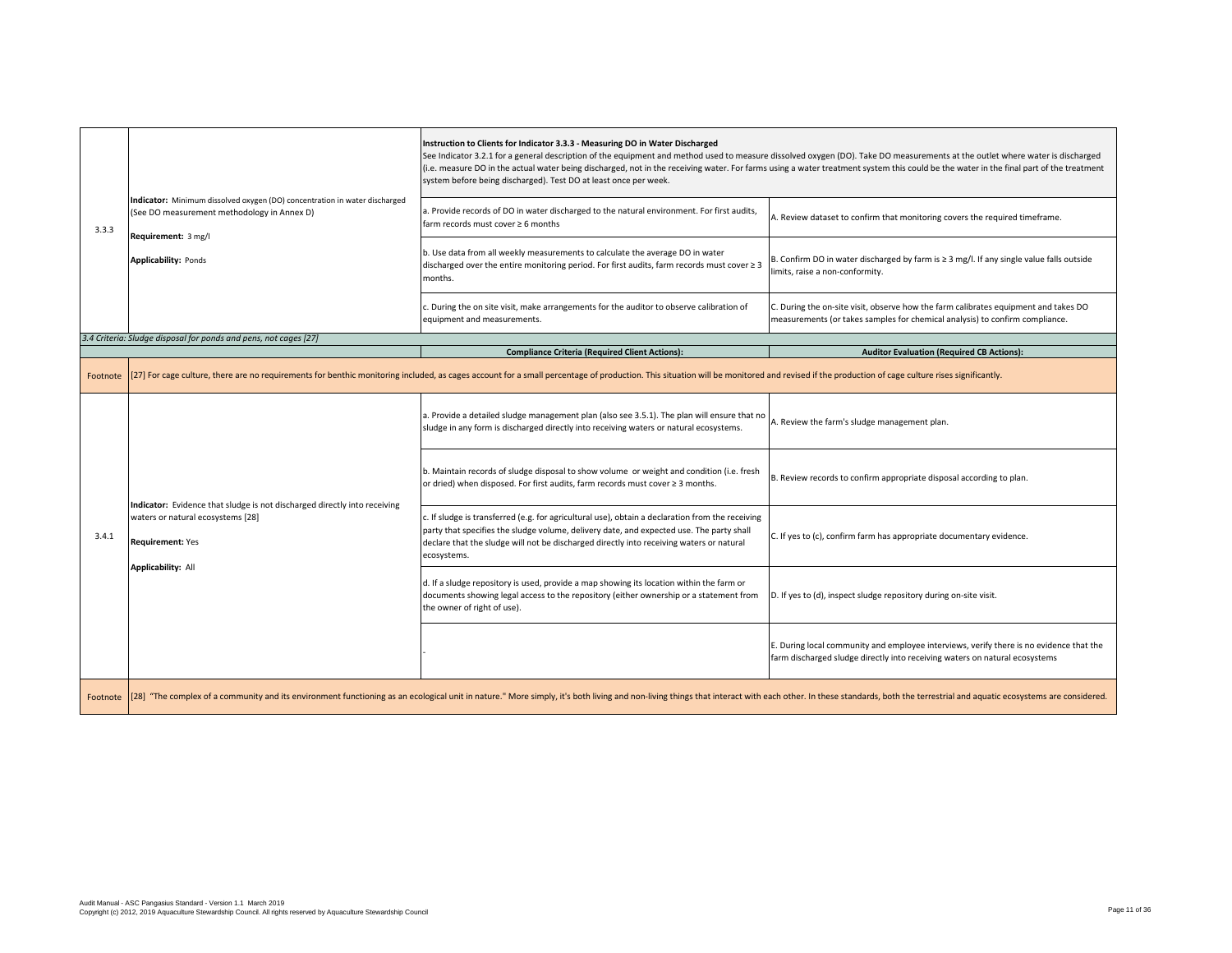| 3.3.3 |                                                                                                                                                                                                                                | Instruction to Clients for Indicator 3.3.3 - Measuring DO in Water Discharged<br>See Indicator 3.2.1 for a general description of the equipment and method used to measure dissolved oxygen (DO). Take DO measurements at the outlet where water is discharged<br>(i.e. measure DO in the actual water being discharged, not in the receiving water. For farms using a water treatment system this could be the water in the final part of the treatment<br>system before being discharged). Test DO at least once per week. |                                                                                                                                                                        |
|-------|--------------------------------------------------------------------------------------------------------------------------------------------------------------------------------------------------------------------------------|------------------------------------------------------------------------------------------------------------------------------------------------------------------------------------------------------------------------------------------------------------------------------------------------------------------------------------------------------------------------------------------------------------------------------------------------------------------------------------------------------------------------------|------------------------------------------------------------------------------------------------------------------------------------------------------------------------|
|       | Indicator: Minimum dissolved oxygen (DO) concentration in water discharged<br>(See DO measurement methodology in Annex D)                                                                                                      | a. Provide records of DO in water discharged to the natural environment. For first audits,<br>farm records must cover ≥ 6 months                                                                                                                                                                                                                                                                                                                                                                                             | A. Review dataset to confirm that monitoring covers the required timeframe.                                                                                            |
|       | Requirement: 3 mg/l<br><b>Applicability: Ponds</b>                                                                                                                                                                             | b. Use data from all weekly measurements to calculate the average DO in water<br>discharged over the entire monitoring period. For first audits, farm records must cover $\geq 3$<br>months.                                                                                                                                                                                                                                                                                                                                 | B. Confirm DO in water discharged by farm is $\geq 3$ mg/l. If any single value falls outside<br>limits, raise a non-conformity.                                       |
|       |                                                                                                                                                                                                                                | c. During the on site visit, make arrangements for the auditor to observe calibration of<br>equipment and measurements.                                                                                                                                                                                                                                                                                                                                                                                                      | C. During the on-site visit, observe how the farm calibrates equipment and takes DO<br>measurements (or takes samples for chemical analysis) to confirm compliance.    |
|       | 3.4 Criteria: Sludge disposal for ponds and pens, not cages [27]                                                                                                                                                               |                                                                                                                                                                                                                                                                                                                                                                                                                                                                                                                              |                                                                                                                                                                        |
|       |                                                                                                                                                                                                                                | <b>Compliance Criteria (Required Client Actions):</b>                                                                                                                                                                                                                                                                                                                                                                                                                                                                        | <b>Auditor Evaluation (Required CB Actions):</b>                                                                                                                       |
|       |                                                                                                                                                                                                                                | Footnote [27] For cage culture, there are no requirements for benthic monitoring included, as cages account for a small percentage of production. This situation will be monitored and revised if the production of cage cultu                                                                                                                                                                                                                                                                                               |                                                                                                                                                                        |
| 3.4.1 | Indicator: Evidence that sludge is not discharged directly into receiving<br>waters or natural ecosystems [28]<br><b>Requirement: Yes</b><br><b>Applicability: All</b>                                                         | a. Provide a detailed sludge management plan (also see 3.5.1). The plan will ensure that no<br>sludge in any form is discharged directly into receiving waters or natural ecosystems.                                                                                                                                                                                                                                                                                                                                        | A. Review the farm's sludge management plan.                                                                                                                           |
|       |                                                                                                                                                                                                                                | b. Maintain records of sludge disposal to show volume or weight and condition (i.e. fresh<br>or dried) when disposed. For first audits, farm records must cover ≥ 3 months.                                                                                                                                                                                                                                                                                                                                                  | B. Review records to confirm appropriate disposal according to plan.                                                                                                   |
|       |                                                                                                                                                                                                                                | c. If sludge is transferred (e.g. for agricultural use), obtain a declaration from the receiving<br>party that specifies the sludge volume, delivery date, and expected use. The party shall<br>declare that the sludge will not be discharged directly into receiving waters or natural<br>ecosystems.                                                                                                                                                                                                                      | C. If yes to (c), confirm farm has appropriate documentary evidence.                                                                                                   |
|       |                                                                                                                                                                                                                                | d. If a sludge repository is used, provide a map showing its location within the farm or<br>documents showing legal access to the repository (either ownership or a statement from<br>the owner of right of use).                                                                                                                                                                                                                                                                                                            | D. If yes to (d), inspect sludge repository during on-site visit.                                                                                                      |
|       |                                                                                                                                                                                                                                |                                                                                                                                                                                                                                                                                                                                                                                                                                                                                                                              | E. During local community and employee interviews, verify there is no evidence that the<br>farm discharged sludge directly into receiving waters on natural ecosystems |
|       | Footnote [[28] "The complex of a community and its environment functioning as an ecological unit in nature." More simply, it's both living and non-living things that interact with each other. In these standards, both the t |                                                                                                                                                                                                                                                                                                                                                                                                                                                                                                                              |                                                                                                                                                                        |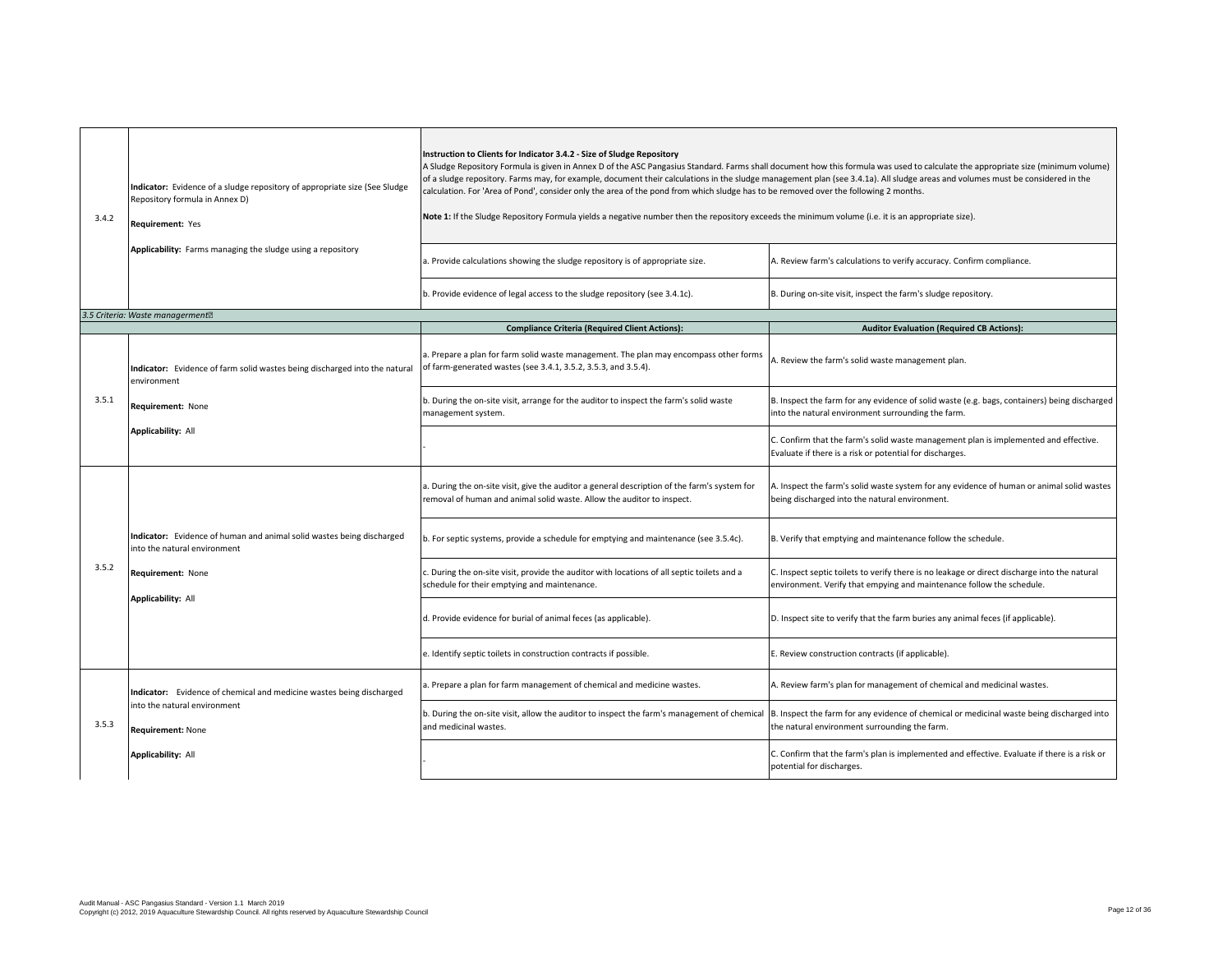| 3.4.2 | Indicator: Evidence of a sludge repository of appropriate size (See Sludge<br>Repository formula in Annex D)<br>Requirement: Yes | Instruction to Clients for Indicator 3.4.2 - Size of Sludge Repository<br>A Sludge Repository Formula is given in Annex D of the ASC Pangasius Standard. Farms shall document how this formula was used to calculate the appropriate size (minimum volume)<br>of a sludge repository. Farms may, for example, document their calculations in the sludge management plan (see 3.4.1a). All sludge areas and volumes must be considered in the<br>calculation. For 'Area of Pond', consider only the area of the pond from which sludge has to be removed over the following 2 months.<br>Note 1: If the Sludge Repository Formula yields a negative number then the repository exceeds the minimum volume (i.e. it is an appropriate size). |                                                                                                                                                                       |
|-------|----------------------------------------------------------------------------------------------------------------------------------|--------------------------------------------------------------------------------------------------------------------------------------------------------------------------------------------------------------------------------------------------------------------------------------------------------------------------------------------------------------------------------------------------------------------------------------------------------------------------------------------------------------------------------------------------------------------------------------------------------------------------------------------------------------------------------------------------------------------------------------------|-----------------------------------------------------------------------------------------------------------------------------------------------------------------------|
|       | Applicability: Farms managing the sludge using a repository                                                                      | a. Provide calculations showing the sludge repository is of appropriate size.                                                                                                                                                                                                                                                                                                                                                                                                                                                                                                                                                                                                                                                              | A. Review farm's calculations to verify accuracy. Confirm compliance.                                                                                                 |
|       |                                                                                                                                  | b. Provide evidence of legal access to the sludge repository (see 3.4.1c).                                                                                                                                                                                                                                                                                                                                                                                                                                                                                                                                                                                                                                                                 | B. During on-site visit, inspect the farm's sludge repository.                                                                                                        |
|       | 3.5 Criteria: Waste managerment <sup>®</sup>                                                                                     |                                                                                                                                                                                                                                                                                                                                                                                                                                                                                                                                                                                                                                                                                                                                            |                                                                                                                                                                       |
|       |                                                                                                                                  | <b>Compliance Criteria (Required Client Actions):</b>                                                                                                                                                                                                                                                                                                                                                                                                                                                                                                                                                                                                                                                                                      | <b>Auditor Evaluation (Required CB Actions):</b>                                                                                                                      |
|       | Indicator: Evidence of farm solid wastes being discharged into the natural<br>environment                                        | a. Prepare a plan for farm solid waste management. The plan may encompass other forms<br>of farm-generated wastes (see 3.4.1, 3.5.2, 3.5.3, and 3.5.4).                                                                                                                                                                                                                                                                                                                                                                                                                                                                                                                                                                                    | A. Review the farm's solid waste management plan.                                                                                                                     |
| 3.5.1 | Requirement: None<br><b>Applicability: All</b>                                                                                   | b. During the on-site visit, arrange for the auditor to inspect the farm's solid waste<br>management system.                                                                                                                                                                                                                                                                                                                                                                                                                                                                                                                                                                                                                               | B. Inspect the farm for any evidence of solid waste (e.g. bags, containers) being discharged<br>into the natural environment surrounding the farm.                    |
|       |                                                                                                                                  |                                                                                                                                                                                                                                                                                                                                                                                                                                                                                                                                                                                                                                                                                                                                            | C. Confirm that the farm's solid waste management plan is implemented and effective.<br>Evaluate if there is a risk or potential for discharges.                      |
|       |                                                                                                                                  | a. During the on-site visit, give the auditor a general description of the farm's system for<br>removal of human and animal solid waste. Allow the auditor to inspect.                                                                                                                                                                                                                                                                                                                                                                                                                                                                                                                                                                     | A. Inspect the farm's solid waste system for any evidence of human or animal solid wastes<br>being discharged into the natural environment.                           |
|       | Indicator: Evidence of human and animal solid wastes being discharged<br>into the natural environment                            | b. For septic systems, provide a schedule for emptying and maintenance (see 3.5.4c).                                                                                                                                                                                                                                                                                                                                                                                                                                                                                                                                                                                                                                                       | B. Verify that emptying and maintenance follow the schedule.                                                                                                          |
| 3.5.2 | Requirement: None<br><b>Applicability: All</b>                                                                                   | . During the on-site visit, provide the auditor with locations of all septic toilets and a<br>schedule for their emptying and maintenance.                                                                                                                                                                                                                                                                                                                                                                                                                                                                                                                                                                                                 | C. Inspect septic toilets to verify there is no leakage or direct discharge into the natural<br>environment. Verify that empying and maintenance follow the schedule. |
|       |                                                                                                                                  | d. Provide evidence for burial of animal feces (as applicable).                                                                                                                                                                                                                                                                                                                                                                                                                                                                                                                                                                                                                                                                            | D. Inspect site to verify that the farm buries any animal feces (if applicable).                                                                                      |
|       |                                                                                                                                  | e. Identify septic toilets in construction contracts if possible.                                                                                                                                                                                                                                                                                                                                                                                                                                                                                                                                                                                                                                                                          | E. Review construction contracts (if applicable).                                                                                                                     |
| 3.5.3 | Indicator: Evidence of chemical and medicine wastes being discharged                                                             | a. Prepare a plan for farm management of chemical and medicine wastes.                                                                                                                                                                                                                                                                                                                                                                                                                                                                                                                                                                                                                                                                     | A. Review farm's plan for management of chemical and medicinal wastes.                                                                                                |
|       | into the natural environment<br><b>Requirement: None</b>                                                                         | b. During the on-site visit, allow the auditor to inspect the farm's management of chemical<br>and medicinal wastes.                                                                                                                                                                                                                                                                                                                                                                                                                                                                                                                                                                                                                       | B. Inspect the farm for any evidence of chemical or medicinal waste being discharged into<br>the natural environment surrounding the farm.                            |
|       | <b>Applicability: All</b>                                                                                                        |                                                                                                                                                                                                                                                                                                                                                                                                                                                                                                                                                                                                                                                                                                                                            | C. Confirm that the farm's plan is implemented and effective. Evaluate if there is a risk or<br>potential for discharges.                                             |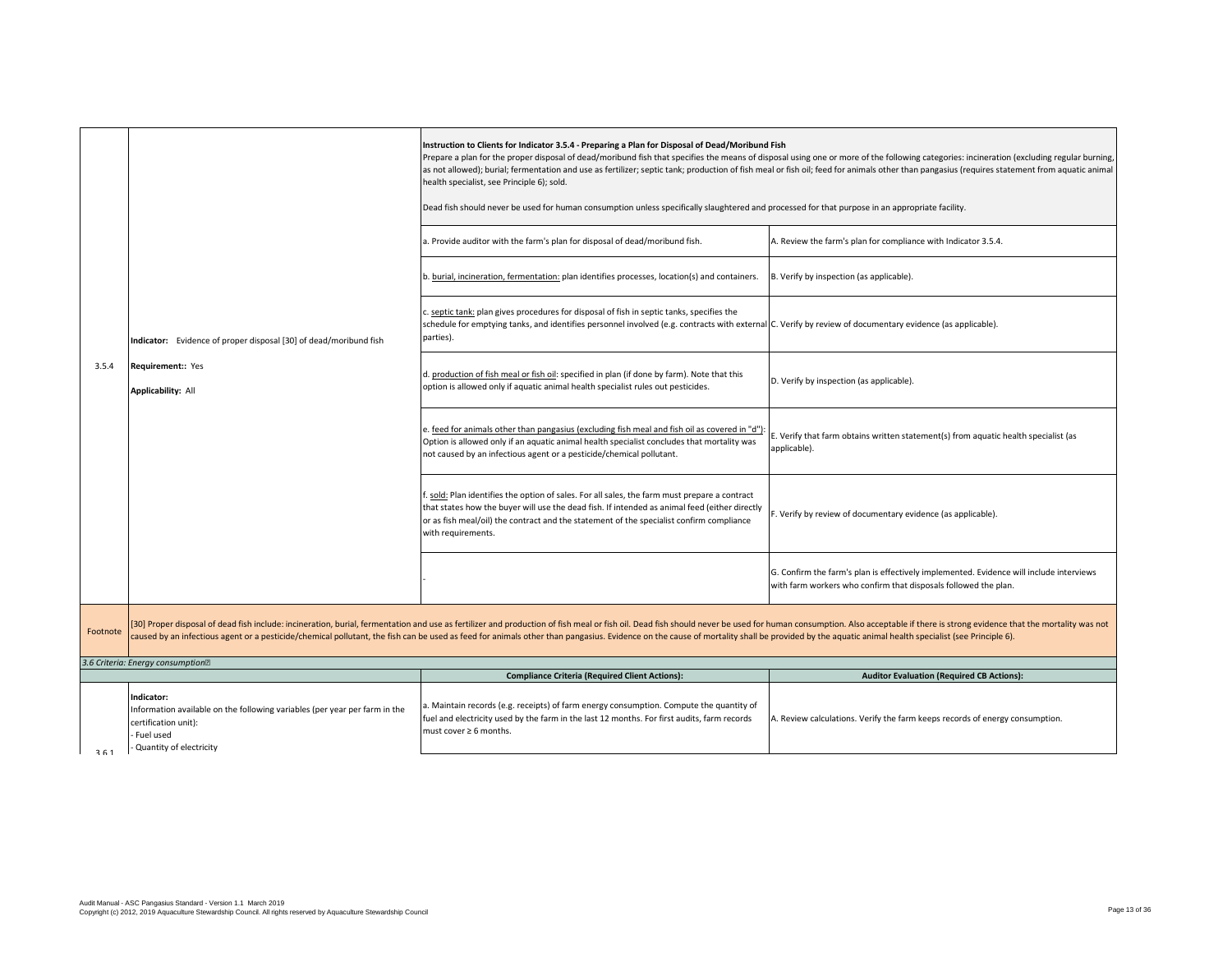|          |                                                                                                                                                            | Instruction to Clients for Indicator 3.5.4 - Preparing a Plan for Disposal of Dead/Moribund Fish<br>health specialist, see Principle 6); sold.<br>Dead fish should never be used for human consumption unless specifically slaughtered and processed for that purpose in an appropriate facility.<br>a. Provide auditor with the farm's plan for disposal of dead/moribund fish.<br>b. burial, incineration, fermentation: plan identifies processes, location(s) and containers.<br>c. septic tank: plan gives procedures for disposal of fish in septic tanks, specifies the<br>schedule for emptying tanks, and identifies personnel involved (e.g. contracts with external C. Verify by review of documentary evidence (as applicable).<br>parties).                  | Prepare a plan for the proper disposal of dead/moribund fish that specifies the means of disposal using one or more of the following categories: incineration (excluding regular burning,<br>as not allowed); burial; fermentation and use as fertilizer; septic tank; production of fish meal or fish oil; feed for animals other than pangasius (requires statement from aquatic animal<br>A. Review the farm's plan for compliance with Indicator 3.5.4.<br>B. Verify by inspection (as applicable). |
|----------|------------------------------------------------------------------------------------------------------------------------------------------------------------|---------------------------------------------------------------------------------------------------------------------------------------------------------------------------------------------------------------------------------------------------------------------------------------------------------------------------------------------------------------------------------------------------------------------------------------------------------------------------------------------------------------------------------------------------------------------------------------------------------------------------------------------------------------------------------------------------------------------------------------------------------------------------|---------------------------------------------------------------------------------------------------------------------------------------------------------------------------------------------------------------------------------------------------------------------------------------------------------------------------------------------------------------------------------------------------------------------------------------------------------------------------------------------------------|
| 3.5.4    | Indicator: Evidence of proper disposal [30] of dead/moribund fish<br>Requirement:: Yes<br><b>Applicability: All</b>                                        | d. production of fish meal or fish oil: specified in plan (if done by farm). Note that this<br>option is allowed only if aquatic animal health specialist rules out pesticides.<br>e. feed for animals other than pangasius (excluding fish meal and fish oil as covered in "d")<br>Option is allowed only if an aquatic animal health specialist concludes that mortality was<br>not caused by an infectious agent or a pesticide/chemical pollutant.<br>. sold: Plan identifies the option of sales. For all sales, the farm must prepare a contract<br>that states how the buyer will use the dead fish. If intended as animal feed (either directly<br>or as fish meal/oil) the contract and the statement of the specialist confirm compliance<br>with requirements. | D. Verify by inspection (as applicable).<br>E. Verify that farm obtains written statement(s) from aquatic health specialist (as<br>applicable).<br>F. Verify by review of documentary evidence (as applicable).                                                                                                                                                                                                                                                                                         |
|          |                                                                                                                                                            |                                                                                                                                                                                                                                                                                                                                                                                                                                                                                                                                                                                                                                                                                                                                                                           | G. Confirm the farm's plan is effectively implemented. Evidence will include interviews<br>with farm workers who confirm that disposals followed the plan.                                                                                                                                                                                                                                                                                                                                              |
| Footnote |                                                                                                                                                            | [30] Proper disposal of dead fish include: incineration, burial, fermentation and use as fertilizer and production of fish meal or fish oil. Dead fish should never be used for human consumption. Also acceptable if there is<br>caused by an infectious agent or a pesticide/chemical pollutant, the fish can be used as feed for animals other than pangasius. Evidence on the cause of mortality shall be provided by the aquatic animal health specialist (                                                                                                                                                                                                                                                                                                          |                                                                                                                                                                                                                                                                                                                                                                                                                                                                                                         |
|          | 3.6 Criteria: Energy consumption <sup>[2]</sup>                                                                                                            |                                                                                                                                                                                                                                                                                                                                                                                                                                                                                                                                                                                                                                                                                                                                                                           |                                                                                                                                                                                                                                                                                                                                                                                                                                                                                                         |
|          |                                                                                                                                                            | <b>Compliance Criteria (Required Client Actions):</b>                                                                                                                                                                                                                                                                                                                                                                                                                                                                                                                                                                                                                                                                                                                     | <b>Auditor Evaluation (Required CB Actions):</b>                                                                                                                                                                                                                                                                                                                                                                                                                                                        |
| 361      | Indicator:<br>Information available on the following variables (per year per farm in the<br>certification unit):<br>Fuel used<br>- Quantity of electricity | a. Maintain records (e.g. receipts) of farm energy consumption. Compute the quantity of<br>fuel and electricity used by the farm in the last 12 months. For first audits, farm records<br>must cover $\geq 6$ months.                                                                                                                                                                                                                                                                                                                                                                                                                                                                                                                                                     | A. Review calculations. Verify the farm keeps records of energy consumption.                                                                                                                                                                                                                                                                                                                                                                                                                            |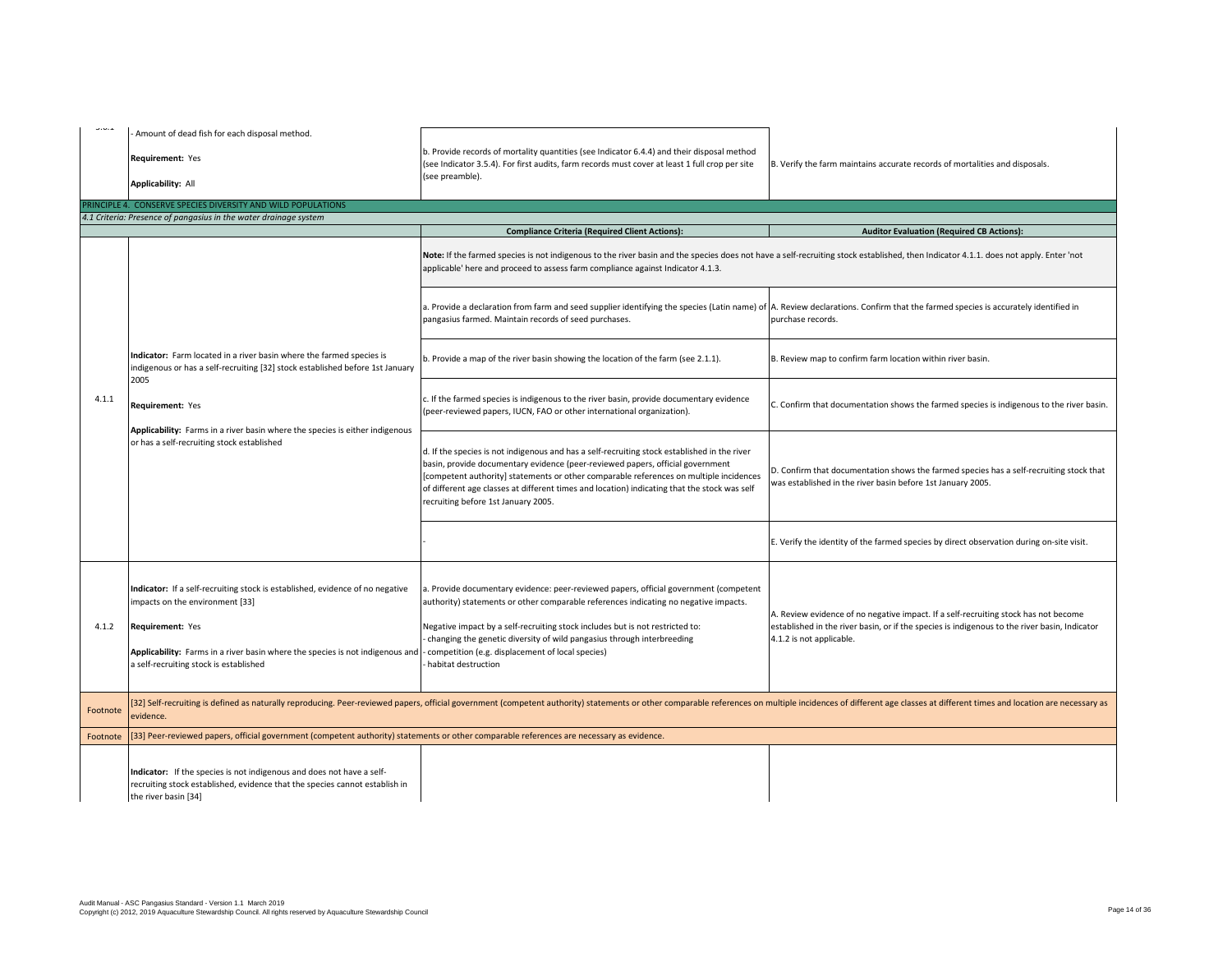| لديان دان | Amount of dead fish for each disposal method.                                                                                                                                                                                                                   |                                                                                                                                                                                                                                                                                                                                                                                                                       |                                                                                                                                                                                                                  |
|-----------|-----------------------------------------------------------------------------------------------------------------------------------------------------------------------------------------------------------------------------------------------------------------|-----------------------------------------------------------------------------------------------------------------------------------------------------------------------------------------------------------------------------------------------------------------------------------------------------------------------------------------------------------------------------------------------------------------------|------------------------------------------------------------------------------------------------------------------------------------------------------------------------------------------------------------------|
|           | Requirement: Yes                                                                                                                                                                                                                                                | b. Provide records of mortality quantities (see Indicator 6.4.4) and their disposal method<br>(see Indicator 3.5.4). For first audits, farm records must cover at least 1 full crop per site<br>(see preamble).                                                                                                                                                                                                       | B. Verify the farm maintains accurate records of mortalities and disposals.                                                                                                                                      |
|           | Applicability: All                                                                                                                                                                                                                                              |                                                                                                                                                                                                                                                                                                                                                                                                                       |                                                                                                                                                                                                                  |
|           | PRINCIPLE 4. CONSERVE SPECIES DIVERSITY AND WILD POPULATIONS                                                                                                                                                                                                    |                                                                                                                                                                                                                                                                                                                                                                                                                       |                                                                                                                                                                                                                  |
|           | 4.1 Criteria: Presence of pangasius in the water drainage system                                                                                                                                                                                                | <b>Compliance Criteria (Required Client Actions):</b>                                                                                                                                                                                                                                                                                                                                                                 | <b>Auditor Evaluation (Required CB Actions):</b>                                                                                                                                                                 |
|           |                                                                                                                                                                                                                                                                 | Note: If the farmed species is not indigenous to the river basin and the species does not have a self-recruiting stock established, then Indicator 4.1.1. does not apply. Enter 'not<br>applicable' here and proceed to assess farm compliance against Indicator 4.1.3.                                                                                                                                               |                                                                                                                                                                                                                  |
|           |                                                                                                                                                                                                                                                                 | a. Provide a declaration from farm and seed supplier identifying the species (Latin name) of A. Review declarations. Confirm that the farmed species is accurately identified in<br>pangasius farmed. Maintain records of seed purchases.                                                                                                                                                                             | purchase records.                                                                                                                                                                                                |
|           | Indicator: Farm located in a river basin where the farmed species is<br>indigenous or has a self-recruiting [32] stock established before 1st January<br>2005                                                                                                   | b. Provide a map of the river basin showing the location of the farm (see 2.1.1).                                                                                                                                                                                                                                                                                                                                     | B. Review map to confirm farm location within river basin.                                                                                                                                                       |
| 4.1.1     | Requirement: Yes                                                                                                                                                                                                                                                | . If the farmed species is indigenous to the river basin, provide documentary evidence<br>(peer-reviewed papers, IUCN, FAO or other international organization).                                                                                                                                                                                                                                                      | C. Confirm that documentation shows the farmed species is indigenous to the river basin.                                                                                                                         |
|           | Applicability: Farms in a river basin where the species is either indigenous<br>or has a self-recruiting stock established                                                                                                                                      | d. If the species is not indigenous and has a self-recruiting stock established in the river<br>basin, provide documentary evidence (peer-reviewed papers, official government<br>[competent authority] statements or other comparable references on multiple incidences<br>of different age classes at different times and location) indicating that the stock was self<br>recruiting before 1st January 2005.       | D. Confirm that documentation shows the farmed species has a self-recruiting stock that<br>was established in the river basin before 1st January 2005.                                                           |
|           |                                                                                                                                                                                                                                                                 |                                                                                                                                                                                                                                                                                                                                                                                                                       | E. Verify the identity of the farmed species by direct observation during on-site visit.                                                                                                                         |
| 4.1.2     | Indicator: If a self-recruiting stock is established, evidence of no negative<br>impacts on the environment [33]<br>Requirement: Yes<br>Applicability: Farms in a river basin where the species is not indigenous and<br>a self-recruiting stock is established | a. Provide documentary evidence: peer-reviewed papers, official government (competent<br>authority) statements or other comparable references indicating no negative impacts.<br>Negative impact by a self-recruiting stock includes but is not restricted to:<br>changing the genetic diversity of wild pangasius through interbreeding<br>- competition (e.g. displacement of local species)<br>habitat destruction | A. Review evidence of no negative impact. If a self-recruiting stock has not become<br>established in the river basin, or if the species is indigenous to the river basin, Indicator<br>4.1.2 is not applicable. |
| Footnote  | evidence.                                                                                                                                                                                                                                                       | [32] Self-recruiting is defined as naturally reproducing. Peer-reviewed papers, official government (competent authority) statements or other comparable references on multiple incidences of different age classes at differe                                                                                                                                                                                        |                                                                                                                                                                                                                  |
| Footnote  | [33] Peer-reviewed papers, official government (competent authority) statements or other comparable references are necessary as evidence.                                                                                                                       |                                                                                                                                                                                                                                                                                                                                                                                                                       |                                                                                                                                                                                                                  |
|           | Indicator: If the species is not indigenous and does not have a self-<br>recruiting stock established, evidence that the species cannot establish in<br>the river basin [34]                                                                                    |                                                                                                                                                                                                                                                                                                                                                                                                                       |                                                                                                                                                                                                                  |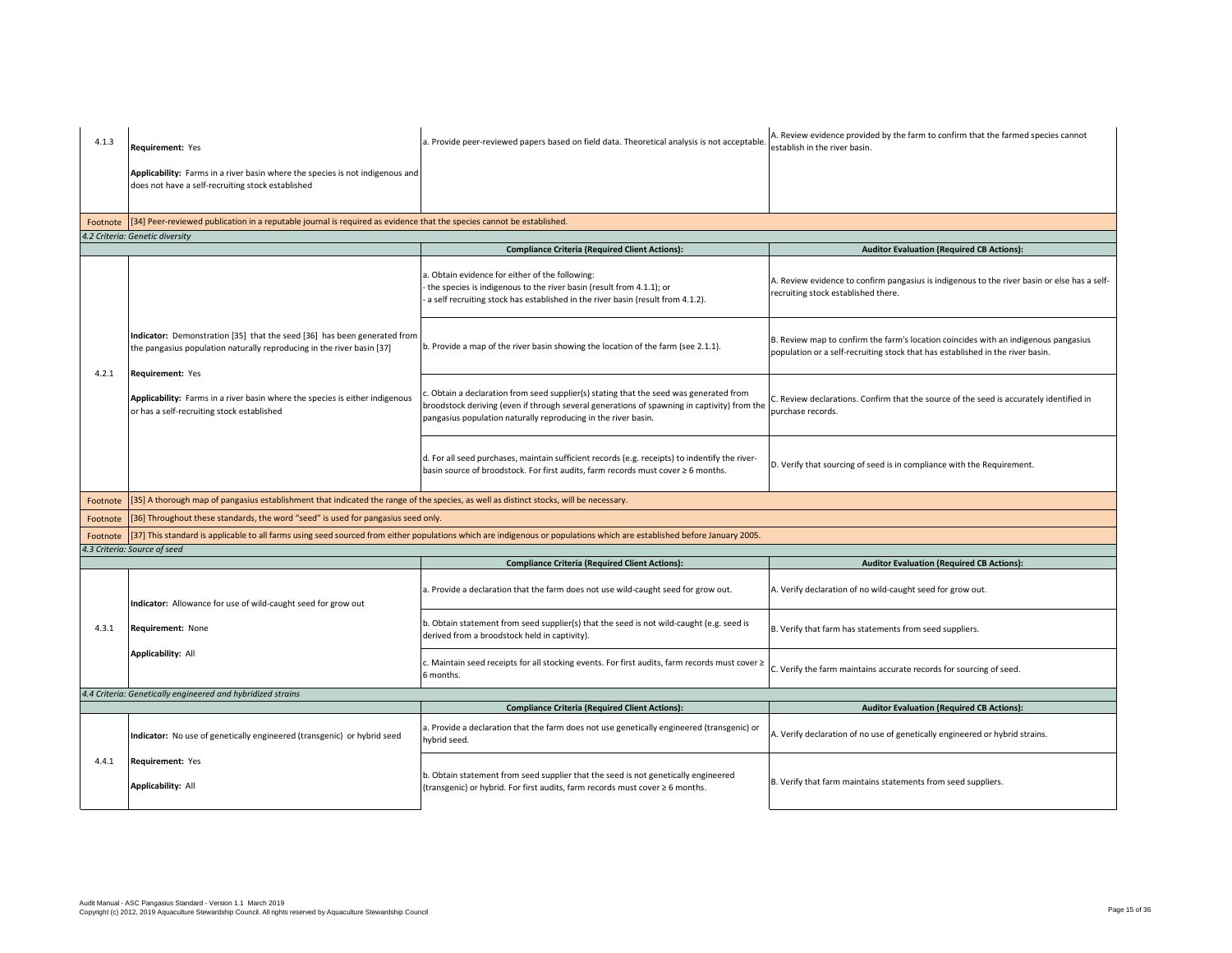| 4.1.3    | <b>Requirement: Yes</b>                                                                                                                                                | a. Provide peer-reviewed papers based on field data. Theoretical analysis is not acceptable.                                                                                                                                                         | A. Review evidence provided by the farm to confirm that the farmed species cannot<br>establish in the river basin.                                                    |
|----------|------------------------------------------------------------------------------------------------------------------------------------------------------------------------|------------------------------------------------------------------------------------------------------------------------------------------------------------------------------------------------------------------------------------------------------|-----------------------------------------------------------------------------------------------------------------------------------------------------------------------|
|          | Applicability: Farms in a river basin where the species is not indigenous and<br>does not have a self-recruiting stock established                                     |                                                                                                                                                                                                                                                      |                                                                                                                                                                       |
|          | Footnote [34] Peer-reviewed publication in a reputable journal is required as evidence that the species cannot be established.                                         |                                                                                                                                                                                                                                                      |                                                                                                                                                                       |
|          | 4.2 Criteria: Genetic diversity                                                                                                                                        |                                                                                                                                                                                                                                                      |                                                                                                                                                                       |
|          |                                                                                                                                                                        | <b>Compliance Criteria (Required Client Actions):</b>                                                                                                                                                                                                | <b>Auditor Evaluation (Required CB Actions):</b>                                                                                                                      |
|          |                                                                                                                                                                        | 1. Obtain evidence for either of the following:<br>the species is indigenous to the river basin (result from 4.1.1); or<br>a self recruiting stock has established in the river basin (result from 4.1.2).                                           | A. Review evidence to confirm pangasius is indigenous to the river basin or else has a self-<br>recruiting stock established there.                                   |
| 4.2.1    | Indicator: Demonstration [35] that the seed [36] has been generated from<br>the pangasius population naturally reproducing in the river basin [37]<br>Requirement: Yes | b. Provide a map of the river basin showing the location of the farm (see 2.1.1).                                                                                                                                                                    | B. Review map to confirm the farm's location coincides with an indigenous pangasius<br>population or a self-recruiting stock that has established in the river basin. |
|          | Applicability: Farms in a river basin where the species is either indigenous<br>or has a self-recruiting stock established                                             | Obtain a declaration from seed supplier(s) stating that the seed was generated from<br>broodstock deriving (even if through several generations of spawning in captivity) from the<br>pangasius population naturally reproducing in the river basin. | C. Review declarations. Confirm that the source of the seed is accurately identified in<br>purchase records.                                                          |
|          |                                                                                                                                                                        | d. For all seed purchases, maintain sufficient records (e.g. receipts) to indentify the river-<br>basin source of broodstock. For first audits, farm records must cover ≥ 6 months.                                                                  | D. Verify that sourcing of seed is in compliance with the Requirement.                                                                                                |
| Footnote | [35] A thorough map of pangasius establishment that indicated the range of the species, as well as distinct stocks, will be necessary.                                 |                                                                                                                                                                                                                                                      |                                                                                                                                                                       |
| Footnote | [36] Throughout these standards, the word "seed" is used for pangasius seed only.                                                                                      |                                                                                                                                                                                                                                                      |                                                                                                                                                                       |
| Footnote |                                                                                                                                                                        | [37] This standard is applicable to all farms using seed sourced from either populations which are indigenous or populations which are established before January 2005.                                                                              |                                                                                                                                                                       |
|          | 4.3 Criteria: Source of seed                                                                                                                                           |                                                                                                                                                                                                                                                      |                                                                                                                                                                       |
|          |                                                                                                                                                                        | <b>Compliance Criteria (Required Client Actions):</b>                                                                                                                                                                                                | <b>Auditor Evaluation (Required CB Actions):</b>                                                                                                                      |
|          | Indicator: Allowance for use of wild-caught seed for grow out                                                                                                          | a. Provide a declaration that the farm does not use wild-caught seed for grow out.                                                                                                                                                                   | A. Verify declaration of no wild-caught seed for grow out.                                                                                                            |
| 4.3.1    | Requirement: None                                                                                                                                                      | b. Obtain statement from seed supplier(s) that the seed is not wild-caught (e.g. seed is<br>derived from a broodstock held in captivity).                                                                                                            | B. Verify that farm has statements from seed suppliers.                                                                                                               |
|          | Applicability: All                                                                                                                                                     | ∴ Maintain seed receipts for all stocking events. For first audits, farm records must cover ≥<br>6 months.                                                                                                                                           | C. Verify the farm maintains accurate records for sourcing of seed.                                                                                                   |
|          | 4.4 Criteria: Genetically engineered and hybridized strains                                                                                                            |                                                                                                                                                                                                                                                      |                                                                                                                                                                       |
|          |                                                                                                                                                                        | <b>Compliance Criteria (Required Client Actions):</b>                                                                                                                                                                                                | <b>Auditor Evaluation (Required CB Actions):</b>                                                                                                                      |
|          | Indicator: No use of genetically engineered (transgenic) or hybrid seed                                                                                                | a. Provide a declaration that the farm does not use genetically engineered (transgenic) or<br>hybrid seed.                                                                                                                                           | A. Verify declaration of no use of genetically engineered or hybrid strains.                                                                                          |
| 4.4.1    | Requirement: Yes<br>Applicability: All                                                                                                                                 | b. Obtain statement from seed supplier that the seed is not genetically engineered<br>(transgenic) or hybrid. For first audits, farm records must cover ≥ 6 months.                                                                                  | B. Verify that farm maintains statements from seed suppliers.                                                                                                         |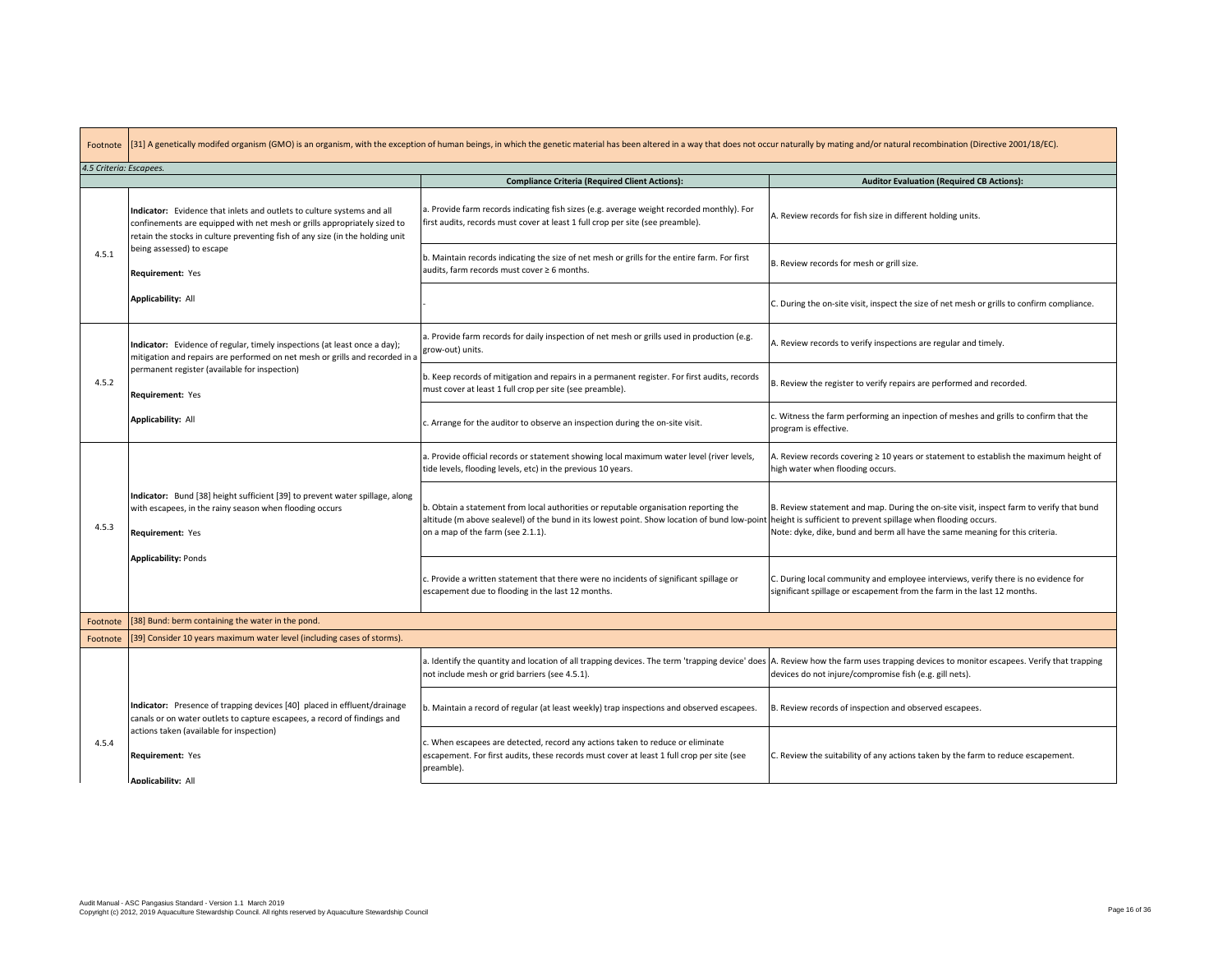Footnote [31] A genetically modifed organism (GMO) is an organism, with the exception of human beings, in which the genetic material has been altered in a way that does not occur naturally by mating and/or natural recombination (Di

| 4.5 Criteria: Escapees. |                                                                                                                                                                                                                                     |                                                                                                                                                                                                                           |                                                                                                                                                                                                                                           |
|-------------------------|-------------------------------------------------------------------------------------------------------------------------------------------------------------------------------------------------------------------------------------|---------------------------------------------------------------------------------------------------------------------------------------------------------------------------------------------------------------------------|-------------------------------------------------------------------------------------------------------------------------------------------------------------------------------------------------------------------------------------------|
|                         |                                                                                                                                                                                                                                     | <b>Compliance Criteria (Required Client Actions):</b>                                                                                                                                                                     | <b>Auditor Evaluation (Required CB Actions):</b>                                                                                                                                                                                          |
|                         | Indicator: Evidence that inlets and outlets to culture systems and all<br>confinements are equipped with net mesh or grills appropriately sized to<br>retain the stocks in culture preventing fish of any size (in the holding unit | a. Provide farm records indicating fish sizes (e.g. average weight recorded monthly). For<br>first audits, records must cover at least 1 full crop per site (see preamble).                                               | A. Review records for fish size in different holding units.                                                                                                                                                                               |
| 4.5.1                   | being assessed) to escape<br>Requirement: Yes                                                                                                                                                                                       | b. Maintain records indicating the size of net mesh or grills for the entire farm. For first<br>audits, farm records must cover ≥ 6 months.                                                                               | B. Review records for mesh or grill size.                                                                                                                                                                                                 |
|                         | <b>Applicability: All</b>                                                                                                                                                                                                           |                                                                                                                                                                                                                           | C. During the on-site visit, inspect the size of net mesh or grills to confirm compliance.                                                                                                                                                |
|                         | Indicator: Evidence of regular, timely inspections (at least once a day);<br>mitigation and repairs are performed on net mesh or grills and recorded in a                                                                           | a. Provide farm records for daily inspection of net mesh or grills used in production (e.g.<br>grow-out) units.                                                                                                           | A. Review records to verify inspections are regular and timely.                                                                                                                                                                           |
| 4.5.2                   | permanent register (available for inspection)<br>Requirement: Yes                                                                                                                                                                   | b. Keep records of mitigation and repairs in a permanent register. For first audits, records<br>must cover at least 1 full crop per site (see preamble).                                                                  | B. Review the register to verify repairs are performed and recorded.                                                                                                                                                                      |
|                         | Applicability: All                                                                                                                                                                                                                  | c. Arrange for the auditor to observe an inspection during the on-site visit.                                                                                                                                             | c. Witness the farm performing an inpection of meshes and grills to confirm that the<br>program is effective.                                                                                                                             |
|                         | Indicator: Bund [38] height sufficient [39] to prevent water spillage, along<br>with escapees, in the rainy season when flooding occurs<br>Requirement: Yes                                                                         | a. Provide official records or statement showing local maximum water level (river levels,<br>tide levels, flooding levels, etc) in the previous 10 years.                                                                 | A. Review records covering $\geq 10$ years or statement to establish the maximum height of<br>high water when flooding occurs.                                                                                                            |
| 4.5.3                   |                                                                                                                                                                                                                                     | b. Obtain a statement from local authorities or reputable organisation reporting the<br>altitude (m above sealevel) of the bund in its lowest point. Show location of bund low-point<br>on a map of the farm (see 2.1.1). | B. Review statement and map. During the on-site visit, inspect farm to verify that bund<br>height is sufficient to prevent spillage when flooding occurs.<br>Note: dyke, dike, bund and berm all have the same meaning for this criteria. |
|                         | <b>Applicability: Ponds</b>                                                                                                                                                                                                         | c. Provide a written statement that there were no incidents of significant spillage or<br>escapement due to flooding in the last 12 months.                                                                               | C. During local community and employee interviews, verify there is no evidence for<br>significant spillage or escapement from the farm in the last 12 months.                                                                             |
| Footnote                | [38] Bund: berm containing the water in the pond.                                                                                                                                                                                   |                                                                                                                                                                                                                           |                                                                                                                                                                                                                                           |
| Footnote                | [39] Consider 10 years maximum water level (including cases of storms).                                                                                                                                                             |                                                                                                                                                                                                                           |                                                                                                                                                                                                                                           |
|                         |                                                                                                                                                                                                                                     | a. Identify the quantity and location of all trapping devices. The term 'trapping device' does<br>not include mesh or grid barriers (see 4.5.1).                                                                          | A. Review how the farm uses trapping devices to monitor escapees. Verify that trapping<br>devices do not injure/compromise fish (e.g. gill nets).                                                                                         |
|                         | Indicator: Presence of trapping devices [40] placed in effluent/drainage<br>canals or on water outlets to capture escapees, a record of findings and                                                                                | b. Maintain a record of regular (at least weekly) trap inspections and observed escapees.                                                                                                                                 | B. Review records of inspection and observed escapees.                                                                                                                                                                                    |
| 4.5.4                   | actions taken (available for inspection)<br>Requirement: Yes<br><b>Applicability: All</b>                                                                                                                                           | c. When escapees are detected, record any actions taken to reduce or eliminate<br>escapement. For first audits, these records must cover at least 1 full crop per site (see<br>preamble).                                 | C. Review the suitability of any actions taken by the farm to reduce escapement.                                                                                                                                                          |
|                         |                                                                                                                                                                                                                                     |                                                                                                                                                                                                                           |                                                                                                                                                                                                                                           |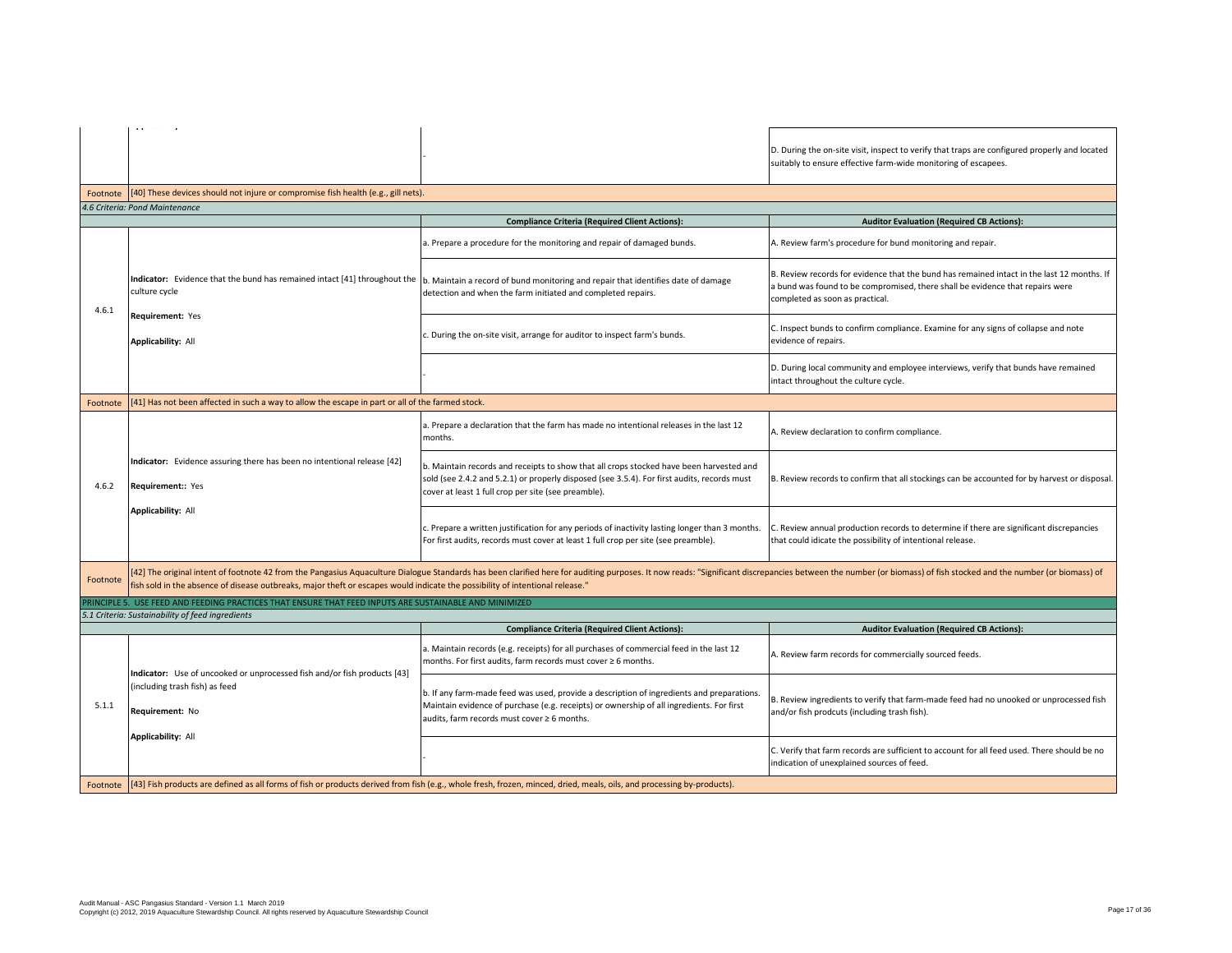|          | approximation provide                                                                                                         |                                                                                                                                                                                                                                               |                                                                                                                                                                                                                |
|----------|-------------------------------------------------------------------------------------------------------------------------------|-----------------------------------------------------------------------------------------------------------------------------------------------------------------------------------------------------------------------------------------------|----------------------------------------------------------------------------------------------------------------------------------------------------------------------------------------------------------------|
|          |                                                                                                                               |                                                                                                                                                                                                                                               | D. During the on-site visit, inspect to verify that traps are configured properly and located<br>suitably to ensure effective farm-wide monitoring of escapees.                                                |
|          | Footnote [40] These devices should not injure or compromise fish health (e.g., gill nets).                                    |                                                                                                                                                                                                                                               |                                                                                                                                                                                                                |
|          | 4.6 Criteria: Pond Maintenance                                                                                                |                                                                                                                                                                                                                                               |                                                                                                                                                                                                                |
|          |                                                                                                                               | <b>Compliance Criteria (Required Client Actions):</b>                                                                                                                                                                                         | <b>Auditor Evaluation (Required CB Actions):</b>                                                                                                                                                               |
|          |                                                                                                                               | a. Prepare a procedure for the monitoring and repair of damaged bunds.                                                                                                                                                                        | A. Review farm's procedure for bund monitoring and repair.                                                                                                                                                     |
| 4.6.1    | Indicator: Evidence that the bund has remained intact [41] throughout the<br>culture cycle                                    | b. Maintain a record of bund monitoring and repair that identifies date of damage<br>detection and when the farm initiated and completed repairs.                                                                                             | B. Review records for evidence that the bund has remained intact in the last 12 months. If<br>a bund was found to be compromised, there shall be evidence that repairs were<br>completed as soon as practical. |
|          | Requirement: Yes<br><b>Applicability: All</b>                                                                                 | c. During the on-site visit, arrange for auditor to inspect farm's bunds.                                                                                                                                                                     | C. Inspect bunds to confirm compliance. Examine for any signs of collapse and note<br>evidence of repairs.                                                                                                     |
|          |                                                                                                                               |                                                                                                                                                                                                                                               | D. During local community and employee interviews, verify that bunds have remained<br>intact throughout the culture cycle.                                                                                     |
| Footnote | [41] Has not been affected in such a way to allow the escape in part or all of the farmed stock.                              |                                                                                                                                                                                                                                               |                                                                                                                                                                                                                |
|          |                                                                                                                               | a. Prepare a declaration that the farm has made no intentional releases in the last 12<br>months.                                                                                                                                             | A. Review declaration to confirm compliance.                                                                                                                                                                   |
| 4.6.2    | Indicator: Evidence assuring there has been no intentional release [42]<br>Requirement:: Yes                                  | b. Maintain records and receipts to show that all crops stocked have been harvested and<br>sold (see 2.4.2 and 5.2.1) or properly disposed (see 3.5.4). For first audits, records must<br>cover at least 1 full crop per site (see preamble). | B. Review records to confirm that all stockings can be accounted for by harvest or disposal.                                                                                                                   |
|          | <b>Applicability: All</b>                                                                                                     | c. Prepare a written justification for any periods of inactivity lasting longer than 3 months.<br>For first audits, records must cover at least 1 full crop per site (see preamble).                                                          | . Review annual production records to determine if there are significant discrepancies<br>that could idicate the possibility of intentional release.                                                           |
| Footnote | fish sold in the absence of disease outbreaks, major theft or escapes would indicate the possibility of intentional release." | [42] The original intent of footnote 42 from the Pangasius Aquaculture Dialogue Standards has been clarified here for auditing purposes. It now reads: "Significant discrepancies between the number (or biomass) of fish stoc                |                                                                                                                                                                                                                |
|          | RINCIPLE 5. USE FEED AND FEEDING PRACTICES THAT ENSURE THAT FEED INPUTS ARE SUSTAINABLE AND MINIMIZED                         |                                                                                                                                                                                                                                               |                                                                                                                                                                                                                |
|          | 5.1 Criteria: Sustainability of feed ingredients                                                                              |                                                                                                                                                                                                                                               |                                                                                                                                                                                                                |
|          |                                                                                                                               | <b>Compliance Criteria (Required Client Actions):</b>                                                                                                                                                                                         | <b>Auditor Evaluation (Required CB Actions):</b>                                                                                                                                                               |
|          | Indicator: Use of uncooked or unprocessed fish and/or fish products [43]                                                      | a. Maintain records (e.g. receipts) for all purchases of commercial feed in the last 12<br>months. For first audits, farm records must cover ≥ 6 months.                                                                                      | A. Review farm records for commercially sourced feeds.                                                                                                                                                         |
| 5.1.1    | (including trash fish) as feed<br>Requirement: No<br><b>Applicability: All</b>                                                | b. If any farm-made feed was used, provide a description of ingredients and preparations.<br>Maintain evidence of purchase (e.g. receipts) or ownership of all ingredients. For first<br>audits, farm records must cover ≥ 6 months.          | B. Review ingredients to verify that farm-made feed had no unooked or unprocessed fish<br>and/or fish prodcuts (including trash fish).                                                                         |
|          |                                                                                                                               |                                                                                                                                                                                                                                               | C. Verify that farm records are sufficient to account for all feed used. There should be no<br>indication of unexplained sources of feed.                                                                      |
| Footnote |                                                                                                                               | [43] Fish products are defined as all forms of fish or products derived from fish (e.g., whole fresh, frozen, minced, dried, meals, oils, and processing by-products).                                                                        |                                                                                                                                                                                                                |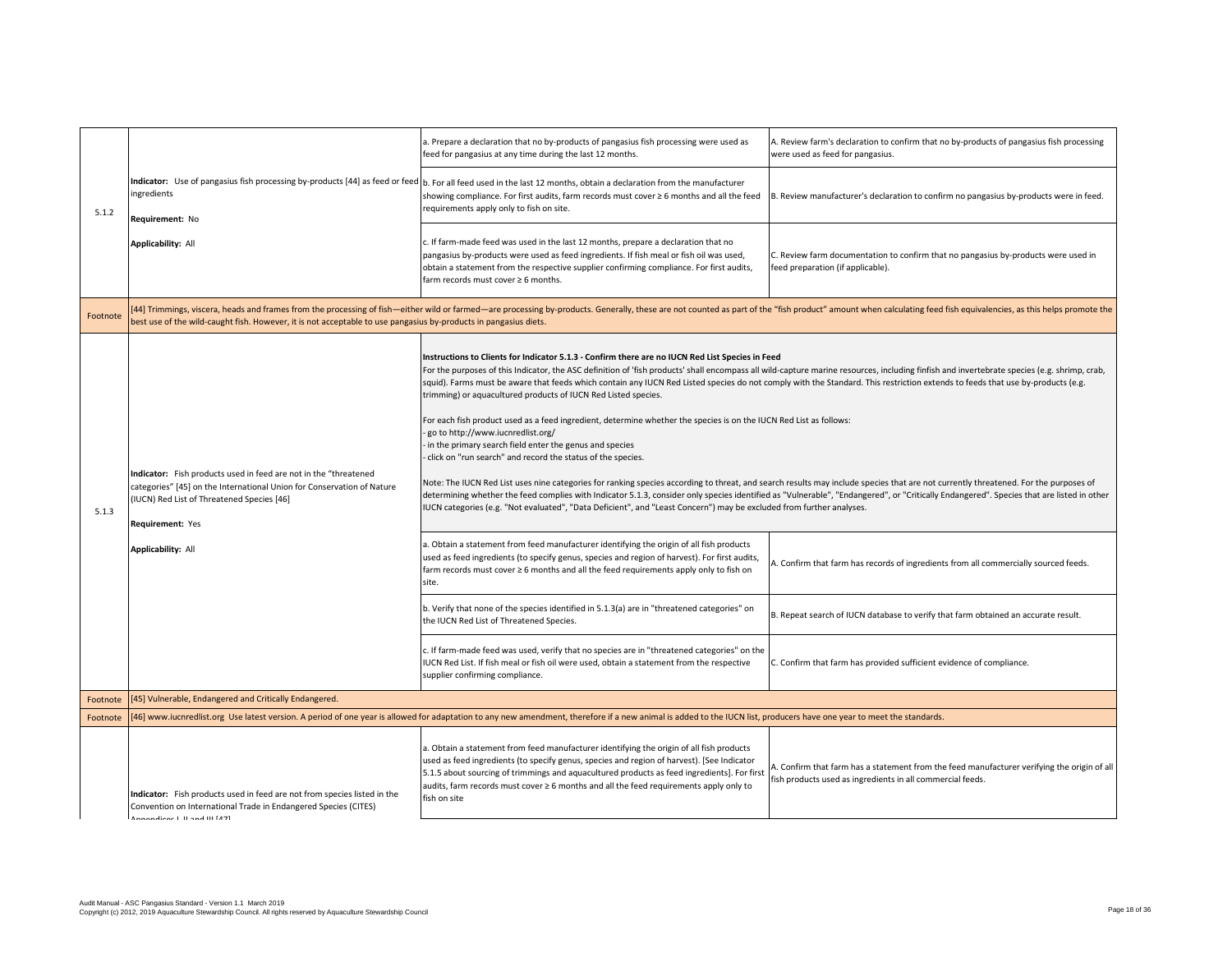|          |                                                                                                                                                                                                                                    | a. Prepare a declaration that no by-products of pangasius fish processing were used as<br>feed for pangasius at any time during the last 12 months.                                                                                                                                                                                                                                                                                                                                                                                                                                                                                                                                                                                                                                                                                                                                                                                                                                                                                                                                                                                                                                                                                                                                                                                                                                                                                                                                                                                                                                                                                                                                                                                                                                                                                                                                                                                                                                                                           | A. Review farm's declaration to confirm that no by-products of pangasius fish processing<br>were used as feed for pangasius.                                                                                                                       |
|----------|------------------------------------------------------------------------------------------------------------------------------------------------------------------------------------------------------------------------------------|-------------------------------------------------------------------------------------------------------------------------------------------------------------------------------------------------------------------------------------------------------------------------------------------------------------------------------------------------------------------------------------------------------------------------------------------------------------------------------------------------------------------------------------------------------------------------------------------------------------------------------------------------------------------------------------------------------------------------------------------------------------------------------------------------------------------------------------------------------------------------------------------------------------------------------------------------------------------------------------------------------------------------------------------------------------------------------------------------------------------------------------------------------------------------------------------------------------------------------------------------------------------------------------------------------------------------------------------------------------------------------------------------------------------------------------------------------------------------------------------------------------------------------------------------------------------------------------------------------------------------------------------------------------------------------------------------------------------------------------------------------------------------------------------------------------------------------------------------------------------------------------------------------------------------------------------------------------------------------------------------------------------------------|----------------------------------------------------------------------------------------------------------------------------------------------------------------------------------------------------------------------------------------------------|
| 5.1.2    | ingredients<br>Requirement: No                                                                                                                                                                                                     | Indicator: Use of pangasius fish processing by-products [44] as feed or feed  b. For all feed used in the last 12 months, obtain a declaration from the manufacturer<br>showing compliance. For first audits, farm records must cover ≥ 6 months and all the feed<br>requirements apply only to fish on site.                                                                                                                                                                                                                                                                                                                                                                                                                                                                                                                                                                                                                                                                                                                                                                                                                                                                                                                                                                                                                                                                                                                                                                                                                                                                                                                                                                                                                                                                                                                                                                                                                                                                                                                 | B. Review manufacturer's declaration to confirm no pangasius by-products were in feed.                                                                                                                                                             |
|          | <b>Applicability: All</b>                                                                                                                                                                                                          | c. If farm-made feed was used in the last 12 months, prepare a declaration that no<br>pangasius by-products were used as feed ingredients. If fish meal or fish oil was used,<br>obtain a statement from the respective supplier confirming compliance. For first audits,<br>farm records must cover $\geq 6$ months.                                                                                                                                                                                                                                                                                                                                                                                                                                                                                                                                                                                                                                                                                                                                                                                                                                                                                                                                                                                                                                                                                                                                                                                                                                                                                                                                                                                                                                                                                                                                                                                                                                                                                                         | C. Review farm documentation to confirm that no pangasius by-products were used in<br>feed preparation (if applicable).                                                                                                                            |
| Footnote | best use of the wild-caught fish. However, it is not acceptable to use pangasius by-products in pangasius diets.                                                                                                                   | 44] Trimmings, viscera, heads and frames from the processing of fish—either wild or farmed—are processing by-products. Generally, these are not counted as part of the "fish product" amount when calculating feed fish equiva                                                                                                                                                                                                                                                                                                                                                                                                                                                                                                                                                                                                                                                                                                                                                                                                                                                                                                                                                                                                                                                                                                                                                                                                                                                                                                                                                                                                                                                                                                                                                                                                                                                                                                                                                                                                |                                                                                                                                                                                                                                                    |
| 5.1.3    | Indicator: Fish products used in feed are not in the "threatened<br>categories" [45] on the International Union for Conservation of Nature<br>(IUCN) Red List of Threatened Species [46]<br>Requirement: Yes<br>Applicability: All | Instructions to Clients for Indicator 5.1.3 - Confirm there are no IUCN Red List Species in Feed<br>For the purposes of this Indicator, the ASC definition of 'fish products' shall encompass all wild-capture marine resources, including finfish and invertebrate species (e.g. shrimp, crab,<br>squid). Farms must be aware that feeds which contain any IUCN Red Listed species do not comply with the Standard. This restriction extends to feeds that use by-products (e.g.<br>trimming) or aquacultured products of IUCN Red Listed species.<br>For each fish product used as a feed ingredient, determine whether the species is on the IUCN Red List as follows:<br>go to http://www.iucnredlist.org/<br>in the primary search field enter the genus and species<br>click on "run search" and record the status of the species.<br>Note: The IUCN Red List uses nine categories for ranking species according to threat, and search results may include species that are not currently threatened. For the purposes of<br>determining whether the feed complies with Indicator 5.1.3, consider only species identified as "Vulnerable", "Endangered", or "Critically Endangered". Species that are listed in other<br>IUCN categories (e.g. "Not evaluated", "Data Deficient", and "Least Concern") may be excluded from further analyses.<br>a. Obtain a statement from feed manufacturer identifying the origin of all fish products<br>used as feed ingredients (to specify genus, species and region of harvest). For first audits,<br>farm records must cover ≥ 6 months and all the feed requirements apply only to fish on<br>site.<br>b. Verify that none of the species identified in 5.1.3(a) are in "threatened categories" on<br>the IUCN Red List of Threatened Species.<br>c. If farm-made feed was used, verify that no species are in "threatened categories" on the<br>IUCN Red List. If fish meal or fish oil were used, obtain a statement from the respective<br>supplier confirming compliance. | A. Confirm that farm has records of ingredients from all commercially sourced feeds.<br>B. Repeat search of IUCN database to verify that farm obtained an accurate result.<br>C. Confirm that farm has provided sufficient evidence of compliance. |
| Footnote | [45] Vulnerable, Endangered and Critically Endangered.                                                                                                                                                                             |                                                                                                                                                                                                                                                                                                                                                                                                                                                                                                                                                                                                                                                                                                                                                                                                                                                                                                                                                                                                                                                                                                                                                                                                                                                                                                                                                                                                                                                                                                                                                                                                                                                                                                                                                                                                                                                                                                                                                                                                                               |                                                                                                                                                                                                                                                    |
| Footnote |                                                                                                                                                                                                                                    | [46] www.iucnredlist.org Use latest version. A period of one year is allowed for adaptation to any new amendment, therefore if a new animal is added to the IUCN list, producers have one year to meet the standards.                                                                                                                                                                                                                                                                                                                                                                                                                                                                                                                                                                                                                                                                                                                                                                                                                                                                                                                                                                                                                                                                                                                                                                                                                                                                                                                                                                                                                                                                                                                                                                                                                                                                                                                                                                                                         |                                                                                                                                                                                                                                                    |
|          | Indicator: Fish products used in feed are not from species listed in the<br>Convention on International Trade in Endangered Species (CITES)<br>Annondicor L. II and III [47]                                                       | a. Obtain a statement from feed manufacturer identifying the origin of all fish products<br>used as feed ingredients (to specify genus, species and region of harvest). [See Indicator<br>5.1.5 about sourcing of trimmings and aquacultured products as feed ingredients]. For first<br>audits, farm records must cover ≥ 6 months and all the feed requirements apply only to<br>fish on site                                                                                                                                                                                                                                                                                                                                                                                                                                                                                                                                                                                                                                                                                                                                                                                                                                                                                                                                                                                                                                                                                                                                                                                                                                                                                                                                                                                                                                                                                                                                                                                                                               | A. Confirm that farm has a statement from the feed manufacturer verifying the origin of all<br>fish products used as ingredients in all commercial feeds.                                                                                          |
|          |                                                                                                                                                                                                                                    |                                                                                                                                                                                                                                                                                                                                                                                                                                                                                                                                                                                                                                                                                                                                                                                                                                                                                                                                                                                                                                                                                                                                                                                                                                                                                                                                                                                                                                                                                                                                                                                                                                                                                                                                                                                                                                                                                                                                                                                                                               |                                                                                                                                                                                                                                                    |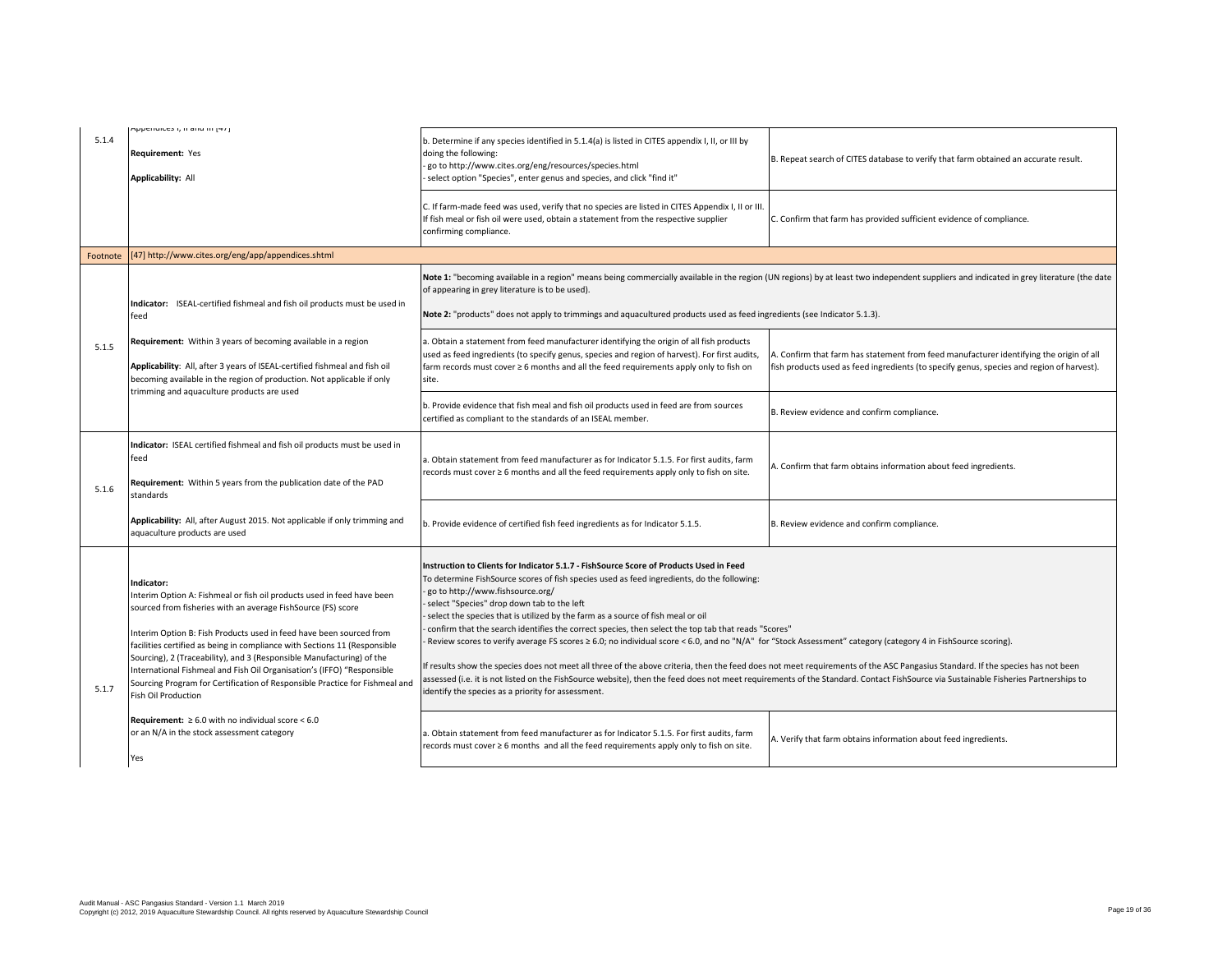| 5.1.4    | Appendices i, ii and in [47]<br>Requirement: Yes<br>Applicability: All                                                                                                                                                                                                                                                                                                                                                                                                                                                                                                   | b. Determine if any species identified in 5.1.4(a) is listed in CITES appendix I, II, or III by<br>doing the following:<br>go to http://www.cites.org/eng/resources/species.html<br>select option "Species", enter genus and species, and click "find it"                                                                                                                                                                                                                                                                                                                                                                                                                                                                                                                                                                                                                                                                                                                                                                                                      | B. Repeat search of CITES database to verify that farm obtained an accurate result.                                                                                                     |
|----------|--------------------------------------------------------------------------------------------------------------------------------------------------------------------------------------------------------------------------------------------------------------------------------------------------------------------------------------------------------------------------------------------------------------------------------------------------------------------------------------------------------------------------------------------------------------------------|----------------------------------------------------------------------------------------------------------------------------------------------------------------------------------------------------------------------------------------------------------------------------------------------------------------------------------------------------------------------------------------------------------------------------------------------------------------------------------------------------------------------------------------------------------------------------------------------------------------------------------------------------------------------------------------------------------------------------------------------------------------------------------------------------------------------------------------------------------------------------------------------------------------------------------------------------------------------------------------------------------------------------------------------------------------|-----------------------------------------------------------------------------------------------------------------------------------------------------------------------------------------|
|          |                                                                                                                                                                                                                                                                                                                                                                                                                                                                                                                                                                          | C. If farm-made feed was used, verify that no species are listed in CITES Appendix I, II or III.<br>If fish meal or fish oil were used, obtain a statement from the respective supplier<br>confirming compliance.                                                                                                                                                                                                                                                                                                                                                                                                                                                                                                                                                                                                                                                                                                                                                                                                                                              | C. Confirm that farm has provided sufficient evidence of compliance.                                                                                                                    |
| Footnote | [47] http://www.cites.org/eng/app/appendices.shtml                                                                                                                                                                                                                                                                                                                                                                                                                                                                                                                       |                                                                                                                                                                                                                                                                                                                                                                                                                                                                                                                                                                                                                                                                                                                                                                                                                                                                                                                                                                                                                                                                |                                                                                                                                                                                         |
|          | Indicator: ISEAL-certified fishmeal and fish oil products must be used in<br>feed                                                                                                                                                                                                                                                                                                                                                                                                                                                                                        | of appearing in grey literature is to be used).<br>Note 2: "products" does not apply to trimmings and aquacultured products used as feed ingredients (see Indicator 5.1.3).                                                                                                                                                                                                                                                                                                                                                                                                                                                                                                                                                                                                                                                                                                                                                                                                                                                                                    | Note 1: "becoming available in a region" means being commercially available in the region (UN regions) by at least two independent suppliers and indicated in grey literature (the date |
| 5.1.5    | Requirement: Within 3 years of becoming available in a region<br>Applicability: All, after 3 years of ISEAL-certified fishmeal and fish oil<br>becoming available in the region of production. Not applicable if only                                                                                                                                                                                                                                                                                                                                                    | a. Obtain a statement from feed manufacturer identifying the origin of all fish products<br>used as feed ingredients (to specify genus, species and region of harvest). For first audits,<br>farm records must cover $\geq 6$ months and all the feed requirements apply only to fish on<br>site.                                                                                                                                                                                                                                                                                                                                                                                                                                                                                                                                                                                                                                                                                                                                                              | A. Confirm that farm has statement from feed manufacturer identifying the origin of all<br>fish products used as feed ingredients (to specify genus, species and region of harvest).    |
|          | trimming and aquaculture products are used                                                                                                                                                                                                                                                                                                                                                                                                                                                                                                                               | b. Provide evidence that fish meal and fish oil products used in feed are from sources<br>certified as compliant to the standards of an ISEAL member.                                                                                                                                                                                                                                                                                                                                                                                                                                                                                                                                                                                                                                                                                                                                                                                                                                                                                                          | B. Review evidence and confirm compliance.                                                                                                                                              |
| 5.1.6    | Indicator: ISEAL certified fishmeal and fish oil products must be used in<br>feed<br>Requirement: Within 5 years from the publication date of the PAD<br>standards                                                                                                                                                                                                                                                                                                                                                                                                       | a. Obtain statement from feed manufacturer as for Indicator 5.1.5. For first audits, farm<br>records must cover ≥ 6 months and all the feed requirements apply only to fish on site.                                                                                                                                                                                                                                                                                                                                                                                                                                                                                                                                                                                                                                                                                                                                                                                                                                                                           | A. Confirm that farm obtains information about feed ingredients.                                                                                                                        |
|          | Applicability: All, after August 2015. Not applicable if only trimming and<br>aquaculture products are used                                                                                                                                                                                                                                                                                                                                                                                                                                                              | b. Provide evidence of certified fish feed ingredients as for Indicator 5.1.5.                                                                                                                                                                                                                                                                                                                                                                                                                                                                                                                                                                                                                                                                                                                                                                                                                                                                                                                                                                                 | B. Review evidence and confirm compliance.                                                                                                                                              |
| 5.1.7    | Indicator:<br>Interim Option A: Fishmeal or fish oil products used in feed have been<br>sourced from fisheries with an average FishSource (FS) score<br>Interim Option B: Fish Products used in feed have been sourced from<br>facilities certified as being in compliance with Sections 11 (Responsible<br>Sourcing), 2 (Traceability), and 3 (Responsible Manufacturing) of the<br>International Fishmeal and Fish Oil Organisation's (IFFO) "Responsible<br>Sourcing Program for Certification of Responsible Practice for Fishmeal and<br><b>Fish Oil Production</b> | Instruction to Clients for Indicator 5.1.7 - FishSource Score of Products Used in Feed<br>To determine FishSource scores of fish species used as feed ingredients, do the following:<br>go to http://www.fishsource.org/<br>select "Species" drop down tab to the left<br>select the species that is utilized by the farm as a source of fish meal or oil<br>confirm that the search identifies the correct species, then select the top tab that reads "Scores"<br>Review scores to verify average FS scores ≥ 6.0; no individual score < 6.0, and no "N/A" for "Stock Assessment" category (category 4 in FishSource scoring).<br>If results show the species does not meet all three of the above criteria, then the feed does not meet requirements of the ASC Pangasius Standard. If the species has not been<br>assessed (i.e. it is not listed on the FishSource website), then the feed does not meet requirements of the Standard. Contact FishSource via Sustainable Fisheries Partnerships to<br>identify the species as a priority for assessment. |                                                                                                                                                                                         |
|          | Requirement: $\geq 6.0$ with no individual score < 6.0<br>or an N/A in the stock assessment category<br>Yes                                                                                                                                                                                                                                                                                                                                                                                                                                                              | a. Obtain statement from feed manufacturer as for Indicator 5.1.5. For first audits, farm<br>records must cover $\geq 6$ months and all the feed requirements apply only to fish on site.                                                                                                                                                                                                                                                                                                                                                                                                                                                                                                                                                                                                                                                                                                                                                                                                                                                                      | A. Verify that farm obtains information about feed ingredients.                                                                                                                         |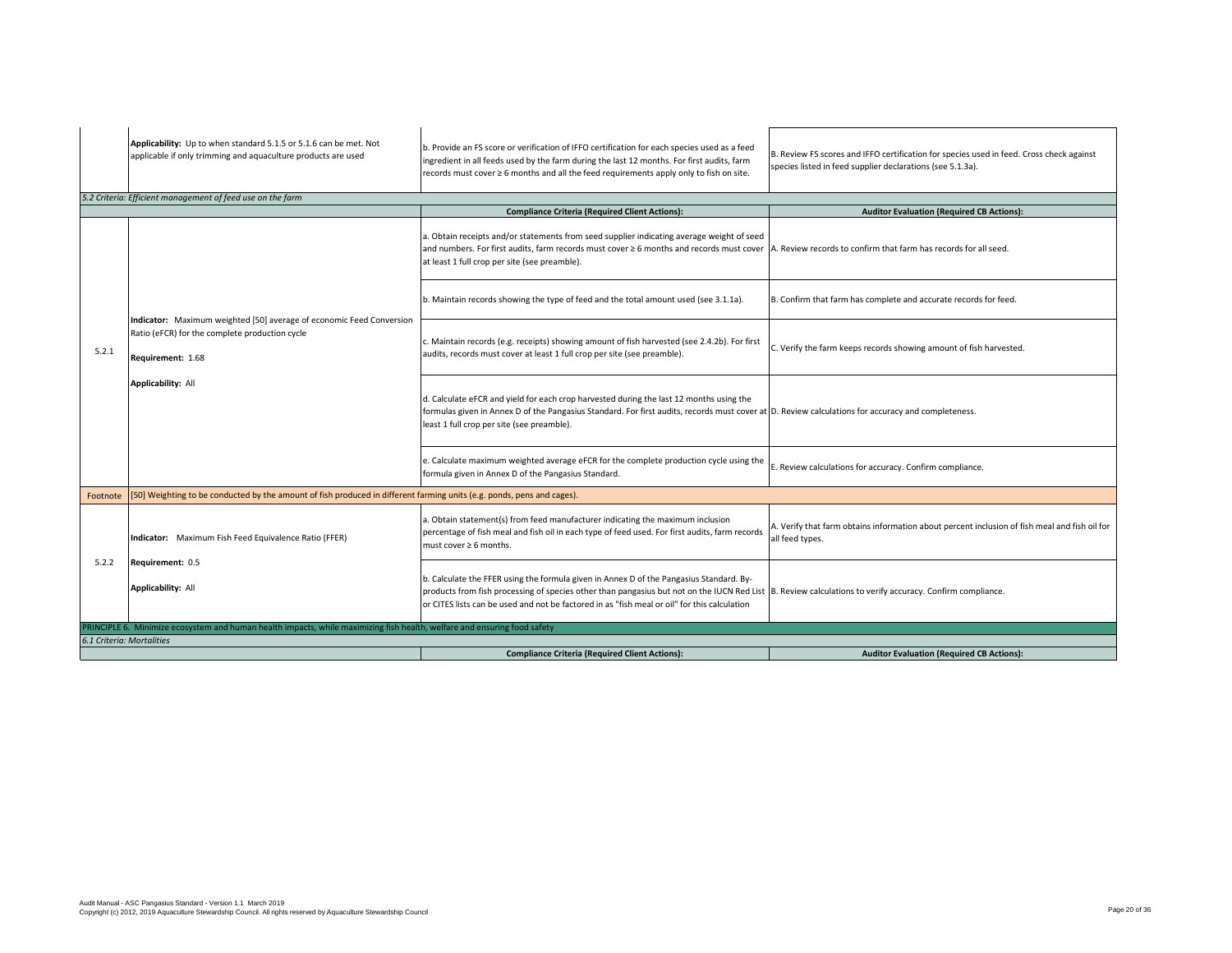|                           | Applicability: Up to when standard 5.1.5 or 5.1.6 can be met. Not<br>applicable if only trimming and aquaculture products are used          | b. Provide an FS score or verification of IFFO certification for each species used as a feed<br>ingredient in all feeds used by the farm during the last 12 months. For first audits, farm<br>records must cover ≥ 6 months and all the feed requirements apply only to fish on site.                                                                | B. Review FS scores and IFFO certification for species used in feed. Cross check against<br>species listed in feed supplier declarations (see 5.1.3a). |
|---------------------------|---------------------------------------------------------------------------------------------------------------------------------------------|------------------------------------------------------------------------------------------------------------------------------------------------------------------------------------------------------------------------------------------------------------------------------------------------------------------------------------------------------|--------------------------------------------------------------------------------------------------------------------------------------------------------|
|                           | 5.2 Criteria: Efficient management of feed use on the farm                                                                                  |                                                                                                                                                                                                                                                                                                                                                      |                                                                                                                                                        |
|                           |                                                                                                                                             | <b>Compliance Criteria (Required Client Actions):</b>                                                                                                                                                                                                                                                                                                | <b>Auditor Evaluation (Required CB Actions):</b>                                                                                                       |
|                           |                                                                                                                                             | a. Obtain receipts and/or statements from seed supplier indicating average weight of seed<br>and numbers. For first audits, farm records must cover ≥ 6 months and records must cover   A. Review records to confirm that farm has records for all seed.<br>at least 1 full crop per site (see preamble).                                            |                                                                                                                                                        |
|                           |                                                                                                                                             | b. Maintain records showing the type of feed and the total amount used (see 3.1.1a).                                                                                                                                                                                                                                                                 | B. Confirm that farm has complete and accurate records for feed.                                                                                       |
| 5.2.1                     | Indicator: Maximum weighted [50] average of economic Feed Conversion<br>Ratio (eFCR) for the complete production cycle<br>Requirement: 1.68 | c. Maintain records (e.g. receipts) showing amount of fish harvested (see 2.4.2b). For first<br>audits, records must cover at least 1 full crop per site (see preamble).                                                                                                                                                                             | C. Verify the farm keeps records showing amount of fish harvested.                                                                                     |
|                           | <b>Applicability: All</b>                                                                                                                   | d. Calculate eFCR and yield for each crop harvested during the last 12 months using the<br>formulas given in Annex D of the Pangasius Standard. For first audits, records must cover at D. Review calculations for accuracy and completeness.<br>least 1 full crop per site (see preamble).                                                          |                                                                                                                                                        |
|                           |                                                                                                                                             | e. Calculate maximum weighted average eFCR for the complete production cycle using the<br>formula given in Annex D of the Pangasius Standard.                                                                                                                                                                                                        | E. Review calculations for accuracy. Confirm compliance.                                                                                               |
| Footnote                  | [50] Weighting to be conducted by the amount of fish produced in different farming units (e.g. ponds, pens and cages).                      |                                                                                                                                                                                                                                                                                                                                                      |                                                                                                                                                        |
|                           | Indicator: Maximum Fish Feed Equivalence Ratio (FFER)                                                                                       | a. Obtain statement(s) from feed manufacturer indicating the maximum inclusion<br>percentage of fish meal and fish oil in each type of feed used. For first audits, farm records<br>must cover $\geq 6$ months.                                                                                                                                      | A. Verify that farm obtains information about percent inclusion of fish meal and fish oil for<br>all feed types.                                       |
| 5.2.2                     | Requirement: 0.5                                                                                                                            |                                                                                                                                                                                                                                                                                                                                                      |                                                                                                                                                        |
|                           | <b>Applicability: All</b>                                                                                                                   | b. Calculate the FFER using the formula given in Annex D of the Pangasius Standard. By-<br>products from fish processing of species other than pangasius but not on the IUCN Red List B. Review calculations to verify accuracy. Confirm compliance.<br>or CITES lists can be used and not be factored in as "fish meal or oil" for this calculation |                                                                                                                                                        |
|                           | PRINCIPLE 6. Minimize ecosystem and human health impacts, while maximizing fish health, welfare and ensuring food safety                    |                                                                                                                                                                                                                                                                                                                                                      |                                                                                                                                                        |
| 6.1 Criteria: Mortalities |                                                                                                                                             |                                                                                                                                                                                                                                                                                                                                                      |                                                                                                                                                        |
|                           |                                                                                                                                             | <b>Compliance Criteria (Required Client Actions):</b>                                                                                                                                                                                                                                                                                                | <b>Auditor Evaluation (Required CB Actions):</b>                                                                                                       |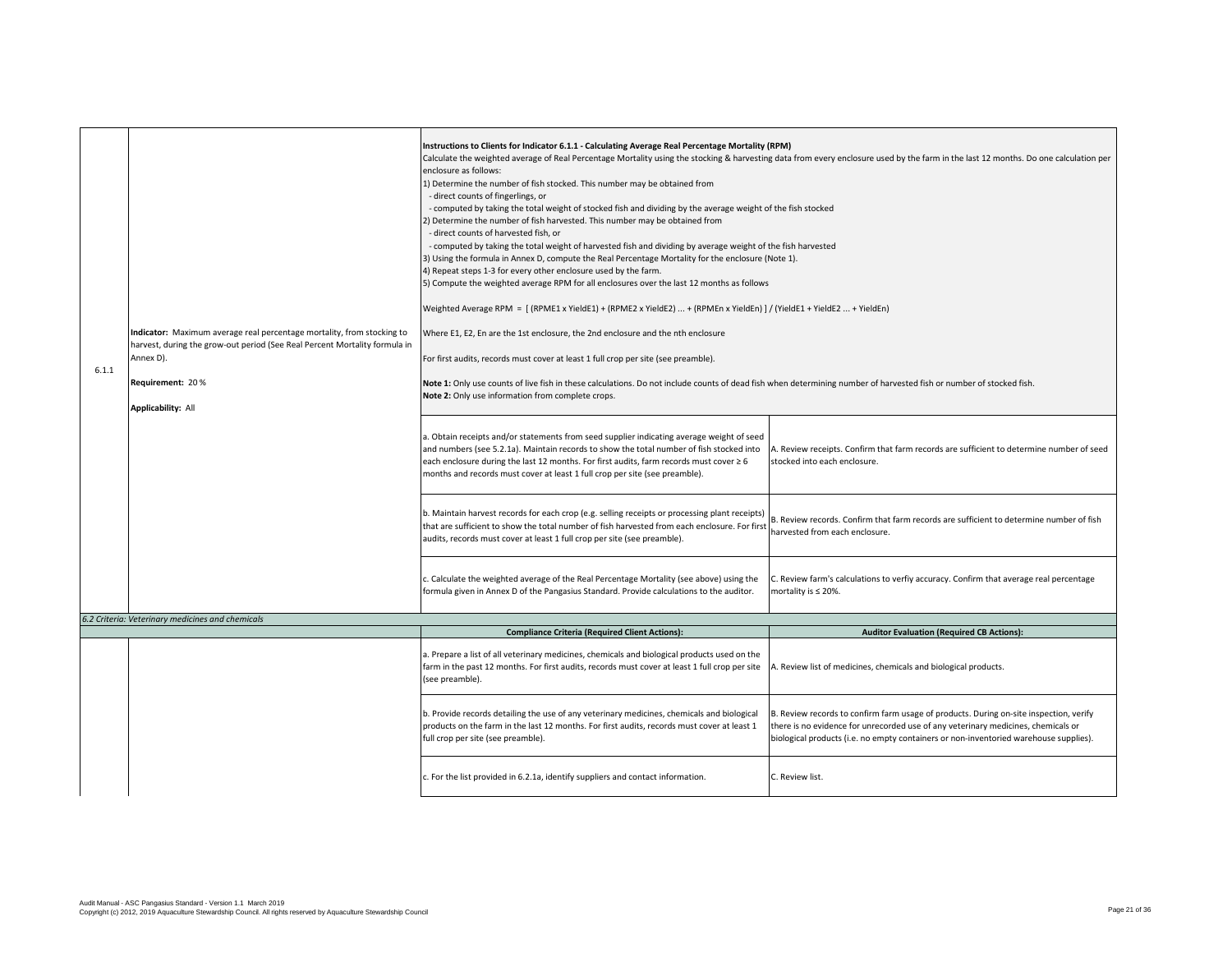| 6.1.1 | Indicator: Maximum average real percentage mortality, from stocking to<br>harvest, during the grow-out period (See Real Percent Mortality formula in<br>Annex D).<br>Requirement: 20%<br><b>Applicability: All</b> | Instructions to Clients for Indicator 6.1.1 - Calculating Average Real Percentage Mortality (RPM)<br>Calculate the weighted average of Real Percentage Mortality using the stocking & harvesting data from every enclosure used by the farm in the last 12 months. Do one calculation per<br>enclosure as follows:<br>1) Determine the number of fish stocked. This number may be obtained from<br>- direct counts of fingerlings, or<br>- computed by taking the total weight of stocked fish and dividing by the average weight of the fish stocked<br>2) Determine the number of fish harvested. This number may be obtained from<br>- direct counts of harvested fish, or<br>- computed by taking the total weight of harvested fish and dividing by average weight of the fish harvested<br>3) Using the formula in Annex D, compute the Real Percentage Mortality for the enclosure (Note 1).<br>4) Repeat steps 1-3 for every other enclosure used by the farm.<br>5) Compute the weighted average RPM for all enclosures over the last 12 months as follows<br>Weighted Average RPM = [(RPME1 x YieldE1) + (RPME2 x YieldE2)  + (RPMEn x YieldEn) ] / (YieldE1 + YieldE2  + YieldEn)<br>Where E1, E2, En are the 1st enclosure, the 2nd enclosure and the nth enclosure<br>For first audits, records must cover at least 1 full crop per site (see preamble).<br>Note 1: Only use counts of live fish in these calculations. Do not include counts of dead fish when determining number of harvested fish or number of stocked fish.<br>Note 2: Only use information from complete crops.<br>a. Obtain receipts and/or statements from seed supplier indicating average weight of seed |                                                                                                                                                                                                                                                                      |
|-------|--------------------------------------------------------------------------------------------------------------------------------------------------------------------------------------------------------------------|------------------------------------------------------------------------------------------------------------------------------------------------------------------------------------------------------------------------------------------------------------------------------------------------------------------------------------------------------------------------------------------------------------------------------------------------------------------------------------------------------------------------------------------------------------------------------------------------------------------------------------------------------------------------------------------------------------------------------------------------------------------------------------------------------------------------------------------------------------------------------------------------------------------------------------------------------------------------------------------------------------------------------------------------------------------------------------------------------------------------------------------------------------------------------------------------------------------------------------------------------------------------------------------------------------------------------------------------------------------------------------------------------------------------------------------------------------------------------------------------------------------------------------------------------------------------------------------------------------------------------------------------------------------------------------------------|----------------------------------------------------------------------------------------------------------------------------------------------------------------------------------------------------------------------------------------------------------------------|
|       |                                                                                                                                                                                                                    | and numbers (see 5.2.1a). Maintain records to show the total number of fish stocked into<br>each enclosure during the last 12 months. For first audits, farm records must cover ≥ 6<br>months and records must cover at least 1 full crop per site (see preamble).                                                                                                                                                                                                                                                                                                                                                                                                                                                                                                                                                                                                                                                                                                                                                                                                                                                                                                                                                                                                                                                                                                                                                                                                                                                                                                                                                                                                                             | A. Review receipts. Confirm that farm records are sufficient to determine number of seed<br>stocked into each enclosure.                                                                                                                                             |
|       |                                                                                                                                                                                                                    | b. Maintain harvest records for each crop (e.g. selling receipts or processing plant receipts)<br>that are sufficient to show the total number of fish harvested from each enclosure. For first<br>audits, records must cover at least 1 full crop per site (see preamble).                                                                                                                                                                                                                                                                                                                                                                                                                                                                                                                                                                                                                                                                                                                                                                                                                                                                                                                                                                                                                                                                                                                                                                                                                                                                                                                                                                                                                    | B. Review records. Confirm that farm records are sufficient to determine number of fish<br>harvested from each enclosure.                                                                                                                                            |
|       |                                                                                                                                                                                                                    | c. Calculate the weighted average of the Real Percentage Mortality (see above) using the<br>formula given in Annex D of the Pangasius Standard. Provide calculations to the auditor.                                                                                                                                                                                                                                                                                                                                                                                                                                                                                                                                                                                                                                                                                                                                                                                                                                                                                                                                                                                                                                                                                                                                                                                                                                                                                                                                                                                                                                                                                                           | C. Review farm's calculations to verfiy accuracy. Confirm that average real percentage<br>mortality is $\leq$ 20%.                                                                                                                                                   |
|       | 6.2 Criteria: Veterinary medicines and chemicals                                                                                                                                                                   | <b>Compliance Criteria (Required Client Actions):</b>                                                                                                                                                                                                                                                                                                                                                                                                                                                                                                                                                                                                                                                                                                                                                                                                                                                                                                                                                                                                                                                                                                                                                                                                                                                                                                                                                                                                                                                                                                                                                                                                                                          | <b>Auditor Evaluation (Required CB Actions):</b>                                                                                                                                                                                                                     |
|       |                                                                                                                                                                                                                    | a. Prepare a list of all veterinary medicines, chemicals and biological products used on the<br>farm in the past 12 months. For first audits, records must cover at least 1 full crop per site<br>(see preamble).                                                                                                                                                                                                                                                                                                                                                                                                                                                                                                                                                                                                                                                                                                                                                                                                                                                                                                                                                                                                                                                                                                                                                                                                                                                                                                                                                                                                                                                                              | A. Review list of medicines, chemicals and biological products.                                                                                                                                                                                                      |
|       |                                                                                                                                                                                                                    | b. Provide records detailing the use of any veterinary medicines, chemicals and biological<br>products on the farm in the last 12 months. For first audits, records must cover at least 1<br>full crop per site (see preamble).                                                                                                                                                                                                                                                                                                                                                                                                                                                                                                                                                                                                                                                                                                                                                                                                                                                                                                                                                                                                                                                                                                                                                                                                                                                                                                                                                                                                                                                                | B. Review records to confirm farm usage of products. During on-site inspection, verify<br>there is no evidence for unrecorded use of any veterinary medicines, chemicals or<br>biological products (i.e. no empty containers or non-inventoried warehouse supplies). |
|       |                                                                                                                                                                                                                    | c. For the list provided in 6.2.1a, identify suppliers and contact information.                                                                                                                                                                                                                                                                                                                                                                                                                                                                                                                                                                                                                                                                                                                                                                                                                                                                                                                                                                                                                                                                                                                                                                                                                                                                                                                                                                                                                                                                                                                                                                                                                | C. Review list.                                                                                                                                                                                                                                                      |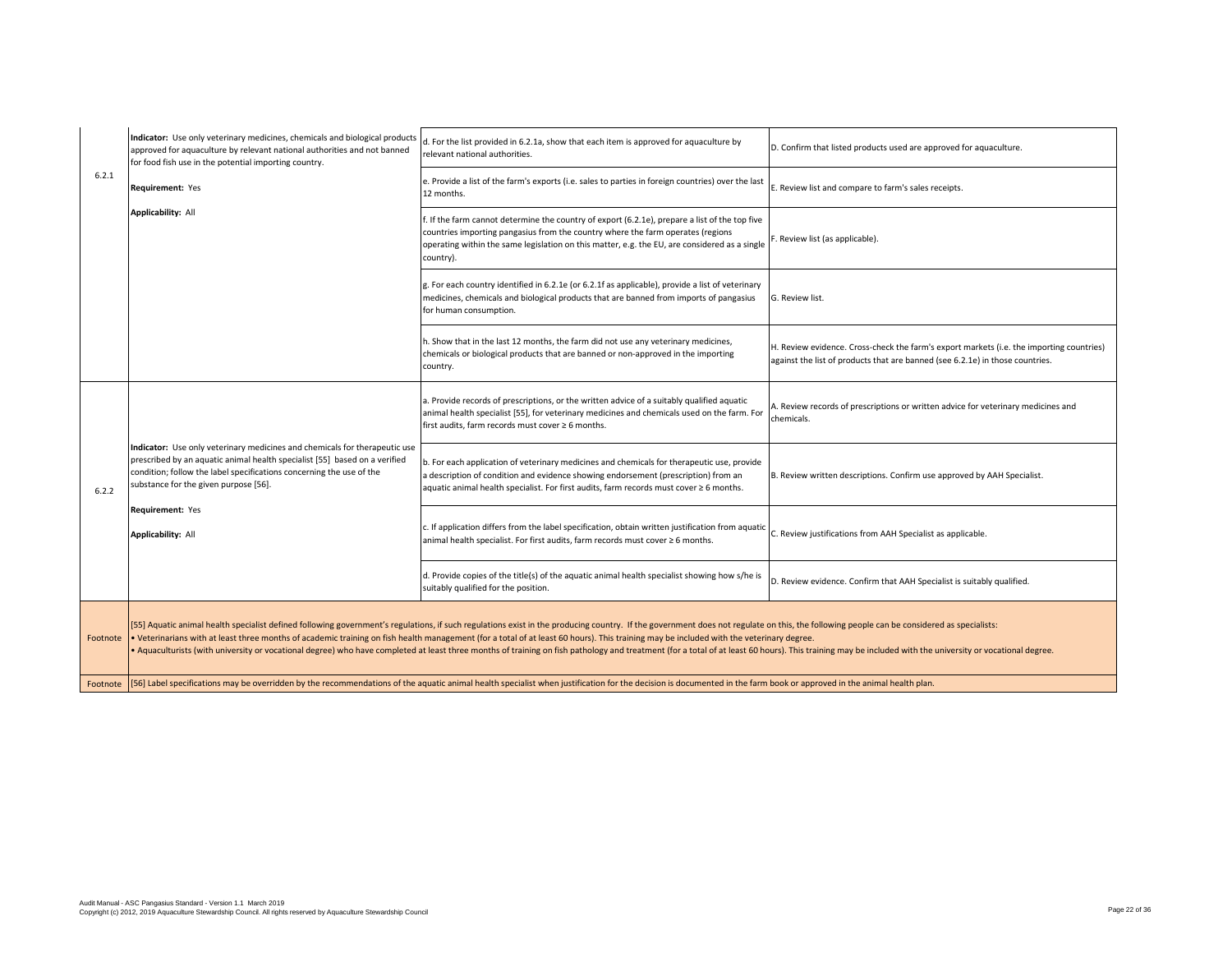|          | Indicator: Use only veterinary medicines, chemicals and biological products<br>approved for aquaculture by relevant national authorities and not banned<br>for food fish use in the potential importing country.                                                          | d. For the list provided in 6.2.1a, show that each item is approved for aquaculture by<br>relevant national authorities.                                                                                                                                                                                                                                                                                                                                                                                                                                                                                                                                    | D. Confirm that listed products used are approved for aquaculture.                                                                                                        |
|----------|---------------------------------------------------------------------------------------------------------------------------------------------------------------------------------------------------------------------------------------------------------------------------|-------------------------------------------------------------------------------------------------------------------------------------------------------------------------------------------------------------------------------------------------------------------------------------------------------------------------------------------------------------------------------------------------------------------------------------------------------------------------------------------------------------------------------------------------------------------------------------------------------------------------------------------------------------|---------------------------------------------------------------------------------------------------------------------------------------------------------------------------|
| 6.2.1    | Requirement: Yes                                                                                                                                                                                                                                                          | e. Provide a list of the farm's exports (i.e. sales to parties in foreign countries) over the last<br>12 months.                                                                                                                                                                                                                                                                                                                                                                                                                                                                                                                                            | E. Review list and compare to farm's sales receipts.                                                                                                                      |
|          | <b>Applicability: All</b>                                                                                                                                                                                                                                                 | If the farm cannot determine the country of export (6.2.1e), prepare a list of the top five<br>countries importing pangasius from the country where the farm operates (regions<br>operating within the same legislation on this matter, e.g. the EU, are considered as a single<br>country).                                                                                                                                                                                                                                                                                                                                                                | F. Review list (as applicable).                                                                                                                                           |
|          |                                                                                                                                                                                                                                                                           | g. For each country identified in 6.2.1e (or 6.2.1f as applicable), provide a list of veterinary<br>medicines, chemicals and biological products that are banned from imports of pangasius<br>for human consumption.                                                                                                                                                                                                                                                                                                                                                                                                                                        | G. Review list.                                                                                                                                                           |
|          |                                                                                                                                                                                                                                                                           | 1. Show that in the last 12 months, the farm did not use any veterinary medicines,<br>chemicals or biological products that are banned or non-approved in the importing<br>country.                                                                                                                                                                                                                                                                                                                                                                                                                                                                         | H. Review evidence. Cross-check the farm's export markets (i.e. the importing countries)<br>against the list of products that are banned (see 6.2.1e) in those countries. |
|          |                                                                                                                                                                                                                                                                           | a. Provide records of prescriptions, or the written advice of a suitably qualified aquatic<br>animal health specialist [55], for veterinary medicines and chemicals used on the farm. For<br>first audits, farm records must cover ≥ 6 months.                                                                                                                                                                                                                                                                                                                                                                                                              | A. Review records of prescriptions or written advice for veterinary medicines and<br>chemicals.                                                                           |
| 6.2.2    | Indicator: Use only veterinary medicines and chemicals for therapeutic use<br>prescribed by an aquatic animal health specialist [55] based on a verified<br>condition; follow the label specifications concerning the use of the<br>substance for the given purpose [56]. | b. For each application of veterinary medicines and chemicals for therapeutic use, provide<br>a description of condition and evidence showing endorsement (prescription) from an<br>aquatic animal health specialist. For first audits, farm records must cover ≥ 6 months.                                                                                                                                                                                                                                                                                                                                                                                 | B. Review written descriptions. Confirm use approved by AAH Specialist.                                                                                                   |
|          | Requirement: Yes<br><b>Applicability: All</b>                                                                                                                                                                                                                             | . If application differs from the label specification, obtain written justification from aquatic.<br>animal health specialist. For first audits, farm records must cover ≥ 6 months.                                                                                                                                                                                                                                                                                                                                                                                                                                                                        | C. Review justifications from AAH Specialist as applicable.                                                                                                               |
|          |                                                                                                                                                                                                                                                                           | d. Provide copies of the title(s) of the aquatic animal health specialist showing how s/he is<br>suitably qualified for the position.                                                                                                                                                                                                                                                                                                                                                                                                                                                                                                                       | D. Review evidence. Confirm that AAH Specialist is suitably qualified.                                                                                                    |
| Footnote |                                                                                                                                                                                                                                                                           | [55] Aquatic animal health specialist defined following government's regulations, if such regulations exist in the producing country. If the government does not regulate on this, the following people can be considered as s<br>• Veterinarians with at least three months of academic training on fish health management (for a total of at least 60 hours). This training may be included with the veterinary degree.<br>. Aquaculturists (with university or vocational degree) who have completed at least three months of training on fish pathology and treatment (for a total of at least 60 hours). This training may be included with the univer |                                                                                                                                                                           |
|          | Footnote [56] Label specifications may be overridden by the recommendations of the aquatic animal health specialist when justification for the decision is documented in the farm book or approved in the animal health plan.                                             |                                                                                                                                                                                                                                                                                                                                                                                                                                                                                                                                                                                                                                                             |                                                                                                                                                                           |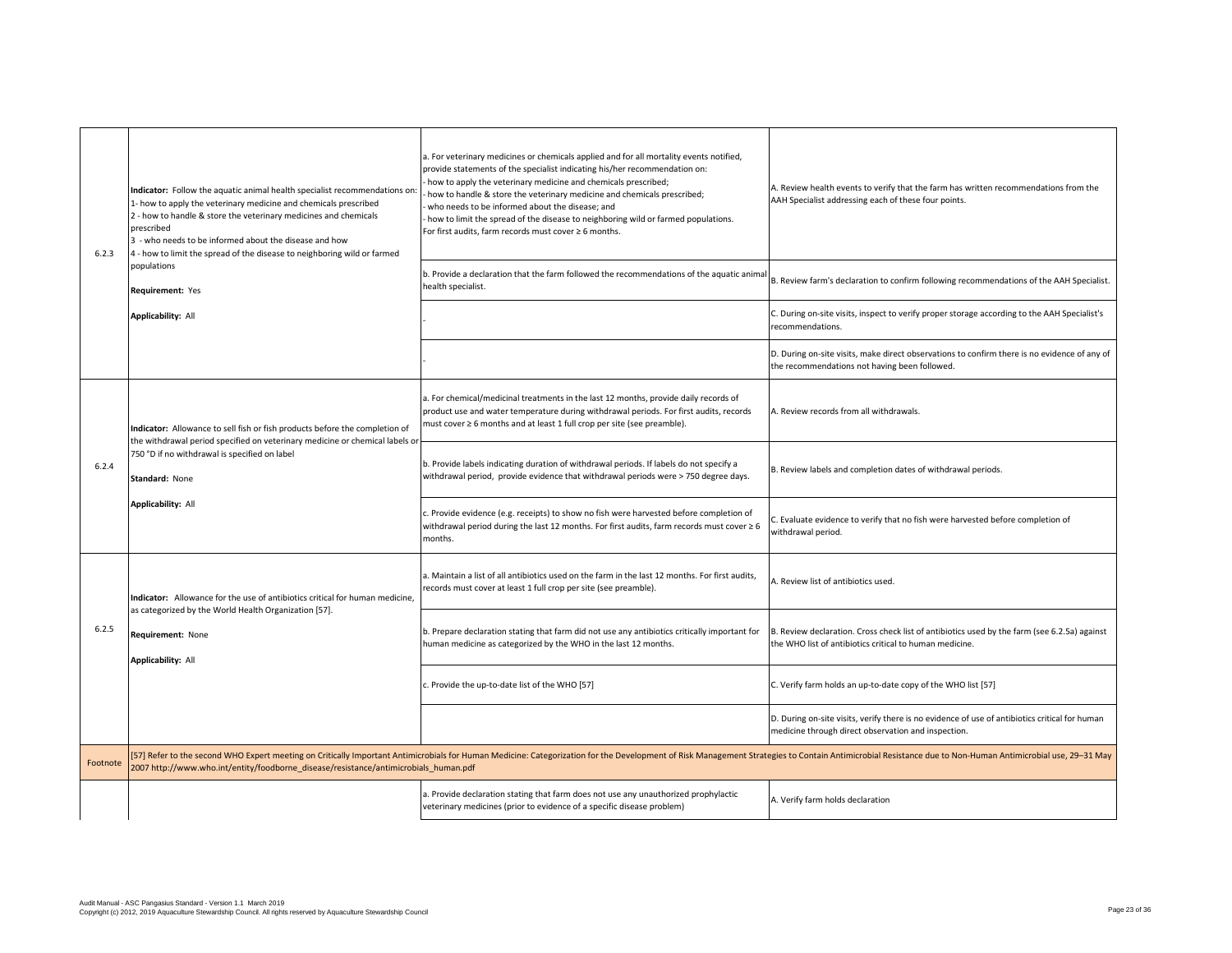| 6.2.3    | Indicator: Follow the aquatic animal health specialist recommendations on:<br>1- how to apply the veterinary medicine and chemicals prescribed<br>2 - how to handle & store the veterinary medicines and chemicals<br>prescribed<br>3 - who needs to be informed about the disease and how<br>4 - how to limit the spread of the disease to neighboring wild or farmed | a. For veterinary medicines or chemicals applied and for all mortality events notified,<br>provide statements of the specialist indicating his/her recommendation on:<br>- how to apply the veterinary medicine and chemicals prescribed;<br>how to handle & store the veterinary medicine and chemicals prescribed;<br>who needs to be informed about the disease; and<br>- how to limit the spread of the disease to neighboring wild or farmed populations.<br>For first audits, farm records must cover ≥ 6 months. | A. Review health events to verify that the farm has written recommendations from the<br>AAH Specialist addressing each of these four points.            |
|----------|------------------------------------------------------------------------------------------------------------------------------------------------------------------------------------------------------------------------------------------------------------------------------------------------------------------------------------------------------------------------|-------------------------------------------------------------------------------------------------------------------------------------------------------------------------------------------------------------------------------------------------------------------------------------------------------------------------------------------------------------------------------------------------------------------------------------------------------------------------------------------------------------------------|---------------------------------------------------------------------------------------------------------------------------------------------------------|
|          | populations<br>Requirement: Yes                                                                                                                                                                                                                                                                                                                                        | b. Provide a declaration that the farm followed the recommendations of the aquatic animal<br>health specialist.                                                                                                                                                                                                                                                                                                                                                                                                         | B. Review farm's declaration to confirm following recommendations of the AAH Specialist.                                                                |
|          | <b>Applicability: All</b>                                                                                                                                                                                                                                                                                                                                              |                                                                                                                                                                                                                                                                                                                                                                                                                                                                                                                         | C. During on-site visits, inspect to verify proper storage according to the AAH Specialist's<br>recommendations.                                        |
|          |                                                                                                                                                                                                                                                                                                                                                                        |                                                                                                                                                                                                                                                                                                                                                                                                                                                                                                                         | D. During on-site visits, make direct observations to confirm there is no evidence of any of<br>the recommendations not having been followed.           |
|          | Indicator: Allowance to sell fish or fish products before the completion of                                                                                                                                                                                                                                                                                            | a. For chemical/medicinal treatments in the last 12 months, provide daily records of<br>product use and water temperature during withdrawal periods. For first audits, records<br>must cover ≥ 6 months and at least 1 full crop per site (see preamble).                                                                                                                                                                                                                                                               | A. Review records from all withdrawals.                                                                                                                 |
| 6.2.4    | the withdrawal period specified on veterinary medicine or chemical labels or<br>750 °D if no withdrawal is specified on label<br>Standard: None                                                                                                                                                                                                                        | b. Provide labels indicating duration of withdrawal periods. If labels do not specify a<br>withdrawal period, provide evidence that withdrawal periods were > 750 degree days.                                                                                                                                                                                                                                                                                                                                          | B. Review labels and completion dates of withdrawal periods.                                                                                            |
|          | <b>Applicability: All</b>                                                                                                                                                                                                                                                                                                                                              | c. Provide evidence (e.g. receipts) to show no fish were harvested before completion of<br>withdrawal period during the last 12 months. For first audits, farm records must cover $\geq 6$<br>months.                                                                                                                                                                                                                                                                                                                   | C. Evaluate evidence to verify that no fish were harvested before completion of<br>withdrawal period.                                                   |
|          | Indicator: Allowance for the use of antibiotics critical for human medicine,<br>as categorized by the World Health Organization [57].                                                                                                                                                                                                                                  | a. Maintain a list of all antibiotics used on the farm in the last 12 months. For first audits,<br>records must cover at least 1 full crop per site (see preamble).                                                                                                                                                                                                                                                                                                                                                     | A. Review list of antibiotics used.                                                                                                                     |
| 6.2.5    | Requirement: None<br><b>Applicability: All</b>                                                                                                                                                                                                                                                                                                                         | b. Prepare declaration stating that farm did not use any antibiotics critically important for<br>human medicine as categorized by the WHO in the last 12 months.                                                                                                                                                                                                                                                                                                                                                        | B. Review declaration. Cross check list of antibiotics used by the farm (see 6.2.5a) against<br>the WHO list of antibiotics critical to human medicine. |
|          |                                                                                                                                                                                                                                                                                                                                                                        | c. Provide the up-to-date list of the WHO [57]                                                                                                                                                                                                                                                                                                                                                                                                                                                                          | C. Verify farm holds an up-to-date copy of the WHO list [57]                                                                                            |
|          |                                                                                                                                                                                                                                                                                                                                                                        |                                                                                                                                                                                                                                                                                                                                                                                                                                                                                                                         | D. During on-site visits, verify there is no evidence of use of antibiotics critical for human<br>medicine through direct observation and inspection.   |
| Footnote | [57] Refer to the second WHO Expert meeting on Critically Important Antimicrobials for Human Medicine: Categorization for the Development of Risk Management Strategies to Contain Antimicrobial Resistance due to Non-Human A<br>2007 http://www.who.int/entity/foodborne_disease/resistance/antimicrobials_human.pdf                                                 |                                                                                                                                                                                                                                                                                                                                                                                                                                                                                                                         |                                                                                                                                                         |
|          |                                                                                                                                                                                                                                                                                                                                                                        | a. Provide declaration stating that farm does not use any unauthorized prophylactic<br>veterinary medicines (prior to evidence of a specific disease problem)                                                                                                                                                                                                                                                                                                                                                           | A. Verify farm holds declaration                                                                                                                        |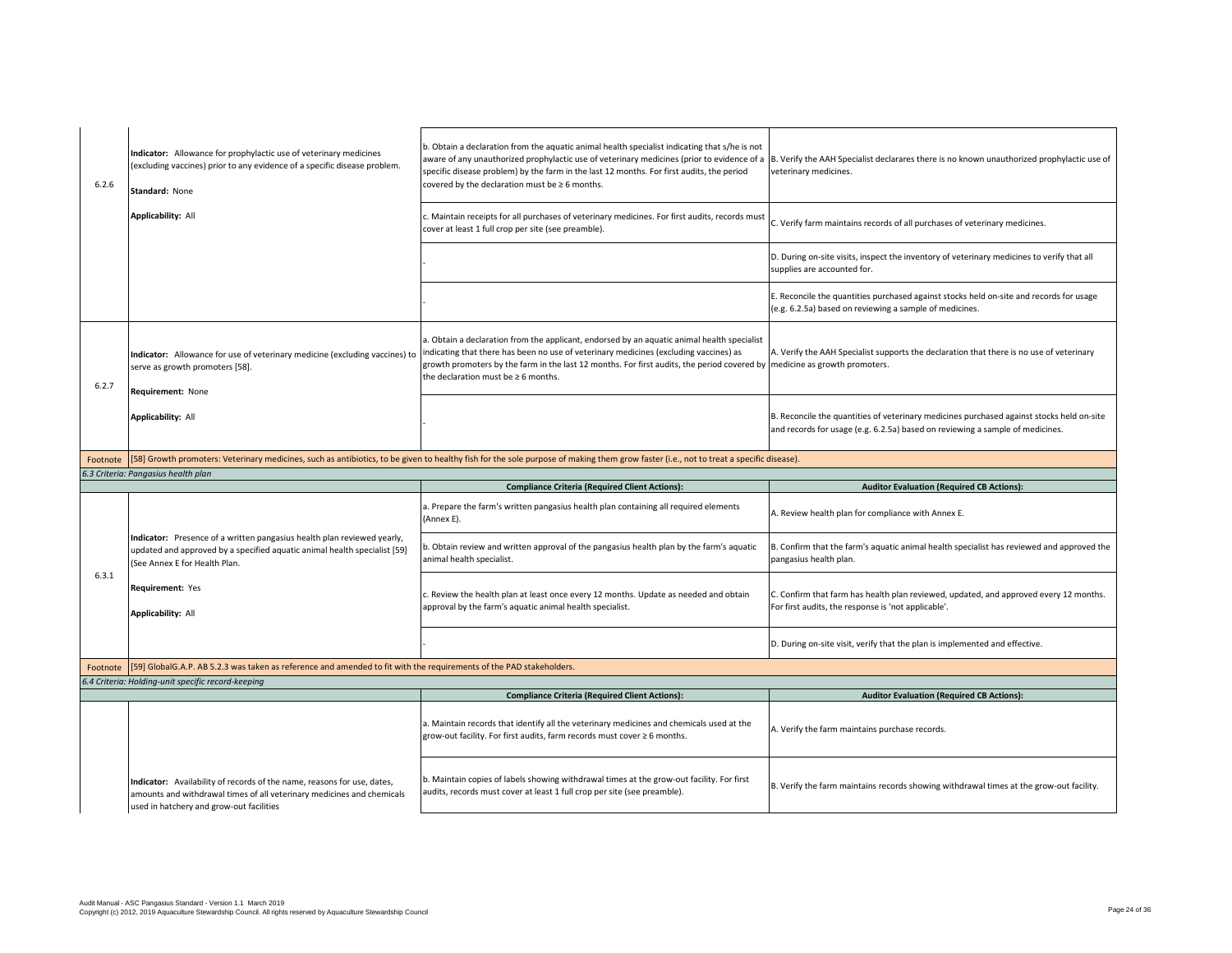| 6.2.6    | Indicator: Allowance for prophylactic use of veterinary medicines<br>(excluding vaccines) prior to any evidence of a specific disease problem.<br>Standard: None                              | b. Obtain a declaration from the aquatic animal health specialist indicating that s/he is not<br>aware of any unauthorized prophylactic use of veterinary medicines (prior to evidence of a B. Verify the AAH Specialist declarares there is no known unauthorized prophylactic use of<br>specific disease problem) by the farm in the last 12 months. For first audits, the period<br>covered by the declaration must be $\geq 6$ months. | veterinary medicines.                                                                                                                                                      |
|----------|-----------------------------------------------------------------------------------------------------------------------------------------------------------------------------------------------|--------------------------------------------------------------------------------------------------------------------------------------------------------------------------------------------------------------------------------------------------------------------------------------------------------------------------------------------------------------------------------------------------------------------------------------------|----------------------------------------------------------------------------------------------------------------------------------------------------------------------------|
|          | Applicability: All                                                                                                                                                                            | c. Maintain receipts for all purchases of veterinary medicines. For first audits, records must<br>cover at least 1 full crop per site (see preamble).                                                                                                                                                                                                                                                                                      | C. Verify farm maintains records of all purchases of veterinary medicines.                                                                                                 |
|          |                                                                                                                                                                                               |                                                                                                                                                                                                                                                                                                                                                                                                                                            | D. During on-site visits, inspect the inventory of veterinary medicines to verify that all<br>supplies are accounted for.                                                  |
|          |                                                                                                                                                                                               |                                                                                                                                                                                                                                                                                                                                                                                                                                            | E. Reconcile the quantities purchased against stocks held on-site and records for usage<br>(e.g. 6.2.5a) based on reviewing a sample of medicines.                         |
| 6.2.7    | Indicator: Allowance for use of veterinary medicine (excluding vaccines) to<br>serve as growth promoters [58].<br>Requirement: None                                                           | a. Obtain a declaration from the applicant, endorsed by an aquatic animal health specialist<br>indicating that there has been no use of veterinary medicines (excluding vaccines) as<br>growth promoters by the farm in the last 12 months. For first audits, the period covered by medicine as growth promoters.<br>the declaration must be $\geq 6$ months.                                                                              | A. Verify the AAH Specialist supports the declaration that there is no use of veterinary                                                                                   |
|          | <b>Applicability: All</b>                                                                                                                                                                     |                                                                                                                                                                                                                                                                                                                                                                                                                                            | B. Reconcile the quantities of veterinary medicines purchased against stocks held on-site<br>and records for usage (e.g. 6.2.5a) based on reviewing a sample of medicines. |
| Footnote |                                                                                                                                                                                               | [58] Growth promoters: Veterinary medicines, such as antibiotics, to be given to healthy fish for the sole purpose of making them grow faster (i.e., not to treat a specific disease).                                                                                                                                                                                                                                                     |                                                                                                                                                                            |
|          |                                                                                                                                                                                               |                                                                                                                                                                                                                                                                                                                                                                                                                                            |                                                                                                                                                                            |
|          | 6.3 Criteria: Pangasius health plan                                                                                                                                                           |                                                                                                                                                                                                                                                                                                                                                                                                                                            |                                                                                                                                                                            |
|          |                                                                                                                                                                                               | <b>Compliance Criteria (Required Client Actions):</b>                                                                                                                                                                                                                                                                                                                                                                                      | <b>Auditor Evaluation (Required CB Actions):</b>                                                                                                                           |
|          |                                                                                                                                                                                               | a. Prepare the farm's written pangasius health plan containing all required elements<br>(Annex E).                                                                                                                                                                                                                                                                                                                                         | A. Review health plan for compliance with Annex E.                                                                                                                         |
|          | Indicator: Presence of a written pangasius health plan reviewed yearly,<br>updated and approved by a specified aquatic animal health specialist [59]<br>(See Annex E for Health Plan.         | b. Obtain review and written approval of the pangasius health plan by the farm's aquatic<br>animal health specialist.                                                                                                                                                                                                                                                                                                                      | B. Confirm that the farm's aquatic animal health specialist has reviewed and approved the<br>pangasius health plan.                                                        |
| 6.3.1    | Requirement: Yes<br>Applicability: All                                                                                                                                                        | c. Review the health plan at least once every 12 months. Update as needed and obtain<br>approval by the farm's aquatic animal health specialist.                                                                                                                                                                                                                                                                                           | C. Confirm that farm has health plan reviewed, updated, and approved every 12 months.<br>For first audits, the response is 'not applicable'.                               |
|          |                                                                                                                                                                                               |                                                                                                                                                                                                                                                                                                                                                                                                                                            | D. During on-site visit, verify that the plan is implemented and effective.                                                                                                |
| Footnote | [59] GlobalG.A.P. AB 5.2.3 was taken as reference and amended to fit with the requirements of the PAD stakeholders.                                                                           |                                                                                                                                                                                                                                                                                                                                                                                                                                            |                                                                                                                                                                            |
|          | 6.4 Criteria: Holding-unit specific record-keeping                                                                                                                                            |                                                                                                                                                                                                                                                                                                                                                                                                                                            |                                                                                                                                                                            |
|          |                                                                                                                                                                                               | <b>Compliance Criteria (Required Client Actions):</b>                                                                                                                                                                                                                                                                                                                                                                                      | <b>Auditor Evaluation (Required CB Actions):</b>                                                                                                                           |
|          |                                                                                                                                                                                               | a. Maintain records that identify all the veterinary medicines and chemicals used at the<br>grow-out facility. For first audits, farm records must cover ≥ 6 months.                                                                                                                                                                                                                                                                       | A. Verify the farm maintains purchase records.                                                                                                                             |
|          | Indicator: Availability of records of the name, reasons for use, dates,<br>amounts and withdrawal times of all veterinary medicines and chemicals<br>used in hatchery and grow-out facilities | b. Maintain copies of labels showing withdrawal times at the grow-out facility. For first<br>audits, records must cover at least 1 full crop per site (see preamble).                                                                                                                                                                                                                                                                      | B. Verify the farm maintains records showing withdrawal times at the grow-out facility.                                                                                    |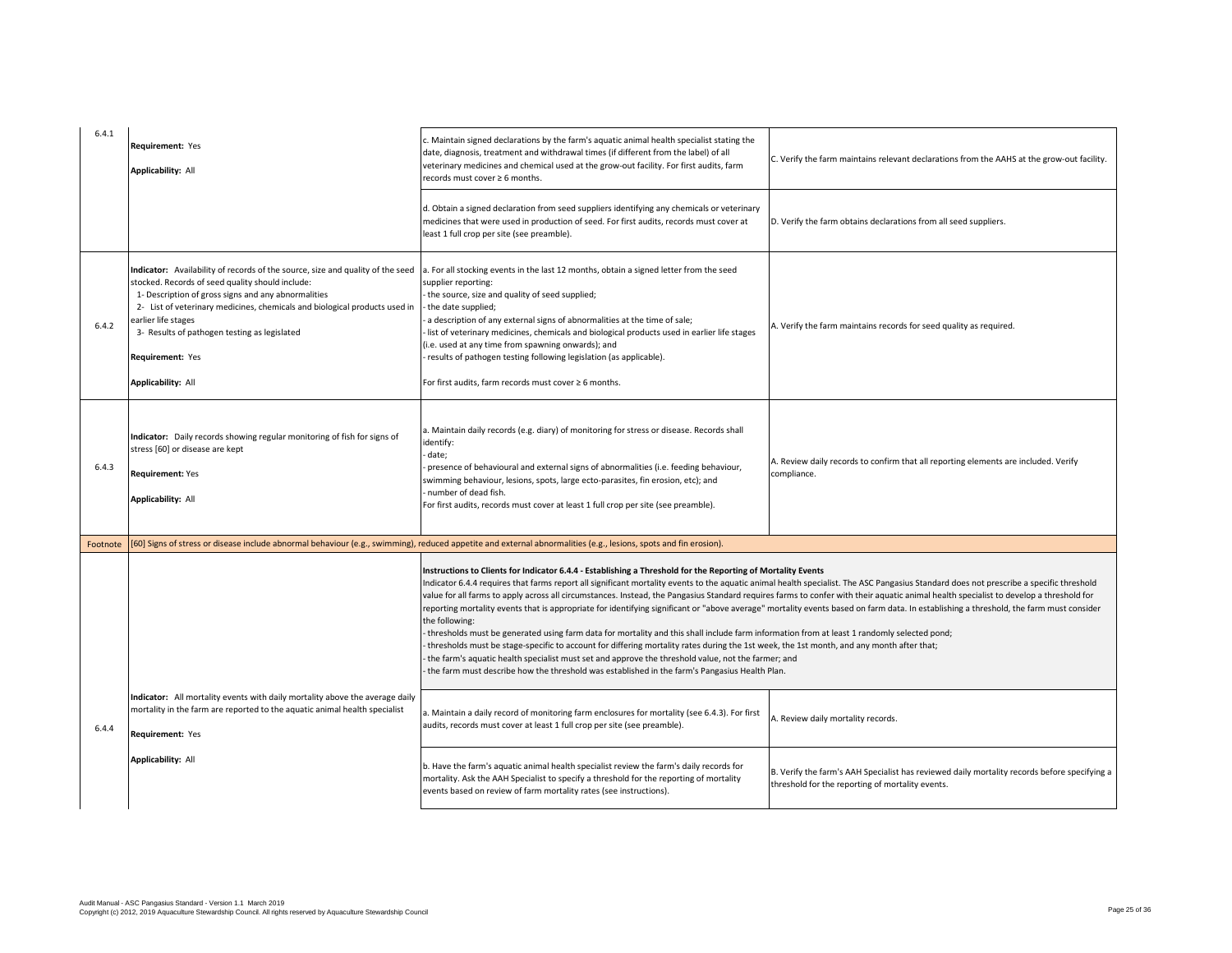| 6.4.1    | Requirement: Yes<br><b>Applicability: All</b>                                                                                                                                                                                                                                                                                                                                            | c. Maintain signed declarations by the farm's aquatic animal health specialist stating the<br>date, diagnosis, treatment and withdrawal times (if different from the label) of all<br>veterinary medicines and chemical used at the grow-out facility. For first audits, farm<br>records must cover ≥ 6 months.                                                                                                                                                                                                                                                                                                                                                                                                                                                                                                                                                                                                                                                                                                                                                                                                                                                                                                | C. Verify the farm maintains relevant declarations from the AAHS at the grow-out facility.                                                       |
|----------|------------------------------------------------------------------------------------------------------------------------------------------------------------------------------------------------------------------------------------------------------------------------------------------------------------------------------------------------------------------------------------------|----------------------------------------------------------------------------------------------------------------------------------------------------------------------------------------------------------------------------------------------------------------------------------------------------------------------------------------------------------------------------------------------------------------------------------------------------------------------------------------------------------------------------------------------------------------------------------------------------------------------------------------------------------------------------------------------------------------------------------------------------------------------------------------------------------------------------------------------------------------------------------------------------------------------------------------------------------------------------------------------------------------------------------------------------------------------------------------------------------------------------------------------------------------------------------------------------------------|--------------------------------------------------------------------------------------------------------------------------------------------------|
|          |                                                                                                                                                                                                                                                                                                                                                                                          | d. Obtain a signed declaration from seed suppliers identifying any chemicals or veterinary<br>medicines that were used in production of seed. For first audits, records must cover at<br>least 1 full crop per site (see preamble).                                                                                                                                                                                                                                                                                                                                                                                                                                                                                                                                                                                                                                                                                                                                                                                                                                                                                                                                                                            | D. Verify the farm obtains declarations from all seed suppliers.                                                                                 |
| 6.4.2    | Indicator: Availability of records of the source, size and quality of the seed<br>stocked. Records of seed quality should include:<br>1- Description of gross signs and any abnormalities<br>2- List of veterinary medicines, chemicals and biological products used in<br>earlier life stages<br>3- Results of pathogen testing as legislated<br>Requirement: Yes<br>Applicability: All | a. For all stocking events in the last 12 months, obtain a signed letter from the seed<br>supplier reporting:<br>the source, size and quality of seed supplied;<br>the date supplied;<br>a description of any external signs of abnormalities at the time of sale;<br>Ist of veterinary medicines, chemicals and biological products used in earlier life stages<br>(i.e. used at any time from spawning onwards); and<br>results of pathogen testing following legislation (as applicable).<br>For first audits, farm records must cover ≥ 6 months.                                                                                                                                                                                                                                                                                                                                                                                                                                                                                                                                                                                                                                                          | A. Verify the farm maintains records for seed quality as required.                                                                               |
| 6.4.3    | Indicator: Daily records showing regular monitoring of fish for signs of<br>stress [60] or disease are kept<br><b>Requirement: Yes</b><br><b>Applicability: All</b>                                                                                                                                                                                                                      | a. Maintain daily records (e.g. diary) of monitoring for stress or disease. Records shall<br>identify:<br>date;<br>presence of behavioural and external signs of abnormalities (i.e. feeding behaviour,<br>swimming behaviour, lesions, spots, large ecto-parasites, fin erosion, etc); and<br>number of dead fish.<br>For first audits, records must cover at least 1 full crop per site (see preamble).                                                                                                                                                                                                                                                                                                                                                                                                                                                                                                                                                                                                                                                                                                                                                                                                      | A. Review daily records to confirm that all reporting elements are included. Verify<br>compliance.                                               |
| Footnote |                                                                                                                                                                                                                                                                                                                                                                                          | [60] Signs of stress or disease include abnormal behaviour (e.g., swimming), reduced appetite and external abnormalities (e.g., lesions, spots and fin erosion).                                                                                                                                                                                                                                                                                                                                                                                                                                                                                                                                                                                                                                                                                                                                                                                                                                                                                                                                                                                                                                               |                                                                                                                                                  |
|          |                                                                                                                                                                                                                                                                                                                                                                                          | Instructions to Clients for Indicator 6.4.4 - Establishing a Threshold for the Reporting of Mortality Events<br>Indicator 6.4.4 requires that farms report all significant mortality events to the aquatic animal health specialist. The ASC Pangasius Standard does not prescribe a specific threshold<br>value for all farms to apply across all circumstances. Instead, the Pangasius Standard requires farms to confer with their aquatic animal health specialist to develop a threshold for<br>reporting mortality events that is appropriate for identifying significant or "above average" mortality events based on farm data. In establishing a threshold, the farm must consider<br>the following:<br>thresholds must be generated using farm data for mortality and this shall include farm information from at least 1 randomly selected pond;<br>thresholds must be stage-specific to account for differing mortality rates during the 1st week, the 1st month, and any month after that;<br>the farm's aquatic health specialist must set and approve the threshold value, not the farmer; and<br>the farm must describe how the threshold was established in the farm's Pangasius Health Plan. |                                                                                                                                                  |
| 6.4.4    | Indicator: All mortality events with daily mortality above the average daily<br>mortality in the farm are reported to the aquatic animal health specialist<br>Requirement: Yes                                                                                                                                                                                                           | a. Maintain a daily record of monitoring farm enclosures for mortality (see 6.4.3). For first<br>audits, records must cover at least 1 full crop per site (see preamble).                                                                                                                                                                                                                                                                                                                                                                                                                                                                                                                                                                                                                                                                                                                                                                                                                                                                                                                                                                                                                                      | A. Review daily mortality records.                                                                                                               |
|          | Applicability: All                                                                                                                                                                                                                                                                                                                                                                       | b. Have the farm's aquatic animal health specialist review the farm's daily records for<br>mortality. Ask the AAH Specialist to specify a threshold for the reporting of mortality<br>events based on review of farm mortality rates (see instructions).                                                                                                                                                                                                                                                                                                                                                                                                                                                                                                                                                                                                                                                                                                                                                                                                                                                                                                                                                       | B. Verify the farm's AAH Specialist has reviewed daily mortality records before specifying a<br>threshold for the reporting of mortality events. |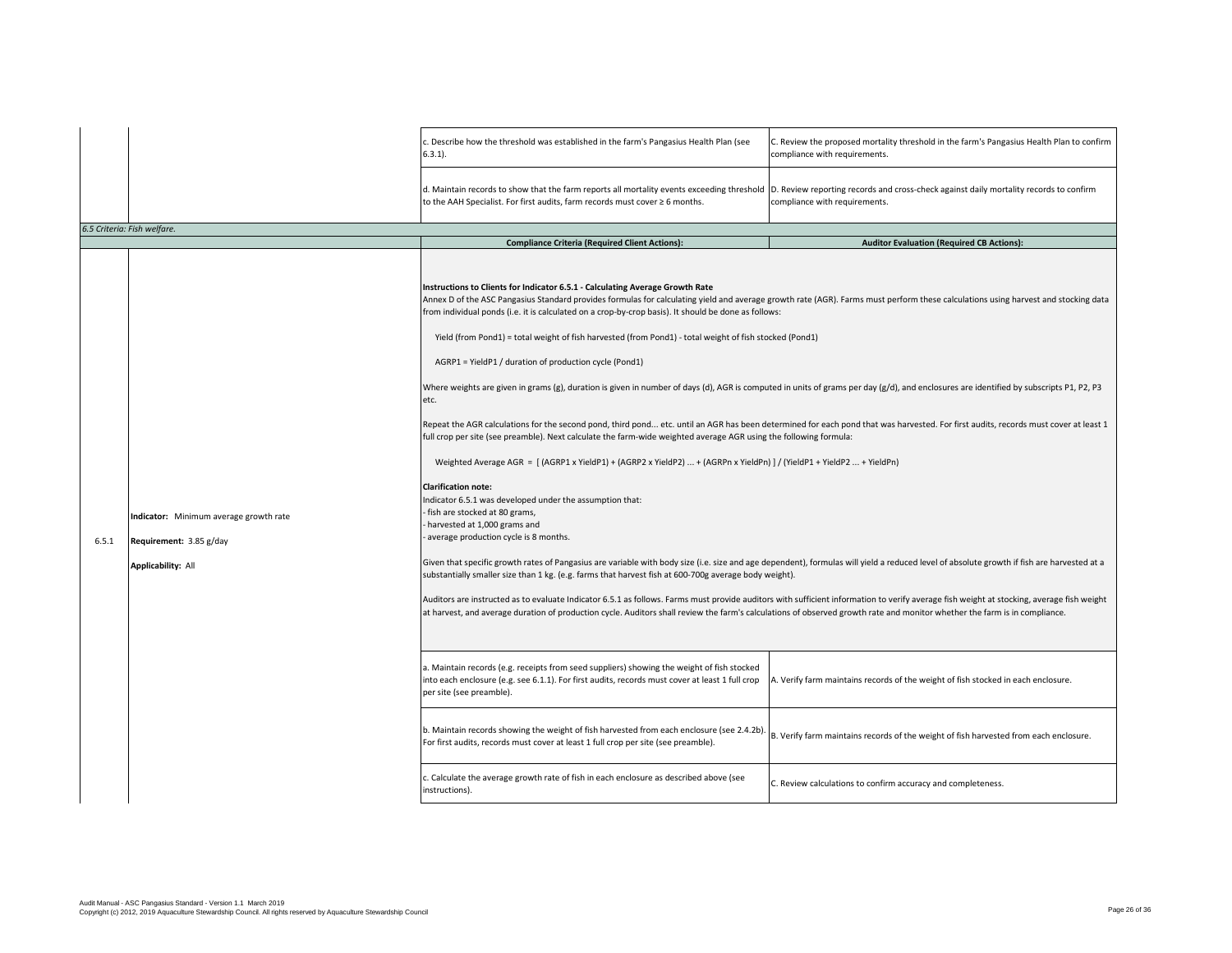| . Describe how the threshold was established in the farm's Pangasius Health Plan (see<br>C. Review the proposed mortality threshold in the farm's Pangasius Health Plan to confirm<br>compliance with requirements.<br>$6.3.1$ ).<br>d. Maintain records to show that the farm reports all mortality events exceeding threshold  D. Review reporting records and cross-check against daily mortality records to confirm<br>to the AAH Specialist. For first audits, farm records must cover ≥ 6 months.<br>compliance with requirements.<br>6.5 Criteria: Fish welfare.<br><b>Auditor Evaluation (Required CB Actions):</b><br><b>Compliance Criteria (Required Client Actions):</b><br>Instructions to Clients for Indicator 6.5.1 - Calculating Average Growth Rate<br>Annex D of the ASC Pangasius Standard provides formulas for calculating yield and average growth rate (AGR). Farms must perform these calculations using harvest and stocking data<br>from individual ponds (i.e. it is calculated on a crop-by-crop basis). It should be done as follows:<br>Yield (from Pond1) = total weight of fish harvested (from Pond1) - total weight of fish stocked (Pond1)<br>AGRP1 = YieldP1 / duration of production cycle (Pond1)<br>Where weights are given in grams (g), duration is given in number of days (d), AGR is computed in units of grams per day (g/d), and enclosures are identified by subscripts P1, P2, P3<br>etc.<br>Repeat the AGR calculations for the second pond, third pond etc. until an AGR has been determined for each pond that was harvested. For first audits, records must cover at least 1<br>full crop per site (see preamble). Next calculate the farm-wide weighted average AGR using the following formula:<br>Weighted Average AGR = [(AGRP1 x YieldP1) + (AGRP2 x YieldP2)  + (AGRPn x YieldPn) ] / (YieldP1 + YieldP2  + YieldPn)<br><b>Clarification note:</b><br>Indicator 6.5.1 was developed under the assumption that:<br>fish are stocked at 80 grams,<br>Indicator: Minimum average growth rate<br>harvested at 1,000 grams and<br>average production cycle is 8 months.<br>6.5.1<br>Requirement: 3.85 g/day<br>Given that specific growth rates of Pangasius are variable with body size (i.e. size and age dependent), formulas will yield a reduced level of absolute growth if fish are harvested at a<br>Applicability: All<br>substantially smaller size than 1 kg. (e.g. farms that harvest fish at 600-700g average body weight).<br>Auditors are instructed as to evaluate Indicator 6.5.1 as follows. Farms must provide auditors with sufficient information to verify average fish weight at stocking, average fish weight<br>at harvest, and average duration of production cycle. Auditors shall review the farm's calculations of observed growth rate and monitor whether the farm is in compliance.<br>a. Maintain records (e.g. receipts from seed suppliers) showing the weight of fish stocked<br>into each enclosure (e.g. see 6.1.1). For first audits, records must cover at least 1 full crop<br>A. Verify farm maintains records of the weight of fish stocked in each enclosure.<br>per site (see preamble).<br>b. Maintain records showing the weight of fish harvested from each enclosure (see 2.4.2b)<br>B. Verify farm maintains records of the weight of fish harvested from each enclosure.<br>For first audits, records must cover at least 1 full crop per site (see preamble).<br>. Calculate the average growth rate of fish in each enclosure as described above (see<br>C. Review calculations to confirm accuracy and completeness.<br>instructions). |  |  |
|----------------------------------------------------------------------------------------------------------------------------------------------------------------------------------------------------------------------------------------------------------------------------------------------------------------------------------------------------------------------------------------------------------------------------------------------------------------------------------------------------------------------------------------------------------------------------------------------------------------------------------------------------------------------------------------------------------------------------------------------------------------------------------------------------------------------------------------------------------------------------------------------------------------------------------------------------------------------------------------------------------------------------------------------------------------------------------------------------------------------------------------------------------------------------------------------------------------------------------------------------------------------------------------------------------------------------------------------------------------------------------------------------------------------------------------------------------------------------------------------------------------------------------------------------------------------------------------------------------------------------------------------------------------------------------------------------------------------------------------------------------------------------------------------------------------------------------------------------------------------------------------------------------------------------------------------------------------------------------------------------------------------------------------------------------------------------------------------------------------------------------------------------------------------------------------------------------------------------------------------------------------------------------------------------------------------------------------------------------------------------------------------------------------------------------------------------------------------------------------------------------------------------------------------------------------------------------------------------------------------------------------------------------------------------------------------------------------------------------------------------------------------------------------------------------------------------------------------------------------------------------------------------------------------------------------------------------------------------------------------------------------------------------------------------------------------------------------------------------------------------------------------------------------------------------------------------------------------------------------------------------------------------------------------------------------------------------------------------------------------------------------------------------------------------------------------------------------------------------------------------------------------------------------------------------------------------------------------------------------------------------------------------|--|--|
|                                                                                                                                                                                                                                                                                                                                                                                                                                                                                                                                                                                                                                                                                                                                                                                                                                                                                                                                                                                                                                                                                                                                                                                                                                                                                                                                                                                                                                                                                                                                                                                                                                                                                                                                                                                                                                                                                                                                                                                                                                                                                                                                                                                                                                                                                                                                                                                                                                                                                                                                                                                                                                                                                                                                                                                                                                                                                                                                                                                                                                                                                                                                                                                                                                                                                                                                                                                                                                                                                                                                                                                                                                                    |  |  |
|                                                                                                                                                                                                                                                                                                                                                                                                                                                                                                                                                                                                                                                                                                                                                                                                                                                                                                                                                                                                                                                                                                                                                                                                                                                                                                                                                                                                                                                                                                                                                                                                                                                                                                                                                                                                                                                                                                                                                                                                                                                                                                                                                                                                                                                                                                                                                                                                                                                                                                                                                                                                                                                                                                                                                                                                                                                                                                                                                                                                                                                                                                                                                                                                                                                                                                                                                                                                                                                                                                                                                                                                                                                    |  |  |
|                                                                                                                                                                                                                                                                                                                                                                                                                                                                                                                                                                                                                                                                                                                                                                                                                                                                                                                                                                                                                                                                                                                                                                                                                                                                                                                                                                                                                                                                                                                                                                                                                                                                                                                                                                                                                                                                                                                                                                                                                                                                                                                                                                                                                                                                                                                                                                                                                                                                                                                                                                                                                                                                                                                                                                                                                                                                                                                                                                                                                                                                                                                                                                                                                                                                                                                                                                                                                                                                                                                                                                                                                                                    |  |  |
|                                                                                                                                                                                                                                                                                                                                                                                                                                                                                                                                                                                                                                                                                                                                                                                                                                                                                                                                                                                                                                                                                                                                                                                                                                                                                                                                                                                                                                                                                                                                                                                                                                                                                                                                                                                                                                                                                                                                                                                                                                                                                                                                                                                                                                                                                                                                                                                                                                                                                                                                                                                                                                                                                                                                                                                                                                                                                                                                                                                                                                                                                                                                                                                                                                                                                                                                                                                                                                                                                                                                                                                                                                                    |  |  |
|                                                                                                                                                                                                                                                                                                                                                                                                                                                                                                                                                                                                                                                                                                                                                                                                                                                                                                                                                                                                                                                                                                                                                                                                                                                                                                                                                                                                                                                                                                                                                                                                                                                                                                                                                                                                                                                                                                                                                                                                                                                                                                                                                                                                                                                                                                                                                                                                                                                                                                                                                                                                                                                                                                                                                                                                                                                                                                                                                                                                                                                                                                                                                                                                                                                                                                                                                                                                                                                                                                                                                                                                                                                    |  |  |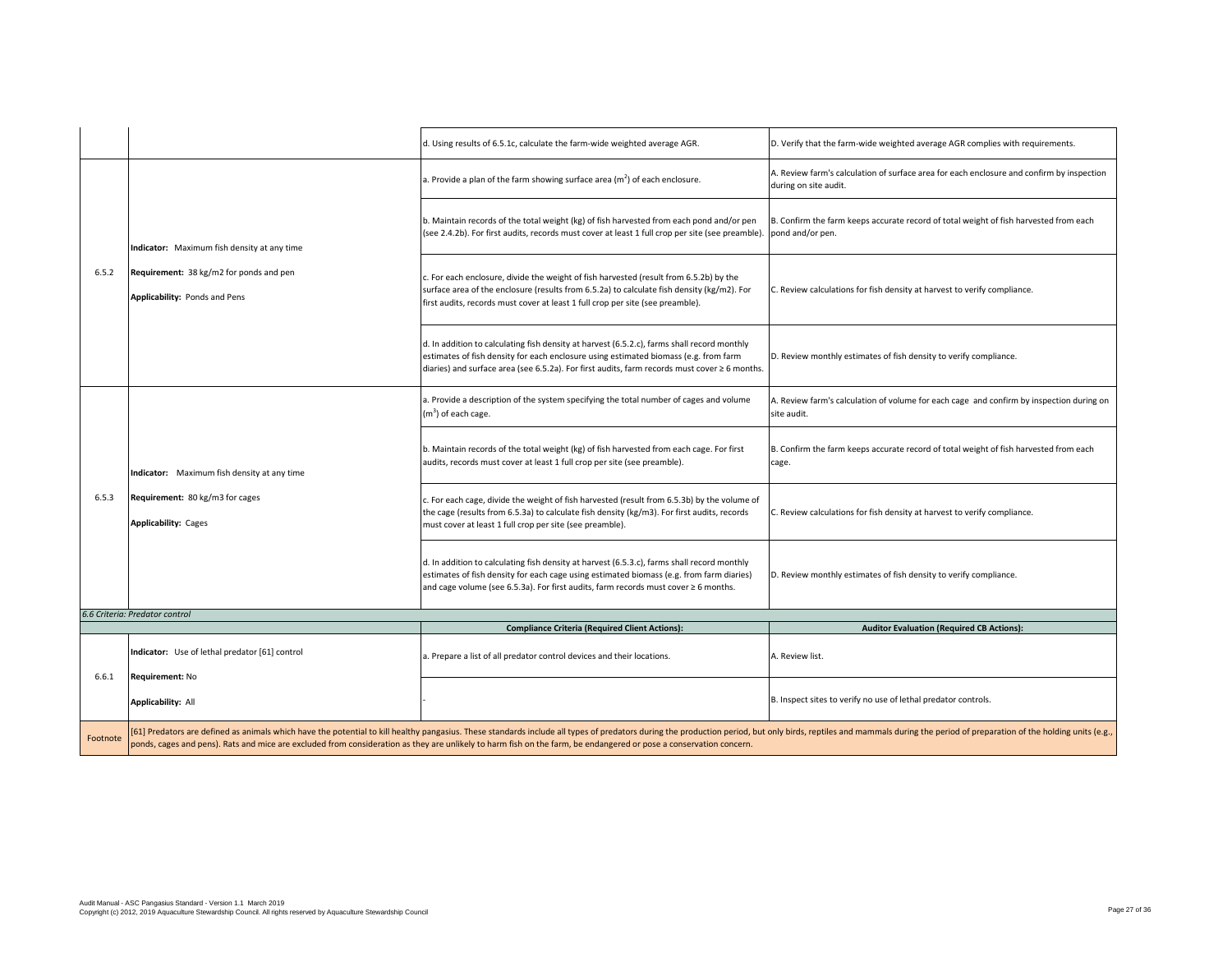|          |                                                                                                                                                                                                                                          | d. Using results of 6.5.1c, calculate the farm-wide weighted average AGR.                                                                                                                                                                                                                                                                                                                           | D. Verify that the farm-wide weighted average AGR complies with requirements.                                      |
|----------|------------------------------------------------------------------------------------------------------------------------------------------------------------------------------------------------------------------------------------------|-----------------------------------------------------------------------------------------------------------------------------------------------------------------------------------------------------------------------------------------------------------------------------------------------------------------------------------------------------------------------------------------------------|--------------------------------------------------------------------------------------------------------------------|
|          | Indicator: Maximum fish density at any time<br>Requirement: 38 kg/m2 for ponds and pen<br>Applicability: Ponds and Pens<br>Indicator: Maximum fish density at any time<br>Requirement: 80 kg/m3 for cages<br><b>Applicability: Cages</b> | a. Provide a plan of the farm showing surface area $(m2)$ of each enclosure.                                                                                                                                                                                                                                                                                                                        | A. Review farm's calculation of surface area for each enclosure and confirm by inspection<br>during on site audit. |
|          |                                                                                                                                                                                                                                          | b. Maintain records of the total weight (kg) of fish harvested from each pond and/or pen<br>(see 2.4.2b). For first audits, records must cover at least 1 full crop per site (see preamble).                                                                                                                                                                                                        | B. Confirm the farm keeps accurate record of total weight of fish harvested from each<br>pond and/or pen.          |
| 6.5.2    |                                                                                                                                                                                                                                          | c. For each enclosure, divide the weight of fish harvested (result from 6.5.2b) by the<br>surface area of the enclosure (results from 6.5.2a) to calculate fish density (kg/m2). For<br>first audits, records must cover at least 1 full crop per site (see preamble).                                                                                                                              | C. Review calculations for fish density at harvest to verify compliance.                                           |
|          |                                                                                                                                                                                                                                          | d. In addition to calculating fish density at harvest (6.5.2.c), farms shall record monthly<br>estimates of fish density for each enclosure using estimated biomass (e.g. from farm<br>diaries) and surface area (see 6.5.2a). For first audits, farm records must cover ≥ 6 months.                                                                                                                | D. Review monthly estimates of fish density to verify compliance.                                                  |
|          |                                                                                                                                                                                                                                          | a. Provide a description of the system specifying the total number of cages and volume<br>$(m3)$ of each cage.                                                                                                                                                                                                                                                                                      | A. Review farm's calculation of volume for each cage and confirm by inspection during on<br>site audit.            |
|          |                                                                                                                                                                                                                                          | b. Maintain records of the total weight (kg) of fish harvested from each cage. For first<br>audits, records must cover at least 1 full crop per site (see preamble).                                                                                                                                                                                                                                | B. Confirm the farm keeps accurate record of total weight of fish harvested from each<br>cage.                     |
| 6.5.3    |                                                                                                                                                                                                                                          | c. For each cage, divide the weight of fish harvested (result from 6.5.3b) by the volume of<br>the cage (results from 6.5.3a) to calculate fish density (kg/m3). For first audits, records<br>must cover at least 1 full crop per site (see preamble).                                                                                                                                              | C. Review calculations for fish density at harvest to verify compliance.                                           |
|          |                                                                                                                                                                                                                                          | d. In addition to calculating fish density at harvest (6.5.3.c), farms shall record monthly<br>estimates of fish density for each cage using estimated biomass (e.g. from farm diaries)<br>and cage volume (see 6.5.3a). For first audits, farm records must cover $\geq 6$ months.                                                                                                                 | D. Review monthly estimates of fish density to verify compliance.                                                  |
|          | 6.6 Criteria: Predator control                                                                                                                                                                                                           |                                                                                                                                                                                                                                                                                                                                                                                                     |                                                                                                                    |
|          |                                                                                                                                                                                                                                          | <b>Compliance Criteria (Required Client Actions):</b>                                                                                                                                                                                                                                                                                                                                               | <b>Auditor Evaluation (Required CB Actions):</b>                                                                   |
| 6.6.1    | Indicator: Use of lethal predator [61] control<br>Requirement: No                                                                                                                                                                        | a. Prepare a list of all predator control devices and their locations.                                                                                                                                                                                                                                                                                                                              | A. Review list.                                                                                                    |
|          | Applicability: All                                                                                                                                                                                                                       |                                                                                                                                                                                                                                                                                                                                                                                                     | B. Inspect sites to verify no use of lethal predator controls.                                                     |
| Footnote |                                                                                                                                                                                                                                          | [61] Predators are defined as animals which have the potential to kill healthy pangasius. These standards include all types of predators during the production period, but only birds, reptiles and mammals during the period<br>ponds, cages and pens). Rats and mice are excluded from consideration as they are unlikely to harm fish on the farm, be endangered or pose a conservation concern. |                                                                                                                    |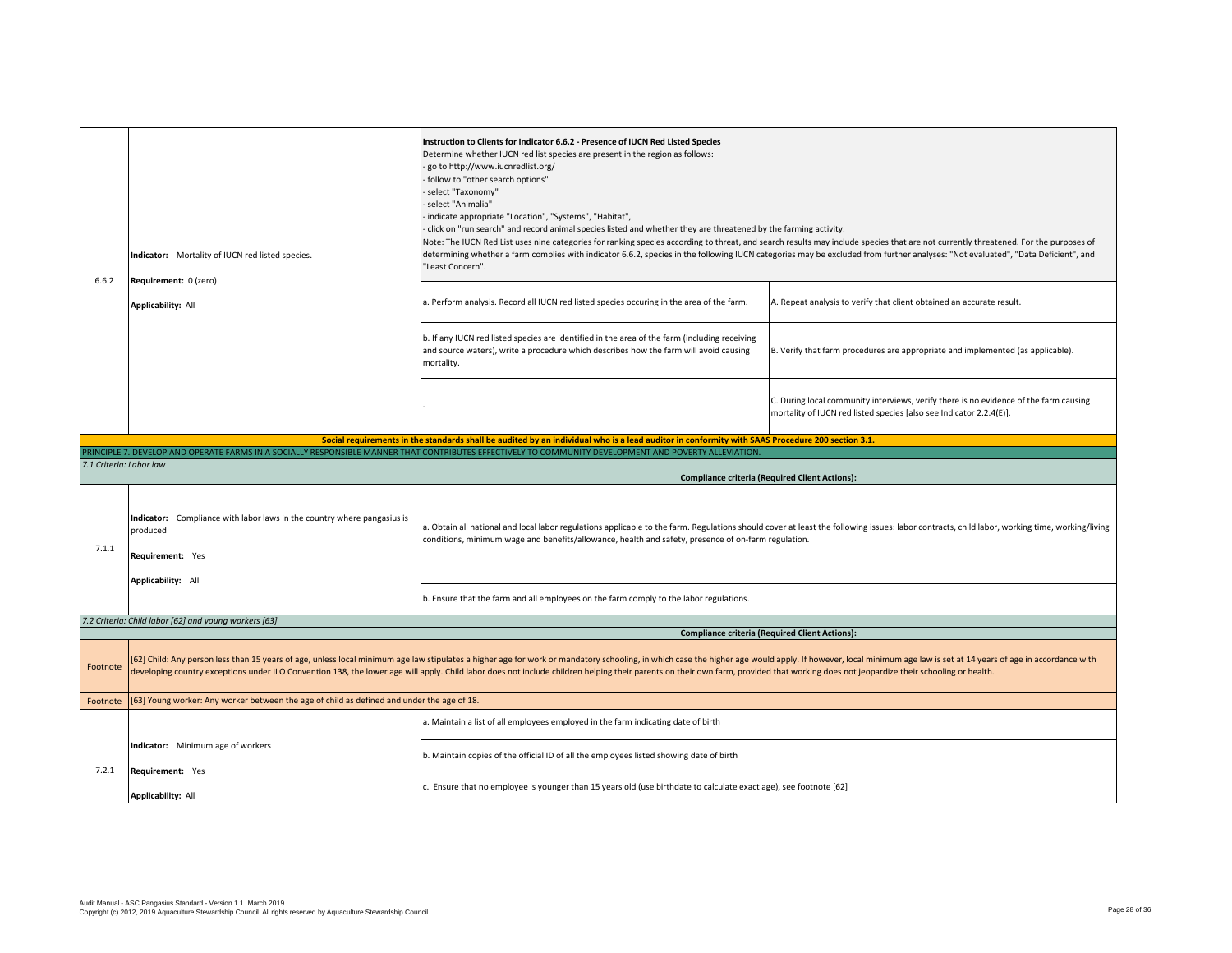| 6.6.2                   | Indicator: Mortality of IUCN red listed species.                                                        | Instruction to Clients for Indicator 6.6.2 - Presence of IUCN Red Listed Species<br>Determine whether IUCN red list species are present in the region as follows:<br>go to http://www.iucnredlist.org/<br>follow to "other search options"<br>select "Taxonomy"<br>select "Animalia"<br>indicate appropriate "Location", "Systems", "Habitat",<br>click on "run search" and record animal species listed and whether they are threatened by the farming activity.<br>Note: The IUCN Red List uses nine categories for ranking species according to threat, and search results may include species that are not currently threatened. For the purposes of<br>determining whether a farm complies with indicator 6.6.2, species in the following IUCN categories may be excluded from further analyses: "Not evaluated", "Data Deficient", and<br>"Least Concern". |                                                                                                                                                                                                                                                        |
|-------------------------|---------------------------------------------------------------------------------------------------------|------------------------------------------------------------------------------------------------------------------------------------------------------------------------------------------------------------------------------------------------------------------------------------------------------------------------------------------------------------------------------------------------------------------------------------------------------------------------------------------------------------------------------------------------------------------------------------------------------------------------------------------------------------------------------------------------------------------------------------------------------------------------------------------------------------------------------------------------------------------|--------------------------------------------------------------------------------------------------------------------------------------------------------------------------------------------------------------------------------------------------------|
|                         | Requirement: 0 (zero)<br><b>Applicability: All</b>                                                      | a. Perform analysis. Record all IUCN red listed species occuring in the area of the farm.                                                                                                                                                                                                                                                                                                                                                                                                                                                                                                                                                                                                                                                                                                                                                                        | A. Repeat analysis to verify that client obtained an accurate result.                                                                                                                                                                                  |
|                         |                                                                                                         | b. If any IUCN red listed species are identified in the area of the farm (including receiving<br>and source waters), write a procedure which describes how the farm will avoid causing<br>mortality.                                                                                                                                                                                                                                                                                                                                                                                                                                                                                                                                                                                                                                                             | B. Verify that farm procedures are appropriate and implemented (as applicable).                                                                                                                                                                        |
|                         |                                                                                                         |                                                                                                                                                                                                                                                                                                                                                                                                                                                                                                                                                                                                                                                                                                                                                                                                                                                                  | C. During local community interviews, verify there is no evidence of the farm causing<br>mortality of IUCN red listed species [also see Indicator 2.2.4(E)].                                                                                           |
|                         |                                                                                                         | Social requirements in the standards shall be audited by an individual who is a lead auditor in conformity with SAAS Procedure 200 section 3.1.                                                                                                                                                                                                                                                                                                                                                                                                                                                                                                                                                                                                                                                                                                                  |                                                                                                                                                                                                                                                        |
| 7.1 Criteria: Labor law |                                                                                                         | PRINCIPLE 7. DEVELOP AND OPERATE FARMS IN A SOCIALLY RESPONSIBLE MANNER THAT CONTRIBUTES EFFECTIVELY TO COMMUNITY DEVELOPMENT AND POVERTY ALLEVIATION.                                                                                                                                                                                                                                                                                                                                                                                                                                                                                                                                                                                                                                                                                                           |                                                                                                                                                                                                                                                        |
|                         |                                                                                                         |                                                                                                                                                                                                                                                                                                                                                                                                                                                                                                                                                                                                                                                                                                                                                                                                                                                                  |                                                                                                                                                                                                                                                        |
|                         |                                                                                                         |                                                                                                                                                                                                                                                                                                                                                                                                                                                                                                                                                                                                                                                                                                                                                                                                                                                                  |                                                                                                                                                                                                                                                        |
| 7.1.1                   | Indicator: Compliance with labor laws in the country where pangasius is<br>produced<br>Requirement: Yes | conditions, minimum wage and benefits/allowance, health and safety, presence of on-farm regulation.                                                                                                                                                                                                                                                                                                                                                                                                                                                                                                                                                                                                                                                                                                                                                              | <b>Compliance criteria (Required Client Actions):</b><br>a. Obtain all national and local labor regulations applicable to the farm. Regulations should cover at least the following issues: labor contracts, child labor, working time, working/living |
|                         | Applicability: All                                                                                      |                                                                                                                                                                                                                                                                                                                                                                                                                                                                                                                                                                                                                                                                                                                                                                                                                                                                  |                                                                                                                                                                                                                                                        |
|                         |                                                                                                         | b. Ensure that the farm and all employees on the farm comply to the labor regulations.                                                                                                                                                                                                                                                                                                                                                                                                                                                                                                                                                                                                                                                                                                                                                                           |                                                                                                                                                                                                                                                        |
|                         | 7.2 Criteria: Child labor [62] and young workers [63]                                                   |                                                                                                                                                                                                                                                                                                                                                                                                                                                                                                                                                                                                                                                                                                                                                                                                                                                                  |                                                                                                                                                                                                                                                        |
| Footnote                |                                                                                                         | [62] Child: Any person less than 15 years of age, unless local minimum age law stipulates a higher age for work or mandatory schooling, in which case the higher age would apply. If however, local minimum age law is set at<br>developing country exceptions under ILO Convention 138, the lower age will apply. Child labor does not include children helping their parents on their own farm, provided that working does not jeopardize their schooling or                                                                                                                                                                                                                                                                                                                                                                                                   | <b>Compliance criteria (Required Client Actions):</b>                                                                                                                                                                                                  |
| Footnote                | [63] Young worker: Any worker between the age of child as defined and under the age of 18.              |                                                                                                                                                                                                                                                                                                                                                                                                                                                                                                                                                                                                                                                                                                                                                                                                                                                                  |                                                                                                                                                                                                                                                        |
|                         |                                                                                                         | a. Maintain a list of all employees employed in the farm indicating date of birth                                                                                                                                                                                                                                                                                                                                                                                                                                                                                                                                                                                                                                                                                                                                                                                |                                                                                                                                                                                                                                                        |
| 7.2.1                   | Indicator: Minimum age of workers<br>Requirement: Yes                                                   | b. Maintain copies of the official ID of all the employees listed showing date of birth                                                                                                                                                                                                                                                                                                                                                                                                                                                                                                                                                                                                                                                                                                                                                                          |                                                                                                                                                                                                                                                        |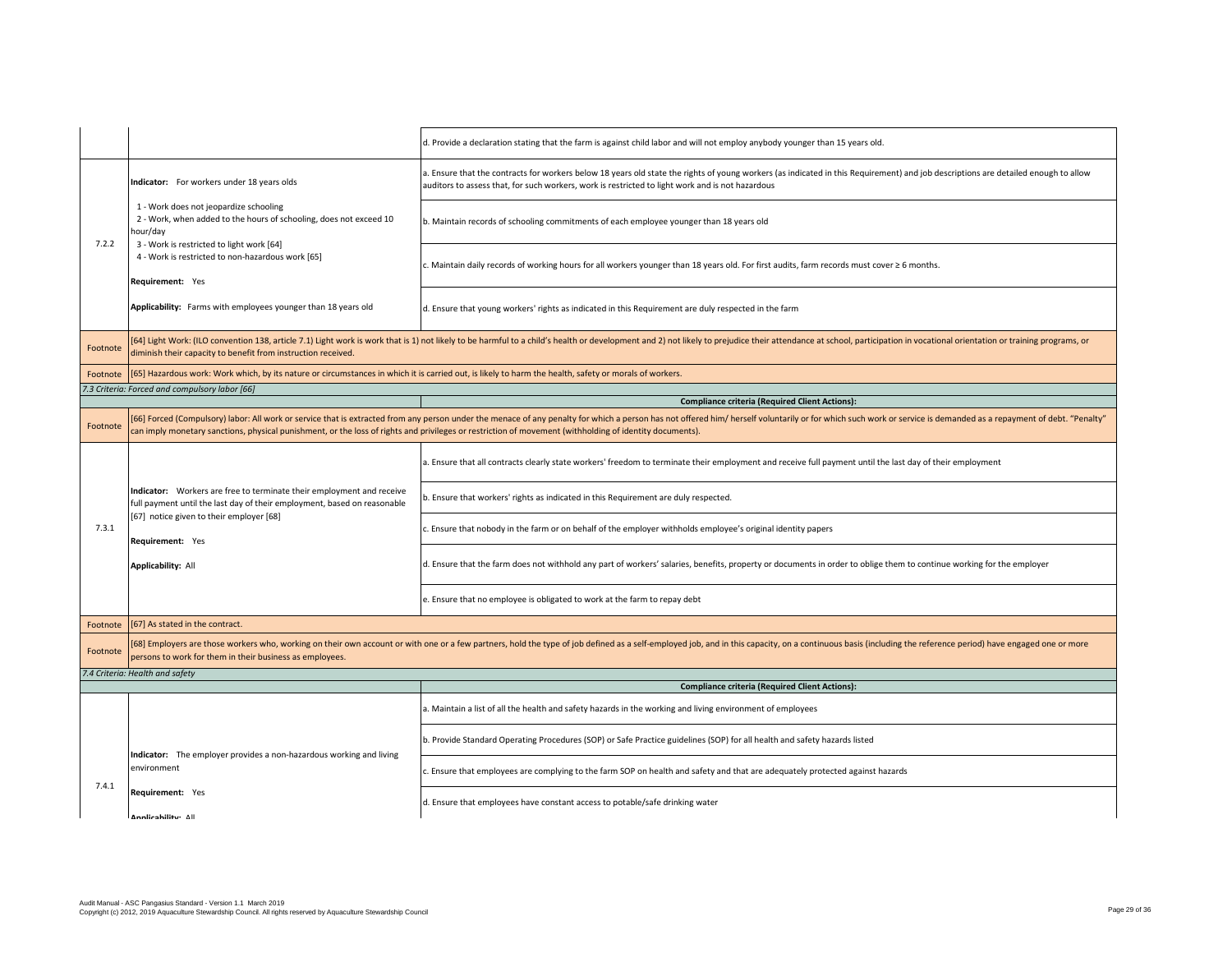|          |                                                                                                                                                                                                                                                                                            | d. Provide a declaration stating that the farm is against child labor and will not employ anybody younger than 15 years old.                                                                                                                                                           |
|----------|--------------------------------------------------------------------------------------------------------------------------------------------------------------------------------------------------------------------------------------------------------------------------------------------|----------------------------------------------------------------------------------------------------------------------------------------------------------------------------------------------------------------------------------------------------------------------------------------|
|          | Indicator: For workers under 18 years olds                                                                                                                                                                                                                                                 | a. Ensure that the contracts for workers below 18 years old state the rights of young workers (as indicated in this Requirement) and job descriptions are detailed enough to allow<br>auditors to assess that, for such workers, work is restricted to light work and is not hazardous |
|          | 1 - Work does not jeopardize schooling<br>2 - Work, when added to the hours of schooling, does not exceed 10<br>hour/day                                                                                                                                                                   | b. Maintain records of schooling commitments of each employee younger than 18 years old                                                                                                                                                                                                |
| 7.2.2    | 3 - Work is restricted to light work [64]<br>4 - Work is restricted to non-hazardous work [65]<br>Requirement: Yes                                                                                                                                                                         | c. Maintain daily records of working hours for all workers younger than 18 years old. For first audits, farm records must cover ≥ 6 months.                                                                                                                                            |
|          | Applicability: Farms with employees younger than 18 years old                                                                                                                                                                                                                              | d. Ensure that young workers' rights as indicated in this Requirement are duly respected in the farm                                                                                                                                                                                   |
| Footnote | diminish their capacity to benefit from instruction received.                                                                                                                                                                                                                              | [64] Light Work: (ILO convention 138, article 7.1) Light work is work that is 1) not likely to be harmful to a child's health or development and 2) not likely to prejudice their attendance at school, participation in vocat                                                         |
| Footnote | [65] Hazardous work: Work which, by its nature or circumstances in which it is carried out, is likely to harm the health, safety or morals of workers.                                                                                                                                     |                                                                                                                                                                                                                                                                                        |
|          | 7.3 Criteria: Forced and compulsory labor [66]                                                                                                                                                                                                                                             |                                                                                                                                                                                                                                                                                        |
|          |                                                                                                                                                                                                                                                                                            | <b>Compliance criteria (Required Client Actions):</b>                                                                                                                                                                                                                                  |
| Footnote | can imply monetary sanctions, physical punishment, or the loss of rights and privileges or restriction of movement (withholding of identity documents).                                                                                                                                    | [66] Forced (Compulsory) labor: All work or service that is extracted from any person under the menace of any penalty for which a person has not offered him/ herself voluntarily or for which such work or service is demande                                                         |
|          |                                                                                                                                                                                                                                                                                            | a. Ensure that all contracts clearly state workers' freedom to terminate their employment and receive full payment until the last day of their employment                                                                                                                              |
|          | Indicator: Workers are free to terminate their employment and receive<br>full payment until the last day of their employment, based on reasonable                                                                                                                                          | b. Ensure that workers' rights as indicated in this Requirement are duly respected.                                                                                                                                                                                                    |
| 7.3.1    | [67] notice given to their employer [68]<br>Requirement: Yes                                                                                                                                                                                                                               | c. Ensure that nobody in the farm or on behalf of the employer withholds employee's original identity papers                                                                                                                                                                           |
|          | Applicability: All                                                                                                                                                                                                                                                                         | d. Ensure that the farm does not withhold any part of workers' salaries, benefits, property or documents in order to oblige them to continue working for the employer                                                                                                                  |
|          |                                                                                                                                                                                                                                                                                            | e. Ensure that no employee is obligated to work at the farm to repay debt                                                                                                                                                                                                              |
| Footnote | [67] As stated in the contract.                                                                                                                                                                                                                                                            |                                                                                                                                                                                                                                                                                        |
| Footnote | [68] Employers are those workers who, working on their own account or with one or a few partners, hold the type of job defined as a self-employed job, and in this capacity, on a continuous basis (including the reference pe<br>persons to work for them in their business as employees. |                                                                                                                                                                                                                                                                                        |
|          | 7.4 Criteria: Health and safety                                                                                                                                                                                                                                                            |                                                                                                                                                                                                                                                                                        |
|          |                                                                                                                                                                                                                                                                                            | <b>Compliance criteria (Required Client Actions):</b>                                                                                                                                                                                                                                  |
|          |                                                                                                                                                                                                                                                                                            | a. Maintain a list of all the health and safety hazards in the working and living environment of employees                                                                                                                                                                             |
|          | Indicator: The employer provides a non-hazardous working and living                                                                                                                                                                                                                        | b. Provide Standard Operating Procedures (SOP) or Safe Practice guidelines (SOP) for all health and safety hazards listed                                                                                                                                                              |
| 7.4.1    | environment                                                                                                                                                                                                                                                                                | c. Ensure that employees are complying to the farm SOP on health and safety and that are adequately protected against hazards                                                                                                                                                          |
|          | Requirement: Yes<br>Annlicability: All                                                                                                                                                                                                                                                     | d. Ensure that employees have constant access to potable/safe drinking water                                                                                                                                                                                                           |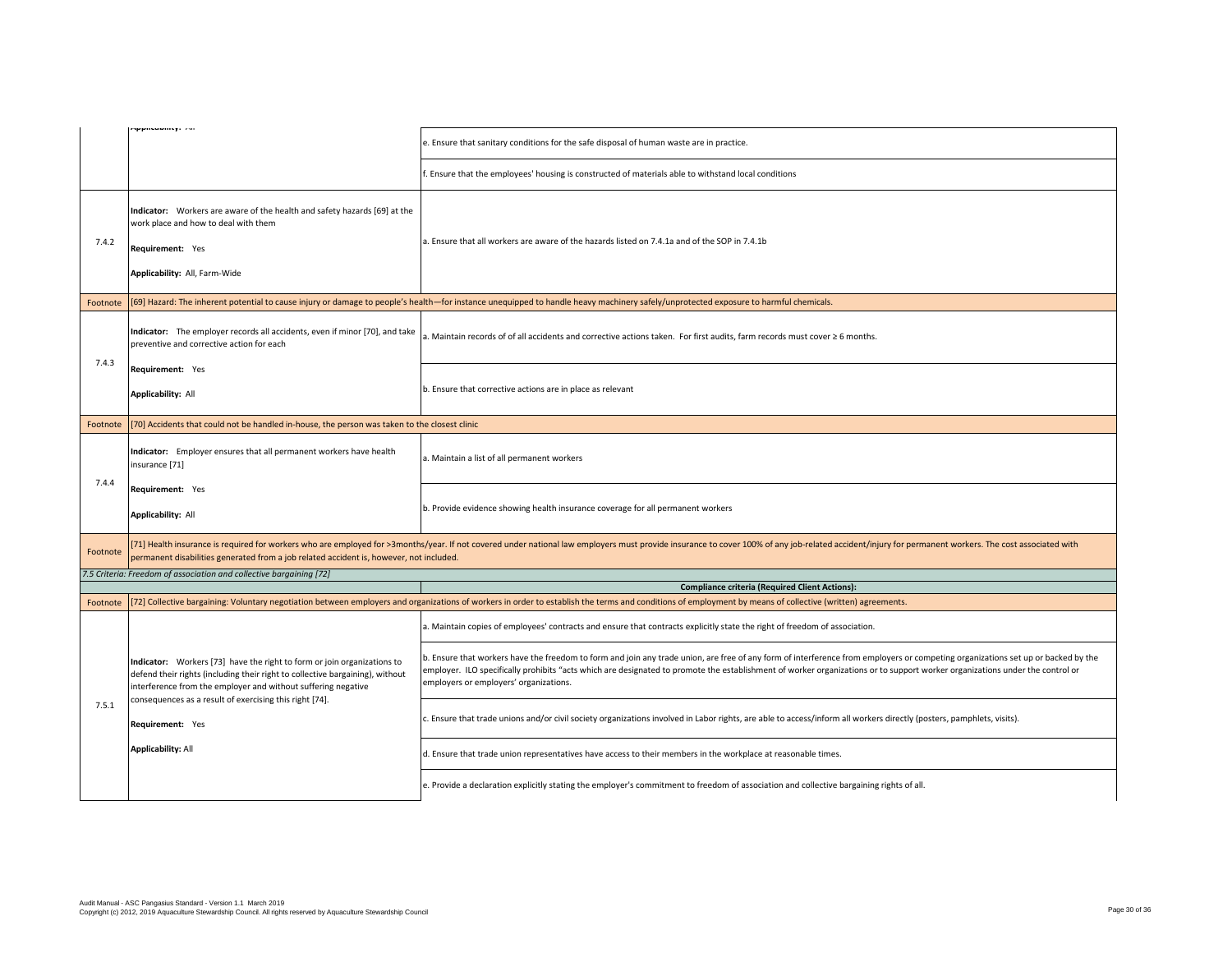|          | Mpplicability. All                                                                                                                                                                                                        | e. Ensure that sanitary conditions for the safe disposal of human waste are in practice.                                                                                                                                                                                                                                                                                                                   |
|----------|---------------------------------------------------------------------------------------------------------------------------------------------------------------------------------------------------------------------------|------------------------------------------------------------------------------------------------------------------------------------------------------------------------------------------------------------------------------------------------------------------------------------------------------------------------------------------------------------------------------------------------------------|
|          |                                                                                                                                                                                                                           | . Ensure that the employees' housing is constructed of materials able to withstand local conditions                                                                                                                                                                                                                                                                                                        |
| 7.4.2    | Indicator: Workers are aware of the health and safety hazards [69] at the<br>work place and how to deal with them<br>Requirement: Yes<br>Applicability: All, Farm-Wide                                                    | a. Ensure that all workers are aware of the hazards listed on 7.4.1a and of the SOP in 7.4.1b                                                                                                                                                                                                                                                                                                              |
| Footnote |                                                                                                                                                                                                                           | [69] Hazard: The inherent potential to cause injury or damage to people's health-for instance unequipped to handle heavy machinery safely/unprotected exposure to harmful chemicals.                                                                                                                                                                                                                       |
| 7.4.3    | Indicator: The employer records all accidents, even if minor [70], and take<br>preventive and corrective action for each                                                                                                  | a. Maintain records of of all accidents and corrective actions taken. For first audits, farm records must cover ≥ 6 months.                                                                                                                                                                                                                                                                                |
|          | Requirement: Yes<br><b>Applicability: All</b>                                                                                                                                                                             | b. Ensure that corrective actions are in place as relevant                                                                                                                                                                                                                                                                                                                                                 |
| Footnote | [70] Accidents that could not be handled in-house, the person was taken to the closest clinic                                                                                                                             |                                                                                                                                                                                                                                                                                                                                                                                                            |
|          | Indicator: Employer ensures that all permanent workers have health<br>insurance [71]                                                                                                                                      | a. Maintain a list of all permanent workers                                                                                                                                                                                                                                                                                                                                                                |
| 7.4.4    | Requirement: Yes<br>Applicability: All                                                                                                                                                                                    | b. Provide evidence showing health insurance coverage for all permanent workers                                                                                                                                                                                                                                                                                                                            |
| Footnote | permanent disabilities generated from a job related accident is, however, not included.                                                                                                                                   | [71] Health insurance is required for workers who are employed for >3months/year. If not covered under national law employers must provide insurance to cover 100% of any job-related accident/injury for permanent workers. T                                                                                                                                                                             |
|          | 7.5 Criteria: Freedom of association and collective bargaining [72]                                                                                                                                                       |                                                                                                                                                                                                                                                                                                                                                                                                            |
|          |                                                                                                                                                                                                                           | <b>Compliance criteria (Required Client Actions):</b><br>[72] Collective bargaining: Voluntary negotiation between employers and organizations of workers in order to establish the terms and conditions of employment by means of collective (written) agreements.                                                                                                                                        |
| Footnote |                                                                                                                                                                                                                           | a. Maintain copies of employees' contracts and ensure that contracts explicitly state the right of freedom of association.                                                                                                                                                                                                                                                                                 |
|          | Indicator: Workers [73] have the right to form or join organizations to<br>defend their rights (including their right to collective bargaining), without<br>interference from the employer and without suffering negative | b. Ensure that workers have the freedom to form and join any trade union, are free of any form of interference from employers or competing organizations set up or backed by the<br>employer. ILO specifically prohibits "acts which are designated to promote the establishment of worker organizations or to support worker organizations under the control or<br>employers or employers' organizations. |
| 7.5.1    | consequences as a result of exercising this right [74].<br>Requirement: Yes                                                                                                                                               | c. Ensure that trade unions and/or civil society organizations involved in Labor rights, are able to access/inform all workers directly (posters, pamphlets, visits).                                                                                                                                                                                                                                      |
|          | <b>Applicability: All</b>                                                                                                                                                                                                 | d. Ensure that trade union representatives have access to their members in the workplace at reasonable times.                                                                                                                                                                                                                                                                                              |
|          |                                                                                                                                                                                                                           | e. Provide a declaration explicitly stating the employer's commitment to freedom of association and collective bargaining rights of all.                                                                                                                                                                                                                                                                   |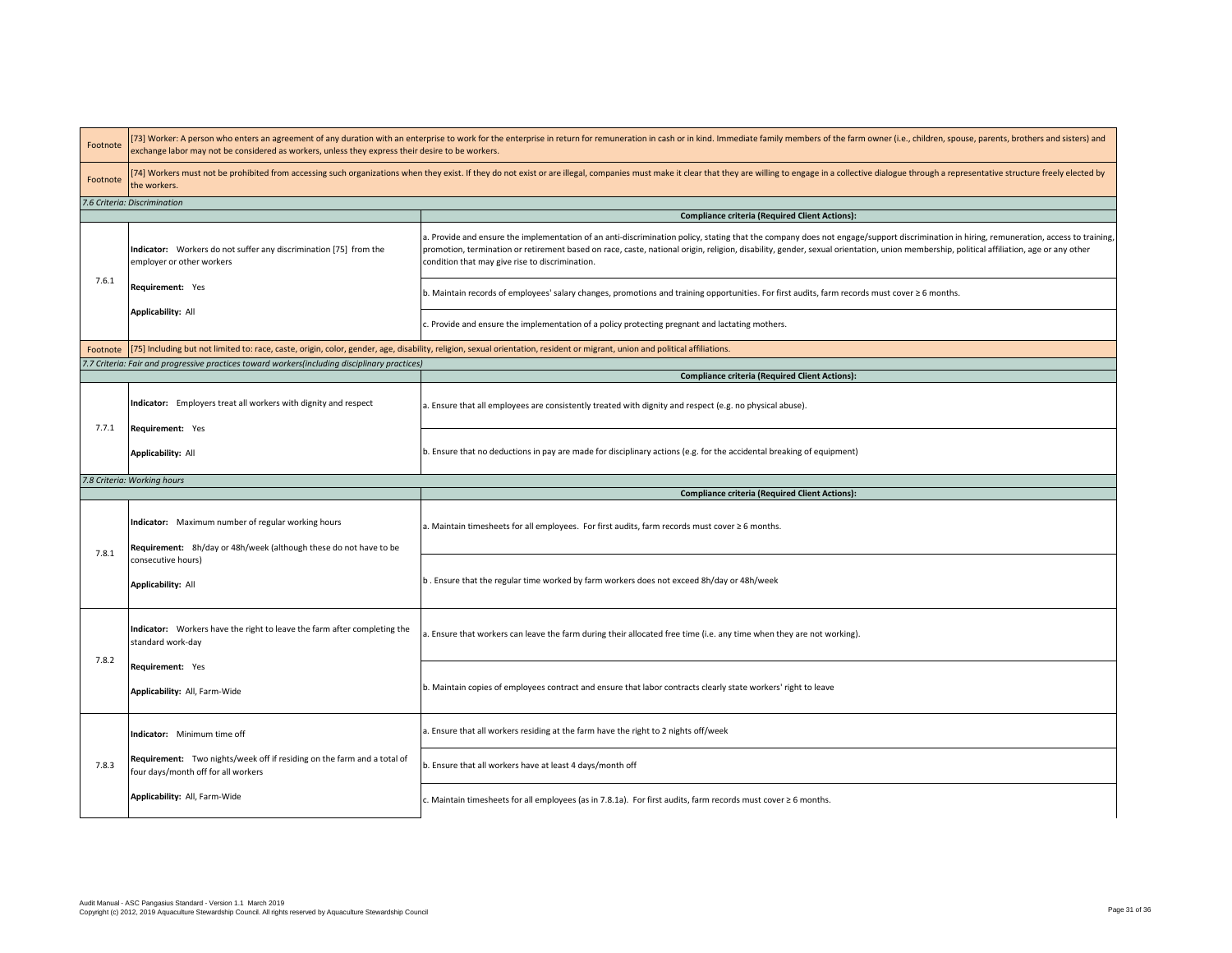| Footnote | [73] Worker: A person who enters an agreement of any duration with an enterprise to work for the enterprise in return for remuneration in cash or in kind. Immediate family members of the farm owner (i.e., children, spouse,<br>exchange labor may not be considered as workers, unless they express their desire to be workers. |                                                                                                                                                                                                                                                                                                                                                                                                                                       |  |  |  |
|----------|------------------------------------------------------------------------------------------------------------------------------------------------------------------------------------------------------------------------------------------------------------------------------------------------------------------------------------|---------------------------------------------------------------------------------------------------------------------------------------------------------------------------------------------------------------------------------------------------------------------------------------------------------------------------------------------------------------------------------------------------------------------------------------|--|--|--|
| Footnote | [74] Workers must not be prohibited from accessing such organizations when they exist. If they do not exist or are illegal, companies must make it clear that they are willing to engage in a collective dialogue through a re<br>the workers.                                                                                     |                                                                                                                                                                                                                                                                                                                                                                                                                                       |  |  |  |
|          | 7.6 Criteria: Discrimination                                                                                                                                                                                                                                                                                                       |                                                                                                                                                                                                                                                                                                                                                                                                                                       |  |  |  |
|          |                                                                                                                                                                                                                                                                                                                                    | <b>Compliance criteria (Required Client Actions):</b>                                                                                                                                                                                                                                                                                                                                                                                 |  |  |  |
|          | Indicator: Workers do not suffer any discrimination [75] from the<br>employer or other workers                                                                                                                                                                                                                                     | a. Provide and ensure the implementation of an anti-discrimination policy, stating that the company does not engage/support discrimination in hiring, remuneration, access to training,<br>promotion, termination or retirement based on race, caste, national origin, religion, disability, gender, sexual orientation, union membership, political affiliation, age or any other<br>condition that may give rise to discrimination. |  |  |  |
| 7.6.1    | Requirement: Yes                                                                                                                                                                                                                                                                                                                   | b. Maintain records of employees' salary changes, promotions and training opportunities. For first audits, farm records must cover ≥ 6 months.                                                                                                                                                                                                                                                                                        |  |  |  |
|          | <b>Applicability: All</b>                                                                                                                                                                                                                                                                                                          | c. Provide and ensure the implementation of a policy protecting pregnant and lactating mothers.                                                                                                                                                                                                                                                                                                                                       |  |  |  |
|          |                                                                                                                                                                                                                                                                                                                                    | Footnote [75] Including but not limited to: race, caste, origin, color, gender, age, disability, religion, sexual orientation, resident or migrant, union and political affiliations.                                                                                                                                                                                                                                                 |  |  |  |
|          | 7.7 Criteria: Fair and progressive practices toward workers(including disciplinary practices)                                                                                                                                                                                                                                      |                                                                                                                                                                                                                                                                                                                                                                                                                                       |  |  |  |
|          |                                                                                                                                                                                                                                                                                                                                    | <b>Compliance criteria (Required Client Actions):</b>                                                                                                                                                                                                                                                                                                                                                                                 |  |  |  |
|          | Indicator: Employers treat all workers with dignity and respect                                                                                                                                                                                                                                                                    | a. Ensure that all employees are consistently treated with dignity and respect (e.g. no physical abuse).                                                                                                                                                                                                                                                                                                                              |  |  |  |
| 7.7.1    | Requirement: Yes                                                                                                                                                                                                                                                                                                                   |                                                                                                                                                                                                                                                                                                                                                                                                                                       |  |  |  |
|          | <b>Applicability: All</b>                                                                                                                                                                                                                                                                                                          | b. Ensure that no deductions in pay are made for disciplinary actions (e.g. for the accidental breaking of equipment)                                                                                                                                                                                                                                                                                                                 |  |  |  |
|          | 7.8 Criteria: Working hours                                                                                                                                                                                                                                                                                                        |                                                                                                                                                                                                                                                                                                                                                                                                                                       |  |  |  |
|          |                                                                                                                                                                                                                                                                                                                                    |                                                                                                                                                                                                                                                                                                                                                                                                                                       |  |  |  |
|          |                                                                                                                                                                                                                                                                                                                                    | <b>Compliance criteria (Required Client Actions):</b>                                                                                                                                                                                                                                                                                                                                                                                 |  |  |  |
|          | Indicator: Maximum number of regular working hours<br>Requirement: 8h/day or 48h/week (although these do not have to be                                                                                                                                                                                                            | a. Maintain timesheets for all employees. For first audits, farm records must cover ≥ 6 months.                                                                                                                                                                                                                                                                                                                                       |  |  |  |
| 7.8.1    | consecutive hours)<br><b>Applicability: All</b>                                                                                                                                                                                                                                                                                    | b. Ensure that the regular time worked by farm workers does not exceed 8h/day or 48h/week                                                                                                                                                                                                                                                                                                                                             |  |  |  |
|          | Indicator: Workers have the right to leave the farm after completing the<br>standard work-day                                                                                                                                                                                                                                      | a. Ensure that workers can leave the farm during their allocated free time (i.e. any time when they are not working).                                                                                                                                                                                                                                                                                                                 |  |  |  |
| 7.8.2    | Requirement: Yes<br>Applicability: All, Farm-Wide                                                                                                                                                                                                                                                                                  | b. Maintain copies of employees contract and ensure that labor contracts clearly state workers' right to leave                                                                                                                                                                                                                                                                                                                        |  |  |  |
|          | Indicator: Minimum time off                                                                                                                                                                                                                                                                                                        | a. Ensure that all workers residing at the farm have the right to 2 nights off/week                                                                                                                                                                                                                                                                                                                                                   |  |  |  |
| 7.8.3    | Requirement: Two nights/week off if residing on the farm and a total of<br>four days/month off for all workers                                                                                                                                                                                                                     | b. Ensure that all workers have at least 4 days/month off                                                                                                                                                                                                                                                                                                                                                                             |  |  |  |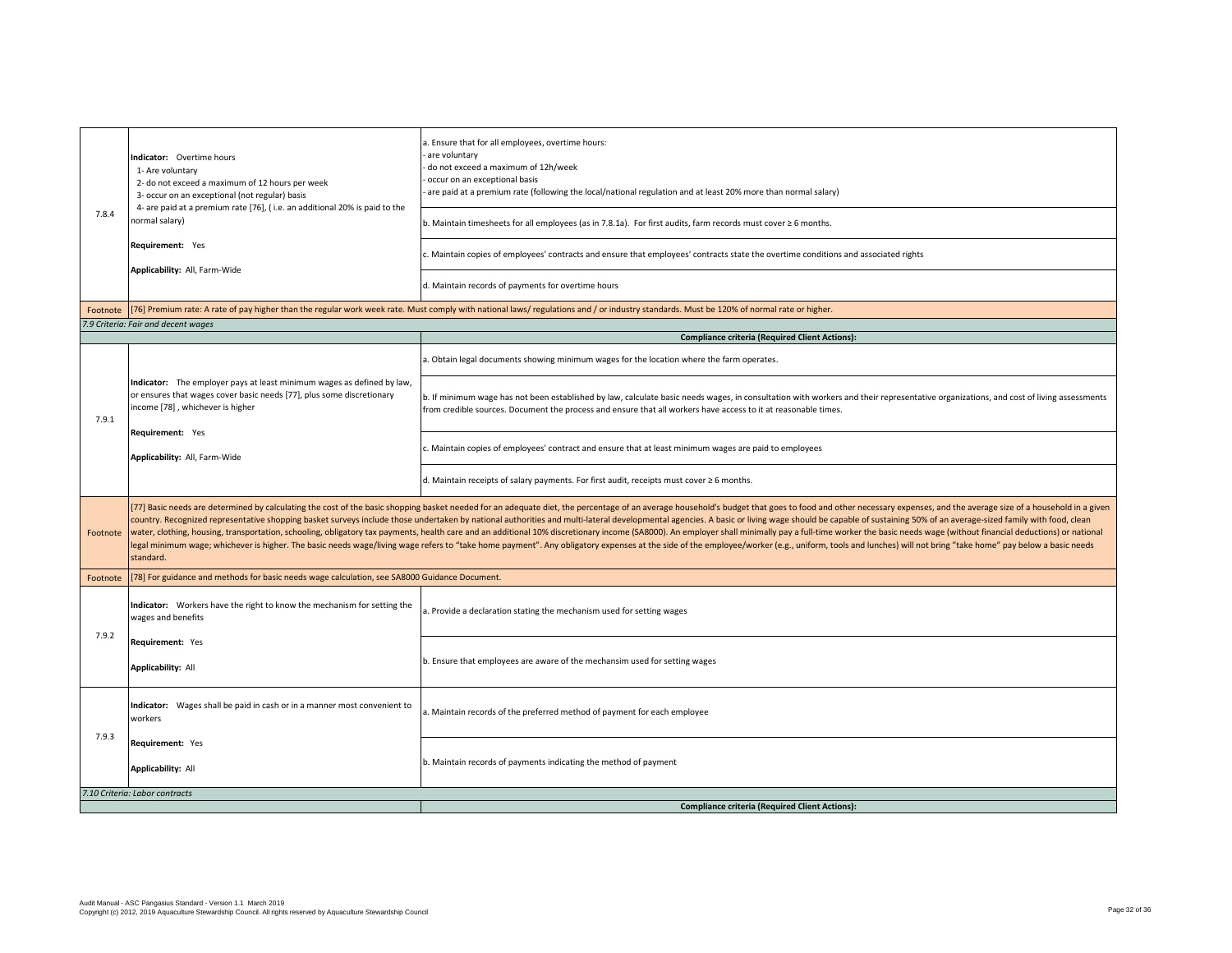| 7.8.4    | Indicator: Overtime hours<br>1- Are voluntary<br>2- do not exceed a maximum of 12 hours per week<br>3- occur on an exceptional (not regular) basis<br>4- are paid at a premium rate [76], (i.e. an additional 20% is paid to the<br>normal salary)<br>Requirement: Yes | a. Ensure that for all employees, overtime hours:<br>are voluntary<br>do not exceed a maximum of 12h/week<br>occur on an exceptional basis<br>are paid at a premium rate (following the local/national regulation and at least 20% more than normal salary)<br>b. Maintain timesheets for all employees (as in 7.8.1a). For first audits, farm records must cover $\geq 6$ months.<br>c. Maintain copies of employees' contracts and ensure that employees' contracts state the overtime conditions and associated rights                                                                                                                                                                                                                                                                                                                                                                                                            |  |  |
|----------|------------------------------------------------------------------------------------------------------------------------------------------------------------------------------------------------------------------------------------------------------------------------|--------------------------------------------------------------------------------------------------------------------------------------------------------------------------------------------------------------------------------------------------------------------------------------------------------------------------------------------------------------------------------------------------------------------------------------------------------------------------------------------------------------------------------------------------------------------------------------------------------------------------------------------------------------------------------------------------------------------------------------------------------------------------------------------------------------------------------------------------------------------------------------------------------------------------------------|--|--|
|          | Applicability: All, Farm-Wide                                                                                                                                                                                                                                          | d. Maintain records of payments for overtime hours                                                                                                                                                                                                                                                                                                                                                                                                                                                                                                                                                                                                                                                                                                                                                                                                                                                                                   |  |  |
|          |                                                                                                                                                                                                                                                                        | Footnote [76] Premium rate: A rate of pay higher than the regular work week rate. Must comply with national laws/ regulations and / or industry standards. Must be 120% of normal rate or higher.                                                                                                                                                                                                                                                                                                                                                                                                                                                                                                                                                                                                                                                                                                                                    |  |  |
|          | 7.9 Criteria: Fair and decent wages                                                                                                                                                                                                                                    |                                                                                                                                                                                                                                                                                                                                                                                                                                                                                                                                                                                                                                                                                                                                                                                                                                                                                                                                      |  |  |
|          |                                                                                                                                                                                                                                                                        | <b>Compliance criteria (Required Client Actions):</b>                                                                                                                                                                                                                                                                                                                                                                                                                                                                                                                                                                                                                                                                                                                                                                                                                                                                                |  |  |
|          |                                                                                                                                                                                                                                                                        | a. Obtain legal documents showing minimum wages for the location where the farm operates.                                                                                                                                                                                                                                                                                                                                                                                                                                                                                                                                                                                                                                                                                                                                                                                                                                            |  |  |
| 7.9.1    | Indicator: The employer pays at least minimum wages as defined by law,<br>or ensures that wages cover basic needs [77], plus some discretionary<br>income [78], whichever is higher                                                                                    | b. If minimum wage has not been established by law, calculate basic needs wages, in consultation with workers and their representative organizations, and cost of living assessments<br>from credible sources. Document the process and ensure that all workers have access to it at reasonable times.                                                                                                                                                                                                                                                                                                                                                                                                                                                                                                                                                                                                                               |  |  |
|          | Requirement: Yes<br>Applicability: All, Farm-Wide                                                                                                                                                                                                                      | . Maintain copies of employees' contract and ensure that at least minimum wages are paid to employees                                                                                                                                                                                                                                                                                                                                                                                                                                                                                                                                                                                                                                                                                                                                                                                                                                |  |  |
|          |                                                                                                                                                                                                                                                                        | d. Maintain receipts of salary payments. For first audit, receipts must cover ≥ 6 months.                                                                                                                                                                                                                                                                                                                                                                                                                                                                                                                                                                                                                                                                                                                                                                                                                                            |  |  |
| Footnote | standard.                                                                                                                                                                                                                                                              | [77] Basic needs are determined by calculating the cost of the basic shopping basket needed for an adequate diet, the percentage of an average household's budget that goes to food and other necessary expenses, and the aver<br>country. Recognized representative shopping basket surveys include those undertaken by national authorities and multi-lateral developmental agencies. A basic or living wage should be capable of sustaining 50% of an average<br>water, clothing, housing, transportation, schooling, obligatory tax payments, health care and an additional 10% discretionary income (SA8000). An employer shall minimally pay a full-time worker the basic needs wage (withou<br>legal minimum wage; whichever is higher. The basic needs wage/living wage refers to "take home payment". Any obligatory expenses at the side of the employee/worker (e.g., uniform, tools and lunches) will not bring "take ho |  |  |
| Footnote | [78] For guidance and methods for basic needs wage calculation, see SA8000 Guidance Document.                                                                                                                                                                          |                                                                                                                                                                                                                                                                                                                                                                                                                                                                                                                                                                                                                                                                                                                                                                                                                                                                                                                                      |  |  |
| 7.9.2    | Indicator: Workers have the right to know the mechanism for setting the<br>wages and benefits                                                                                                                                                                          | a. Provide a declaration stating the mechanism used for setting wages                                                                                                                                                                                                                                                                                                                                                                                                                                                                                                                                                                                                                                                                                                                                                                                                                                                                |  |  |
|          | Requirement: Yes<br><b>Applicability: All</b>                                                                                                                                                                                                                          | b. Ensure that employees are aware of the mechansim used for setting wages                                                                                                                                                                                                                                                                                                                                                                                                                                                                                                                                                                                                                                                                                                                                                                                                                                                           |  |  |
| 7.9.3    | Indicator: Wages shall be paid in cash or in a manner most convenient to<br>workers                                                                                                                                                                                    | a. Maintain records of the preferred method of payment for each employee                                                                                                                                                                                                                                                                                                                                                                                                                                                                                                                                                                                                                                                                                                                                                                                                                                                             |  |  |
|          | Requirement: Yes<br><b>Applicability: All</b>                                                                                                                                                                                                                          | b. Maintain records of payments indicating the method of payment                                                                                                                                                                                                                                                                                                                                                                                                                                                                                                                                                                                                                                                                                                                                                                                                                                                                     |  |  |
|          | 7.10 Criteria: Labor contracts                                                                                                                                                                                                                                         |                                                                                                                                                                                                                                                                                                                                                                                                                                                                                                                                                                                                                                                                                                                                                                                                                                                                                                                                      |  |  |
|          |                                                                                                                                                                                                                                                                        | <b>Compliance criteria (Required Client Actions):</b>                                                                                                                                                                                                                                                                                                                                                                                                                                                                                                                                                                                                                                                                                                                                                                                                                                                                                |  |  |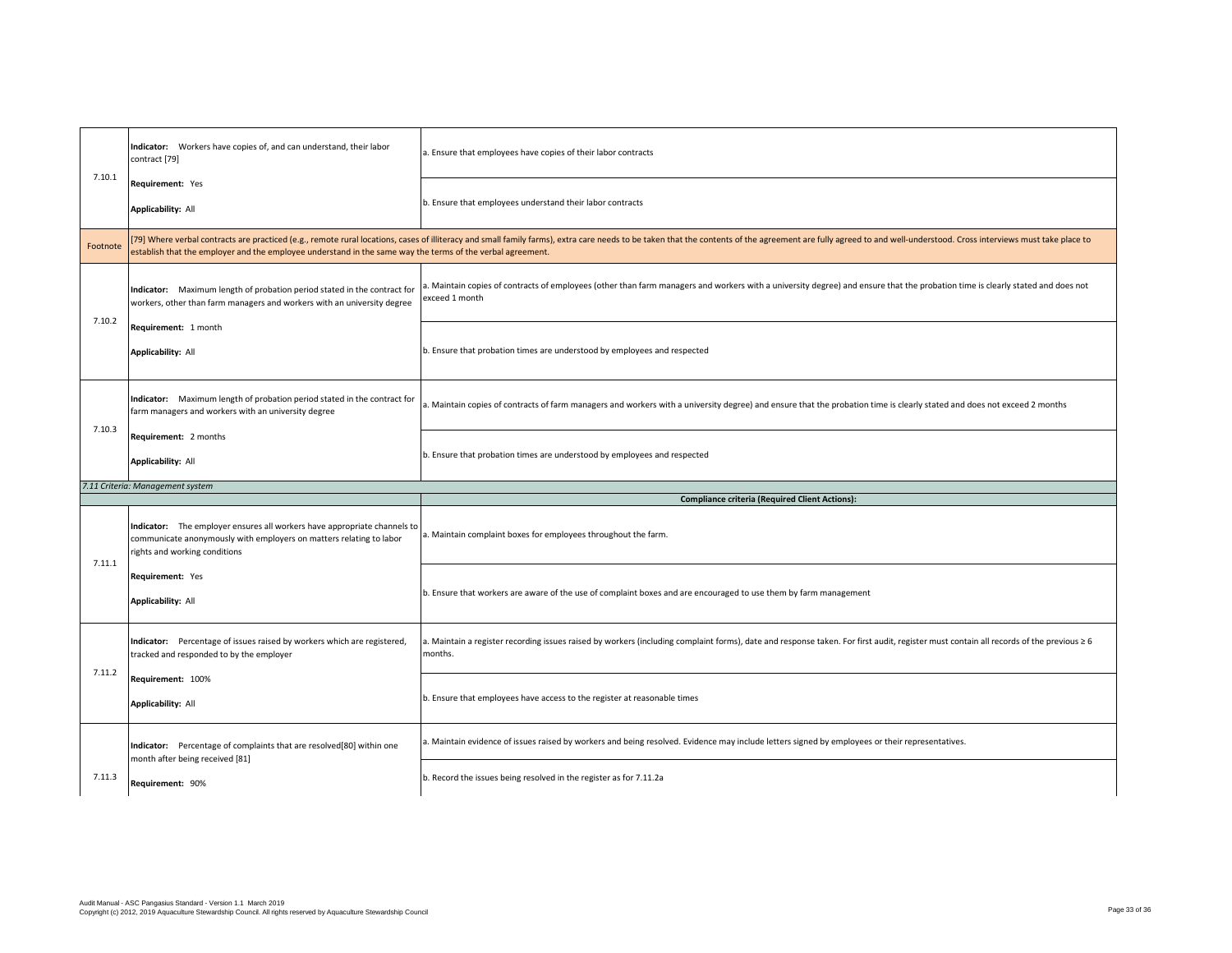|          | Indicator: Workers have copies of, and can understand, their labor<br>contract [79]                                                                                              | . Ensure that employees have copies of their labor contracts                                                                                                                                                                   |
|----------|----------------------------------------------------------------------------------------------------------------------------------------------------------------------------------|--------------------------------------------------------------------------------------------------------------------------------------------------------------------------------------------------------------------------------|
| 7.10.1   | Requirement: Yes<br><b>Applicability: All</b>                                                                                                                                    | b. Ensure that employees understand their labor contracts                                                                                                                                                                      |
| Footnote | establish that the employer and the employee understand in the same way the terms of the verbal agreement.                                                                       | [79] Where verbal contracts are practiced (e.g., remote rural locations, cases of illiteracy and small family farms), extra care needs to be taken that the contents of the agreement are fully agreed to and well-understood. |
| 7.10.2   | Indicator: Maximum length of probation period stated in the contract for<br>workers, other than farm managers and workers with an university degree                              | a. Maintain copies of contracts of employees (other than farm managers and workers with a university degree) and ensure that the probation time is clearly stated and does not<br>exceed 1 month                               |
|          | Requirement: 1 month<br><b>Applicability: All</b>                                                                                                                                | b. Ensure that probation times are understood by employees and respected                                                                                                                                                       |
|          | Indicator: Maximum length of probation period stated in the contract for<br>farm managers and workers with an university degree                                                  | a. Maintain copies of contracts of farm managers and workers with a university degree) and ensure that the probation time is clearly stated and does not exceed 2 months                                                       |
| 7.10.3   | Requirement: 2 months<br><b>Applicability: All</b>                                                                                                                               | b. Ensure that probation times are understood by employees and respected                                                                                                                                                       |
|          |                                                                                                                                                                                  |                                                                                                                                                                                                                                |
|          | 7.11 Criteria: Management system                                                                                                                                                 |                                                                                                                                                                                                                                |
|          | Indicator: The employer ensures all workers have appropriate channels to<br>communicate anonymously with employers on matters relating to labor<br>rights and working conditions | <b>Compliance criteria (Required Client Actions):</b><br>a. Maintain complaint boxes for employees throughout the farm.                                                                                                        |
| 7.11.1   | Requirement: Yes<br><b>Applicability: All</b>                                                                                                                                    | b. Ensure that workers are aware of the use of complaint boxes and are encouraged to use them by farm management                                                                                                               |
|          | Indicator: Percentage of issues raised by workers which are registered,<br>tracked and responded to by the employer                                                              | a. Maintain a register recording issues raised by workers (including complaint forms), date and response taken. For first audit, register must contain all records of the previous ≥ 6<br>months.                              |
| 7.11.2   | Requirement: 100%<br>Applicability: All                                                                                                                                          | b. Ensure that employees have access to the register at reasonable times                                                                                                                                                       |
|          | Indicator: Percentage of complaints that are resolved[80] within one<br>month after being received [81]                                                                          | ). Maintain evidence of issues raised by workers and being resolved. Evidence may include letters signed by employees or their representatives.                                                                                |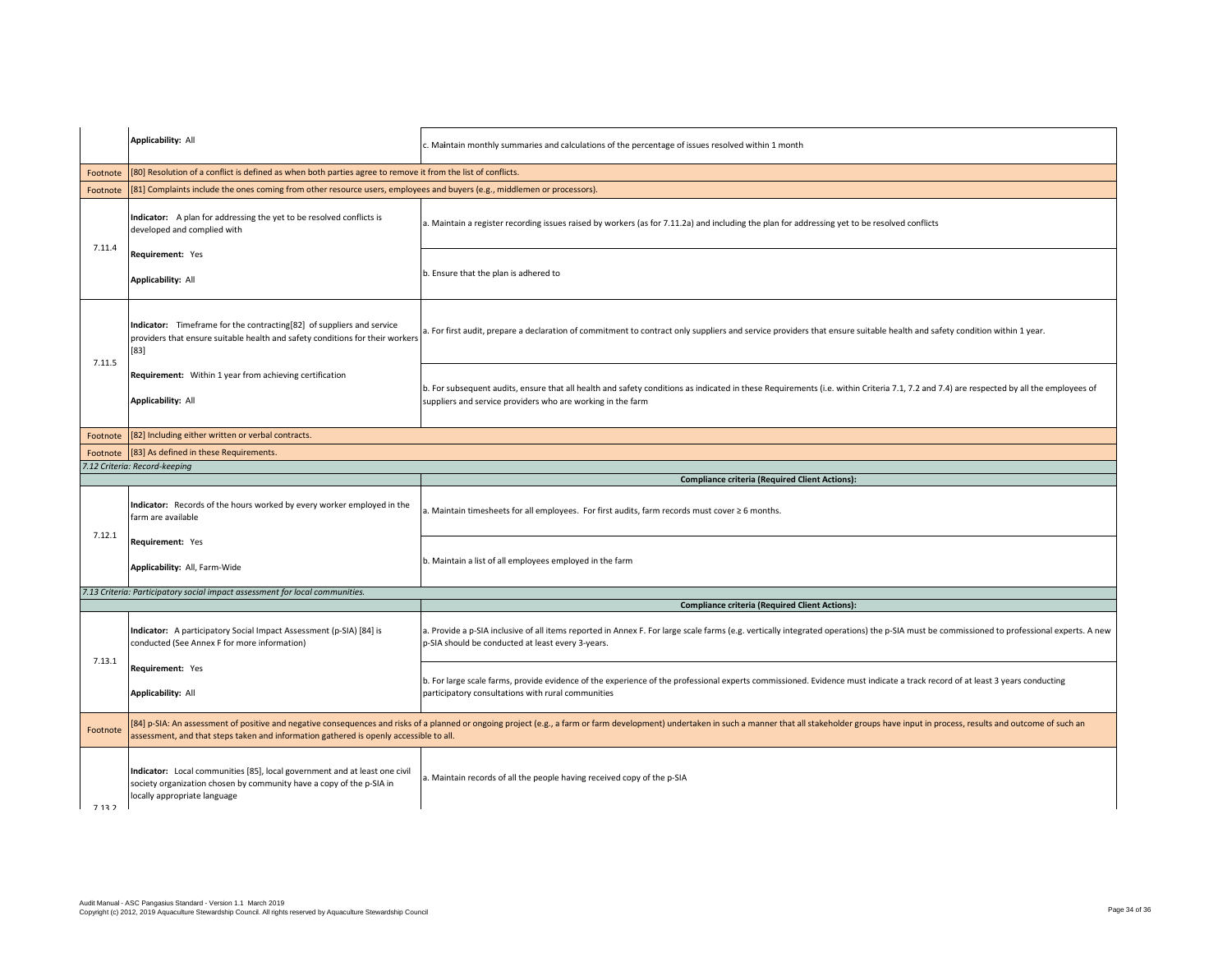|          | <b>Applicability: All</b>                                                                                                                                        | c. Maintain monthly summaries and calculations of the percentage of issues resolved within 1 month                                                                                                                                                     |  |
|----------|------------------------------------------------------------------------------------------------------------------------------------------------------------------|--------------------------------------------------------------------------------------------------------------------------------------------------------------------------------------------------------------------------------------------------------|--|
| Footnote | [80] Resolution of a conflict is defined as when both parties agree to remove it from the list of conflicts.                                                     |                                                                                                                                                                                                                                                        |  |
| Footnote | [81] Complaints include the ones coming from other resource users, employees and buyers (e.g., middlemen or processors).                                         |                                                                                                                                                                                                                                                        |  |
| 7.11.4   | Indicator: A plan for addressing the yet to be resolved conflicts is<br>developed and complied with                                                              | a. Maintain a register recording issues raised by workers (as for 7.11.2a) and including the plan for addressing yet to be resolved conflicts                                                                                                          |  |
|          | Requirement: Yes<br><b>Applicability: All</b>                                                                                                                    | b. Ensure that the plan is adhered to                                                                                                                                                                                                                  |  |
| 7.11.5   | Indicator: Timeframe for the contracting[82] of suppliers and service<br>providers that ensure suitable health and safety conditions for their workers<br>$[83]$ | a. For first audit, prepare a declaration of commitment to contract only suppliers and service providers that ensure suitable health and safety condition within 1 year.                                                                               |  |
|          | Requirement: Within 1 year from achieving certification<br>Applicability: All                                                                                    | b. For subsequent audits, ensure that all health and safety conditions as indicated in these Requirements (i.e. within Criteria 7.1, 7.2 and 7.4) are respected by all the employees of<br>suppliers and service providers who are working in the farm |  |
| Footnote | [82] Including either written or verbal contracts.                                                                                                               |                                                                                                                                                                                                                                                        |  |
| Footnote | [83] As defined in these Requirements.                                                                                                                           |                                                                                                                                                                                                                                                        |  |
|          | 7.12 Criteria: Record-keeping                                                                                                                                    |                                                                                                                                                                                                                                                        |  |
|          |                                                                                                                                                                  |                                                                                                                                                                                                                                                        |  |
|          | Indicator: Records of the hours worked by every worker employed in the<br>farm are available                                                                     | <b>Compliance criteria (Required Client Actions):</b><br>. Maintain timesheets for all employees. For first audits, farm records must cover $\geq 6$ months.                                                                                           |  |
| 7.12.1   | Requirement: Yes<br>Applicability: All, Farm-Wide                                                                                                                | b. Maintain a list of all employees employed in the farm                                                                                                                                                                                               |  |
|          | 7.13 Criteria: Participatory social impact assessment for local communities.                                                                                     |                                                                                                                                                                                                                                                        |  |
|          |                                                                                                                                                                  | <b>Compliance criteria (Required Client Actions):</b>                                                                                                                                                                                                  |  |
|          | Indicator: A participatory Social Impact Assessment (p-SIA) [84] is<br>conducted (See Annex F for more information)                                              | a. Provide a p-SIA inclusive of all items reported in Annex F. For large scale farms (e.g. vertically integrated operations) the p-SIA must be commissioned to professional experts. A new<br>p-SIA should be conducted at least every 3-years.        |  |
| 7.13.1   | Requirement: Yes<br><b>Applicability: All</b>                                                                                                                    | b. For large scale farms, provide evidence of the experience of the professional experts commissioned. Evidence must indicate a track record of at least 3 years conducting<br>participatory consultations with rural communities                      |  |
| Footnote | assessment, and that steps taken and information gathered is openly accessible to all.                                                                           | [84] p-SIA: An assessment of positive and negative consequences and risks of a planned or ongoing project (e.g., a farm or farm development) undertaken in such a manner that all stakeholder groups have input in process, re                         |  |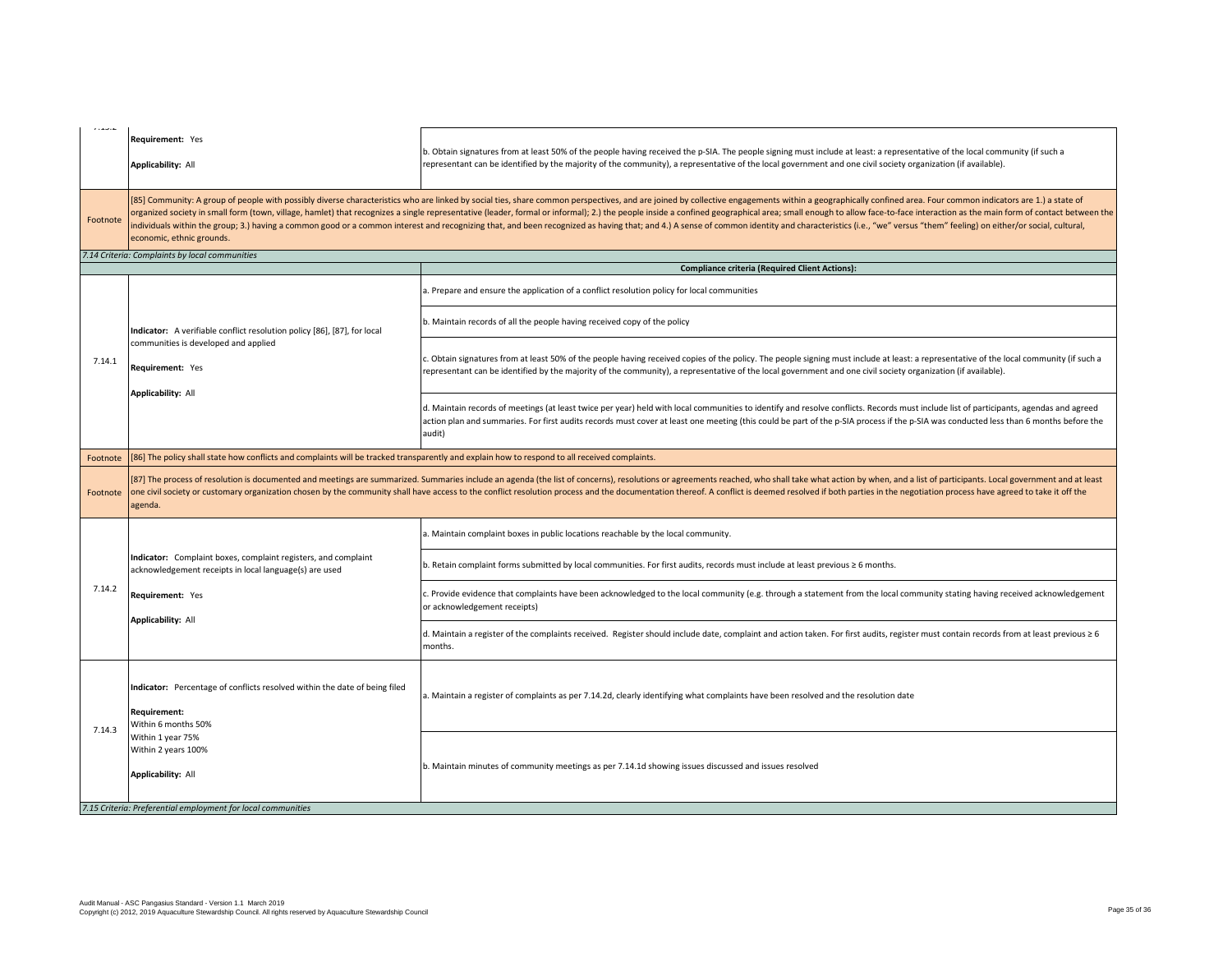| 1.13.4   | Requirement: Yes<br>Applicability: All                                                                                                        | b. Obtain signatures from at least 50% of the people having received the p-SIA. The people signing must include at least: a representative of the local community (if such a<br>representant can be identified by the majority of the community), a representative of the local government and one civil society organization (if available).                                                                                                                                                                                                                                                                                                                                                     |
|----------|-----------------------------------------------------------------------------------------------------------------------------------------------|---------------------------------------------------------------------------------------------------------------------------------------------------------------------------------------------------------------------------------------------------------------------------------------------------------------------------------------------------------------------------------------------------------------------------------------------------------------------------------------------------------------------------------------------------------------------------------------------------------------------------------------------------------------------------------------------------|
| Footnote | economic, ethnic grounds.                                                                                                                     | [85] Community: A group of people with possibly diverse characteristics who are linked by social ties, share common perspectives, and are joined by collective engagements within a geographically confined area. Four common<br>organized society in small form (town, village, hamlet) that recognizes a single representative (leader, formal or informal); 2.) the people inside a confined geographical area; small enough to allow face-to-face interacti<br>individuals within the group; 3.) having a common good or a common interest and recognizing that, and been recognized as having that; and 4.) A sense of common identity and characteristics (i.e., "we" versus "them" feeling |
|          | 7.14 Criteria: Complaints by local communities                                                                                                |                                                                                                                                                                                                                                                                                                                                                                                                                                                                                                                                                                                                                                                                                                   |
|          |                                                                                                                                               | <b>Compliance criteria (Required Client Actions):</b>                                                                                                                                                                                                                                                                                                                                                                                                                                                                                                                                                                                                                                             |
|          |                                                                                                                                               | a. Prepare and ensure the application of a conflict resolution policy for local communities                                                                                                                                                                                                                                                                                                                                                                                                                                                                                                                                                                                                       |
|          | Indicator: A verifiable conflict resolution policy [86], [87], for local                                                                      | b. Maintain records of all the people having received copy of the policy                                                                                                                                                                                                                                                                                                                                                                                                                                                                                                                                                                                                                          |
| 7.14.1   | communities is developed and applied<br>Requirement: Yes                                                                                      | c. Obtain signatures from at least 50% of the people having received copies of the policy. The people signing must include at least: a representative of the local community (if such a<br>cepresentant can be identified by the majority of the community), a representative of the local government and one civil society organization (if available).                                                                                                                                                                                                                                                                                                                                          |
|          | Applicability: All                                                                                                                            | d. Maintain records of meetings (at least twice per year) held with local communities to identify and resolve conflicts. Records must include list of participants, agendas and agreed<br>action plan and summaries. For first audits records must cover at least one meeting (this could be part of the p-SIA process if the p-SIA was conducted less than 6 months before the<br>audit)                                                                                                                                                                                                                                                                                                         |
| Footnote | [86] The policy shall state how conflicts and complaints will be tracked transparently and explain how to respond to all received complaints. |                                                                                                                                                                                                                                                                                                                                                                                                                                                                                                                                                                                                                                                                                                   |
| Footnote | agenda.                                                                                                                                       | [87] The process of resolution is documented and meetings are summarized. Summaries include an agenda (the list of concerns), resolutions or agreements reached, who shall take what action by when, and a list of participant<br>one civil society or customary organization chosen by the community shall have access to the conflict resolution process and the documentation thereof. A conflict is deemed resolved if both parties in the negotiation proce                                                                                                                                                                                                                                  |
|          |                                                                                                                                               | a. Maintain complaint boxes in public locations reachable by the local community.                                                                                                                                                                                                                                                                                                                                                                                                                                                                                                                                                                                                                 |
|          | Indicator: Complaint boxes, complaint registers, and complaint<br>acknowledgement receipts in local language(s) are used                      | b. Retain complaint forms submitted by local communities. For first audits, records must include at least previous ≥ 6 months.                                                                                                                                                                                                                                                                                                                                                                                                                                                                                                                                                                    |
| 7.14.2   | Requirement: Yes<br><b>Applicability: All</b>                                                                                                 | c. Provide evidence that complaints have been acknowledged to the local community (e.g. through a statement from the local community stating having received acknowledgement<br>or acknowledgement receipts)                                                                                                                                                                                                                                                                                                                                                                                                                                                                                      |
|          |                                                                                                                                               | d. Maintain a register of the complaints received. Register should include date, complaint and action taken. For first audits, register must contain records from at least previous ≥ 6<br>months.                                                                                                                                                                                                                                                                                                                                                                                                                                                                                                |
| 7.14.3   | Indicator: Percentage of conflicts resolved within the date of being filed<br>Requirement:<br>Within 6 months 50%                             | a. Maintain a register of complaints as per 7.14.2d, clearly identifying what complaints have been resolved and the resolution date                                                                                                                                                                                                                                                                                                                                                                                                                                                                                                                                                               |
|          | Within 1 year 75%<br>Within 2 years 100%<br><b>Applicability: All</b>                                                                         | b. Maintain minutes of community meetings as per 7.14.1d showing issues discussed and issues resolved                                                                                                                                                                                                                                                                                                                                                                                                                                                                                                                                                                                             |
|          | 7.15 Criteria: Preferential employment for local communities                                                                                  |                                                                                                                                                                                                                                                                                                                                                                                                                                                                                                                                                                                                                                                                                                   |